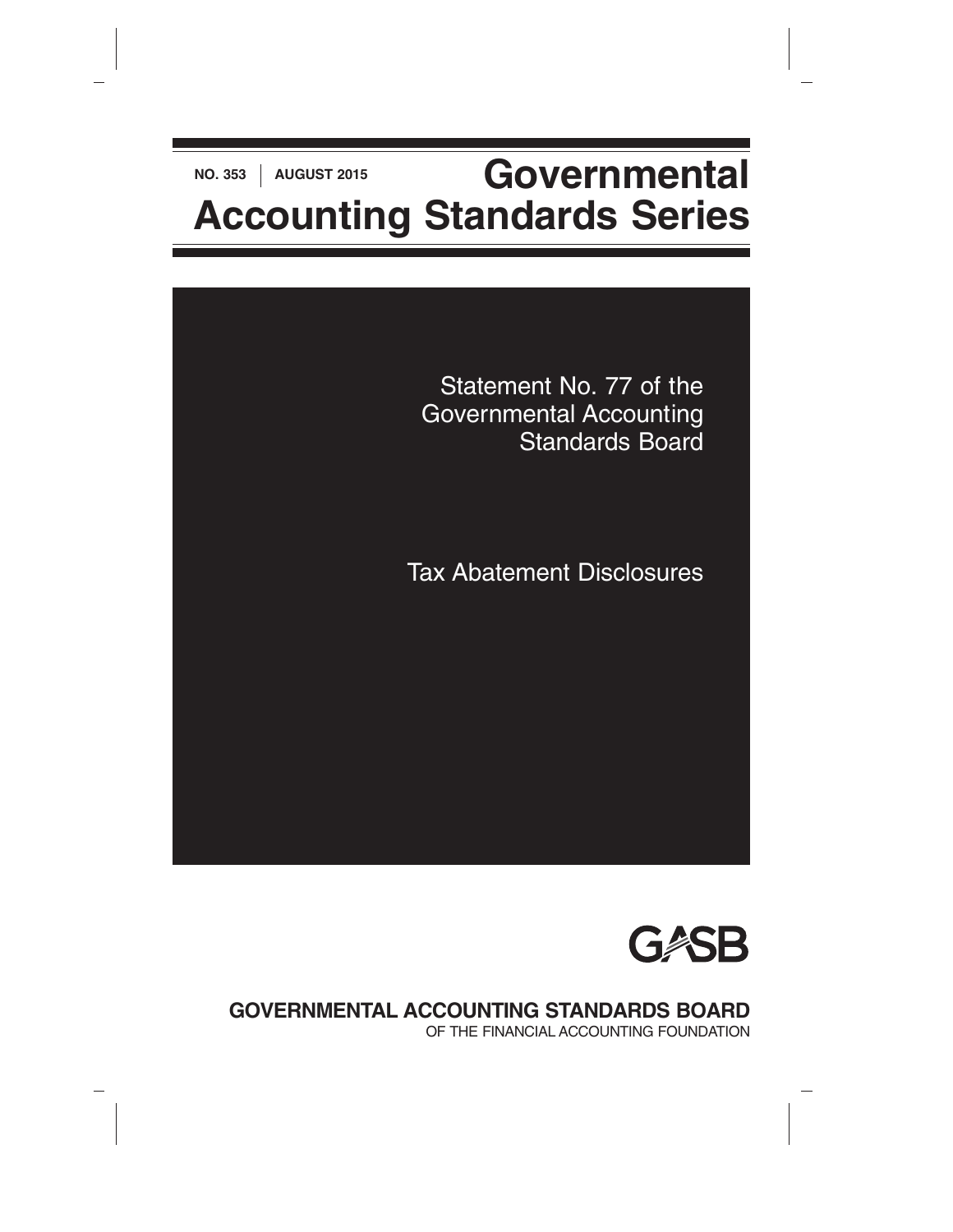# **NO. 353** | AUGUST 2015<br>**Governmental Accounting Standards Series**



Tax Abatement Disclosures



**GOVERNMENTAL ACCOUNTING STANDARDS BOARD**

OF THE FINANCIAL ACCOUNTING FOUNDATION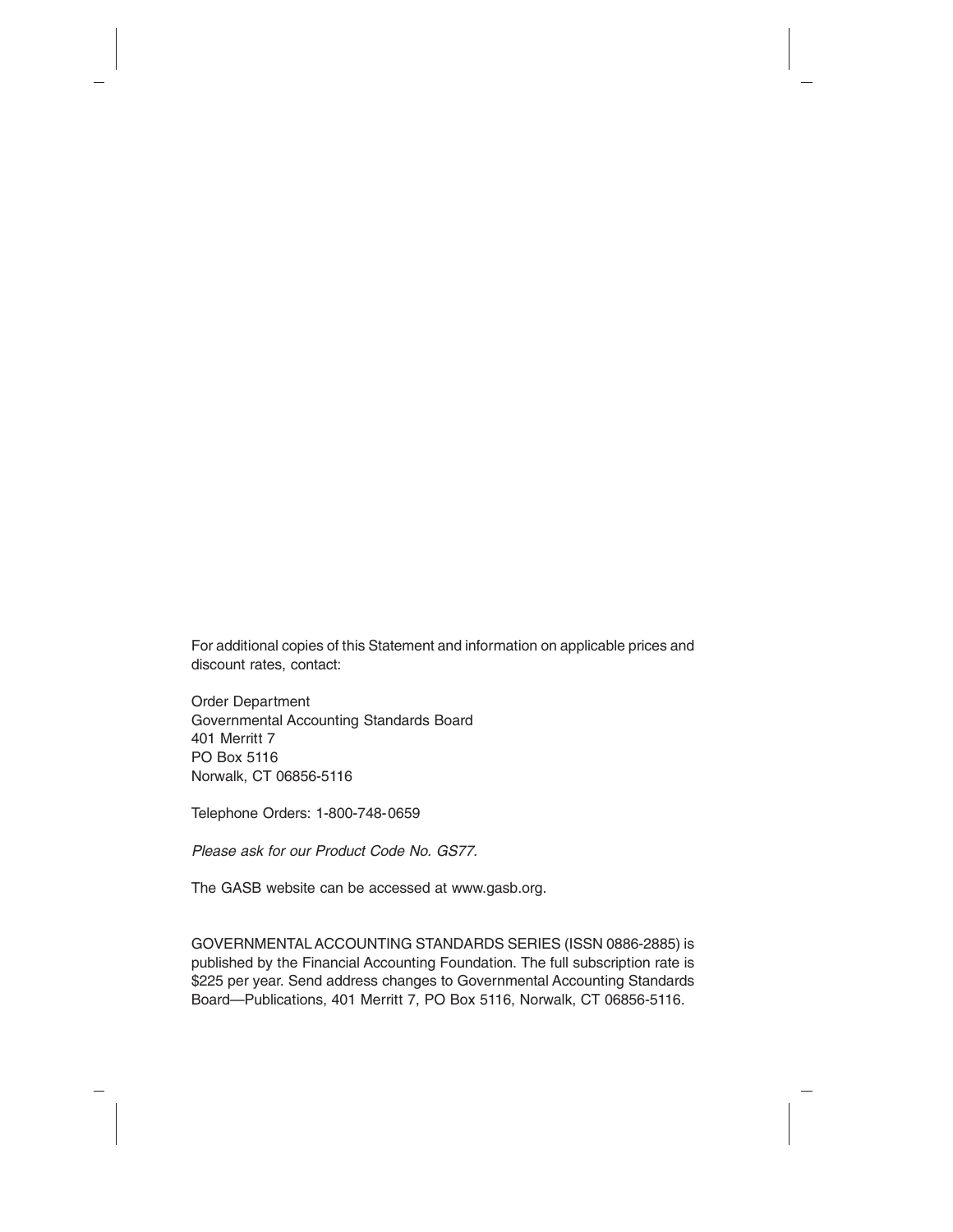For additional copies of this Statement and information on applicable prices and discount rates, contact:

Order Department Governmental Accounting Standards Board 401 Merritt 7 PO Box 5116 Norwalk, CT 06856-5116

Telephone Orders: 1-800-748-0659

*Please ask for our Product Code No. GS77.*

The GASB website can be accessed at www.gasb.org.

GOVERNMENTAL ACCOUNTING STANDARDS SERIES (ISSN 0886-2885) is published by the Financial Accounting Foundation. The full subscription rate is \$225 per year. Send address changes to Governmental Accounting Standards Board—Publications, 401 Merritt 7, PO Box 5116, Norwalk, CT 06856-5116.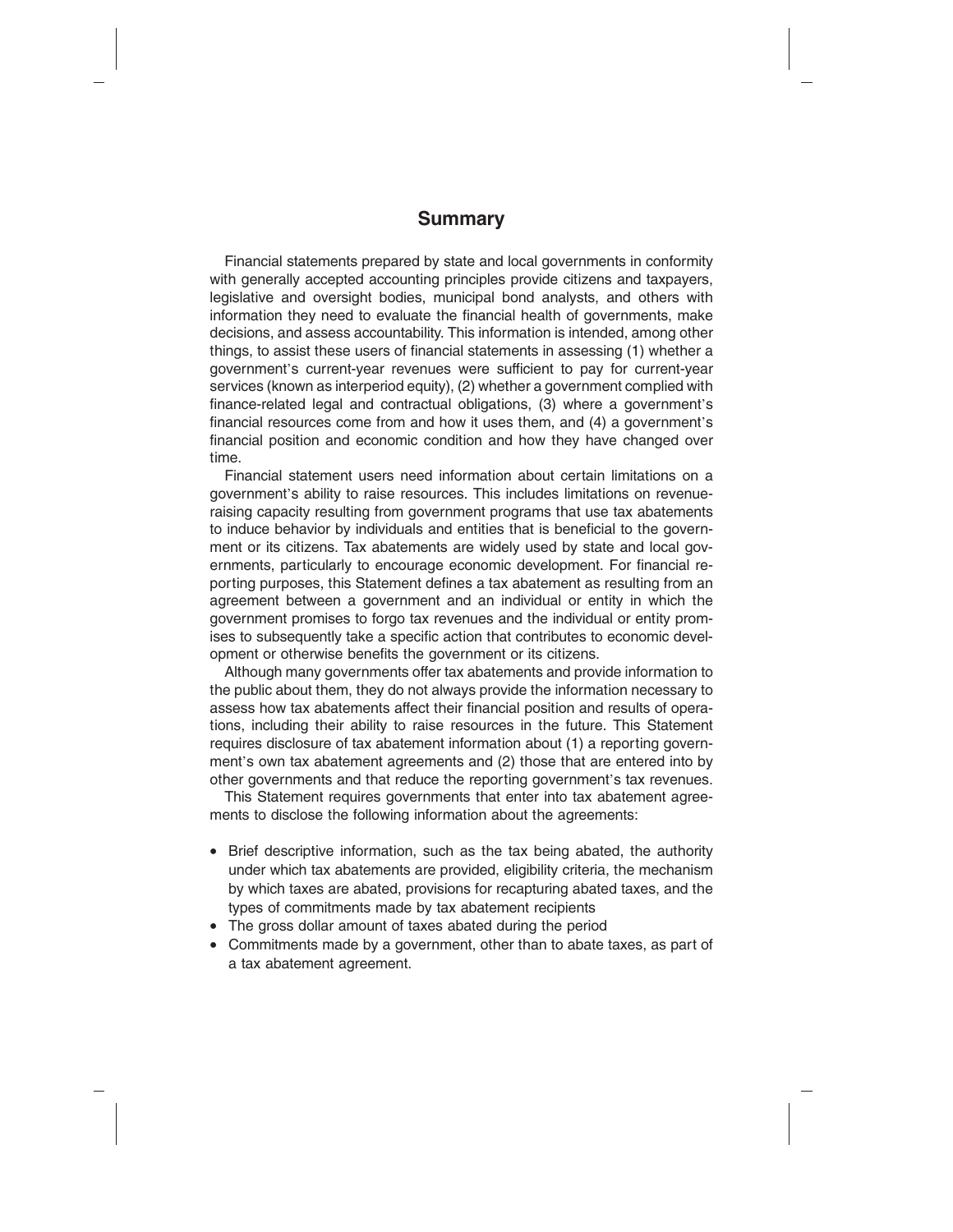#### **Summary**

Financial statements prepared by state and local governments in conformity with generally accepted accounting principles provide citizens and taxpayers, legislative and oversight bodies, municipal bond analysts, and others with information they need to evaluate the financial health of governments, make decisions, and assess accountability. This information is intended, among other things, to assist these users of financial statements in assessing (1) whether a government's current-year revenues were sufficient to pay for current-year services (known as interperiod equity), (2) whether a government complied with finance-related legal and contractual obligations, (3) where a government's financial resources come from and how it uses them, and (4) a government's financial position and economic condition and how they have changed over time.

Financial statement users need information about certain limitations on a government's ability to raise resources. This includes limitations on revenueraising capacity resulting from government programs that use tax abatements to induce behavior by individuals and entities that is beneficial to the government or its citizens. Tax abatements are widely used by state and local governments, particularly to encourage economic development. For financial reporting purposes, this Statement defines a tax abatement as resulting from an agreement between a government and an individual or entity in which the government promises to forgo tax revenues and the individual or entity promises to subsequently take a specific action that contributes to economic development or otherwise benefits the government or its citizens.

Although many governments offer tax abatements and provide information to the public about them, they do not always provide the information necessary to assess how tax abatements affect their financial position and results of operations, including their ability to raise resources in the future. This Statement requires disclosure of tax abatement information about (1) a reporting government's own tax abatement agreements and (2) those that are entered into by other governments and that reduce the reporting government's tax revenues.

This Statement requires governments that enter into tax abatement agreements to disclose the following information about the agreements:

- Brief descriptive information, such as the tax being abated, the authority under which tax abatements are provided, eligibility criteria, the mechanism by which taxes are abated, provisions for recapturing abated taxes, and the types of commitments made by tax abatement recipients
- The gross dollar amount of taxes abated during the period
- Commitments made by a government, other than to abate taxes, as part of a tax abatement agreement.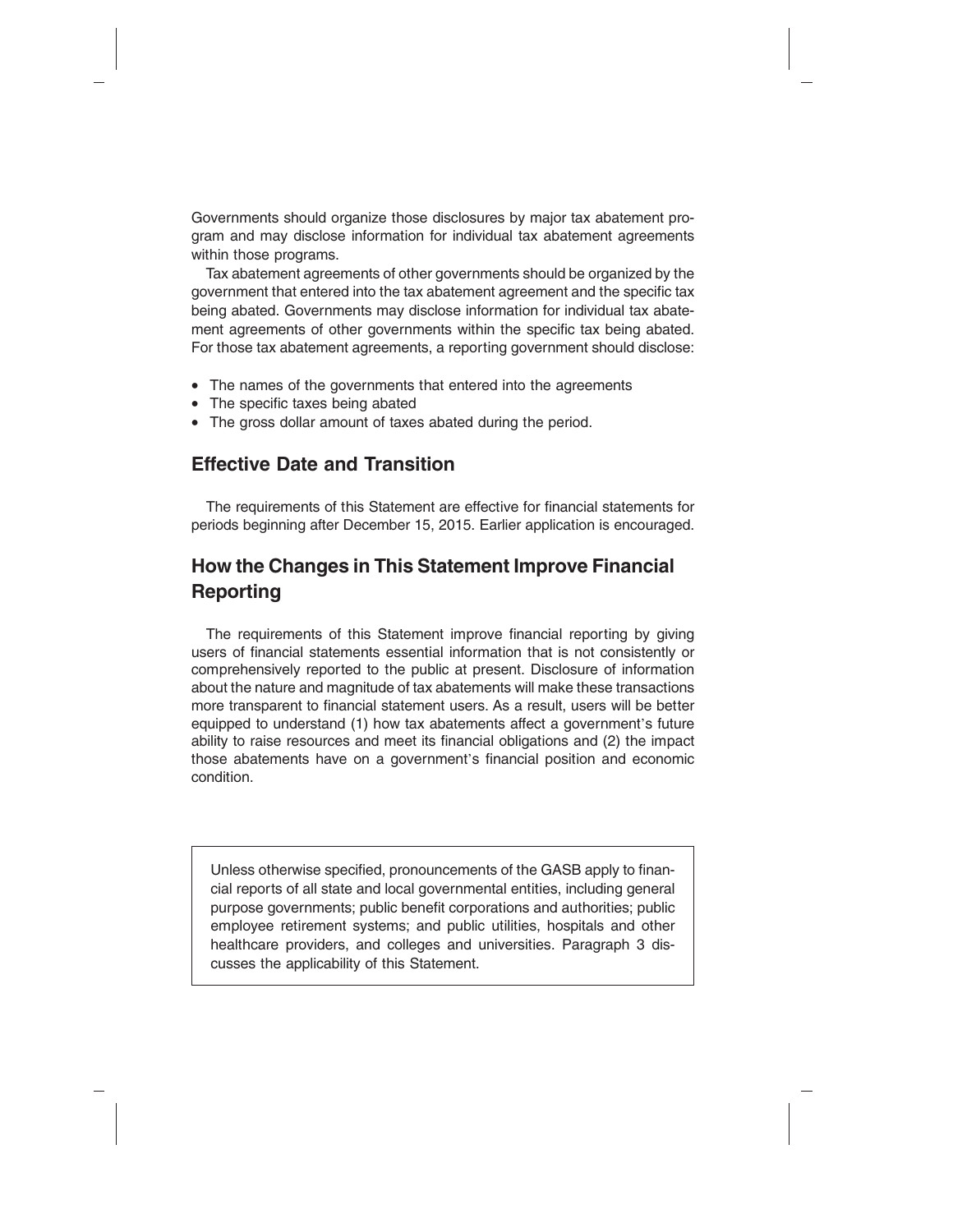Governments should organize those disclosures by major tax abatement program and may disclose information for individual tax abatement agreements within those programs.

Tax abatement agreements of other governments should be organized by the government that entered into the tax abatement agreement and the specific tax being abated. Governments may disclose information for individual tax abatement agreements of other governments within the specific tax being abated. For those tax abatement agreements, a reporting government should disclose:

- The names of the governments that entered into the agreements
- The specific taxes being abated
- The gross dollar amount of taxes abated during the period.

#### **Effective Date and Transition**

The requirements of this Statement are effective for financial statements for periods beginning after December 15, 2015. Earlier application is encouraged.

# **How the Changes in This Statement Improve Financial Reporting**

The requirements of this Statement improve financial reporting by giving users of financial statements essential information that is not consistently or comprehensively reported to the public at present. Disclosure of information about the nature and magnitude of tax abatements will make these transactions more transparent to financial statement users. As a result, users will be better equipped to understand (1) how tax abatements affect a government's future ability to raise resources and meet its financial obligations and (2) the impact those abatements have on a government's financial position and economic condition.

Unless otherwise specified, pronouncements of the GASB apply to financial reports of all state and local governmental entities, including general purpose governments; public benefit corporations and authorities; public employee retirement systems; and public utilities, hospitals and other healthcare providers, and colleges and universities. Paragraph 3 discusses the applicability of this Statement.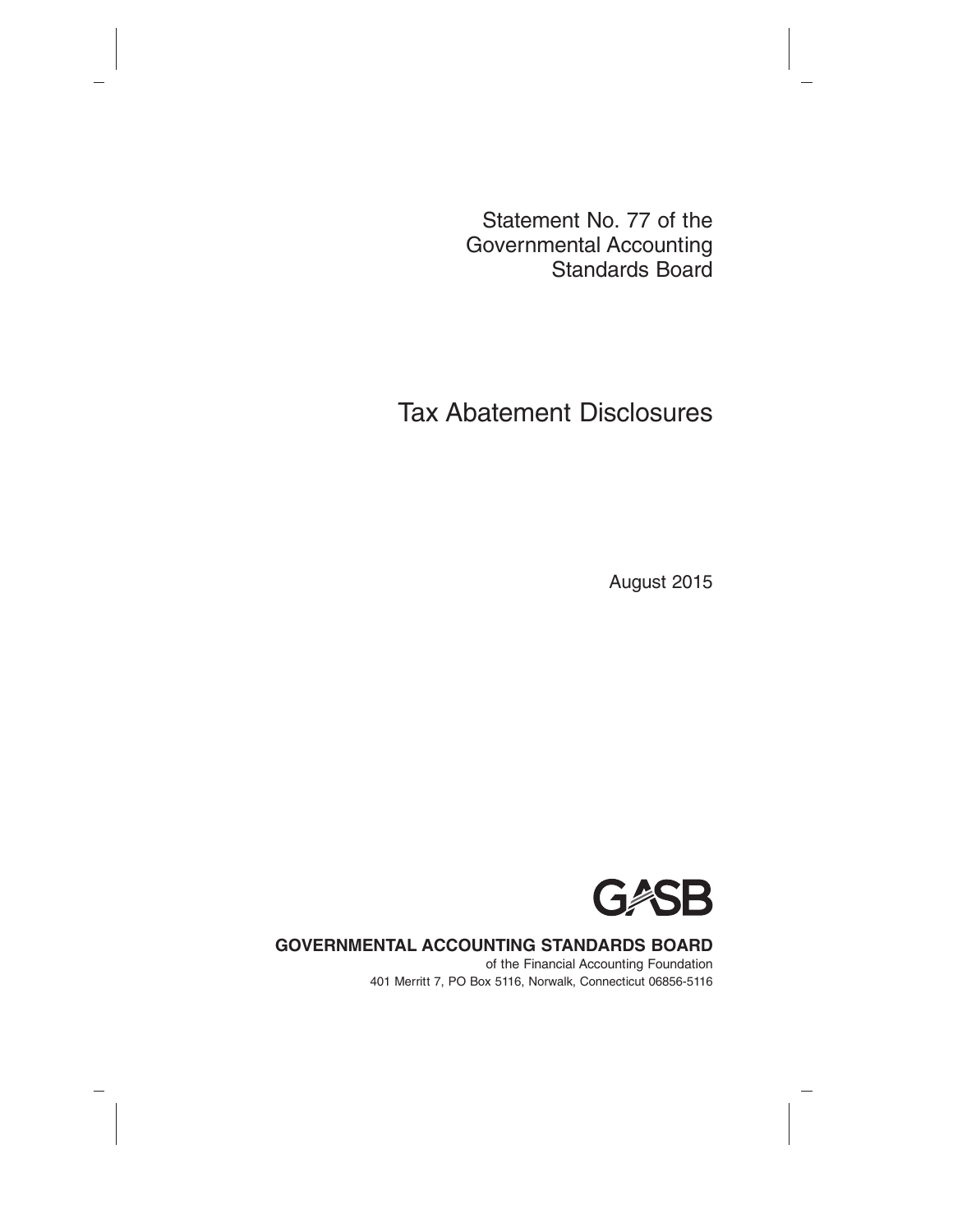Statement No. 77 of the Governmental Accounting Standards Board

# Tax Abatement Disclosures

August 2015



#### **GOVERNMENTAL ACCOUNTING STANDARDS BOARD**

of the Financial Accounting Foundation 401 Merritt 7, PO Box 5116, Norwalk, Connecticut 06856-5116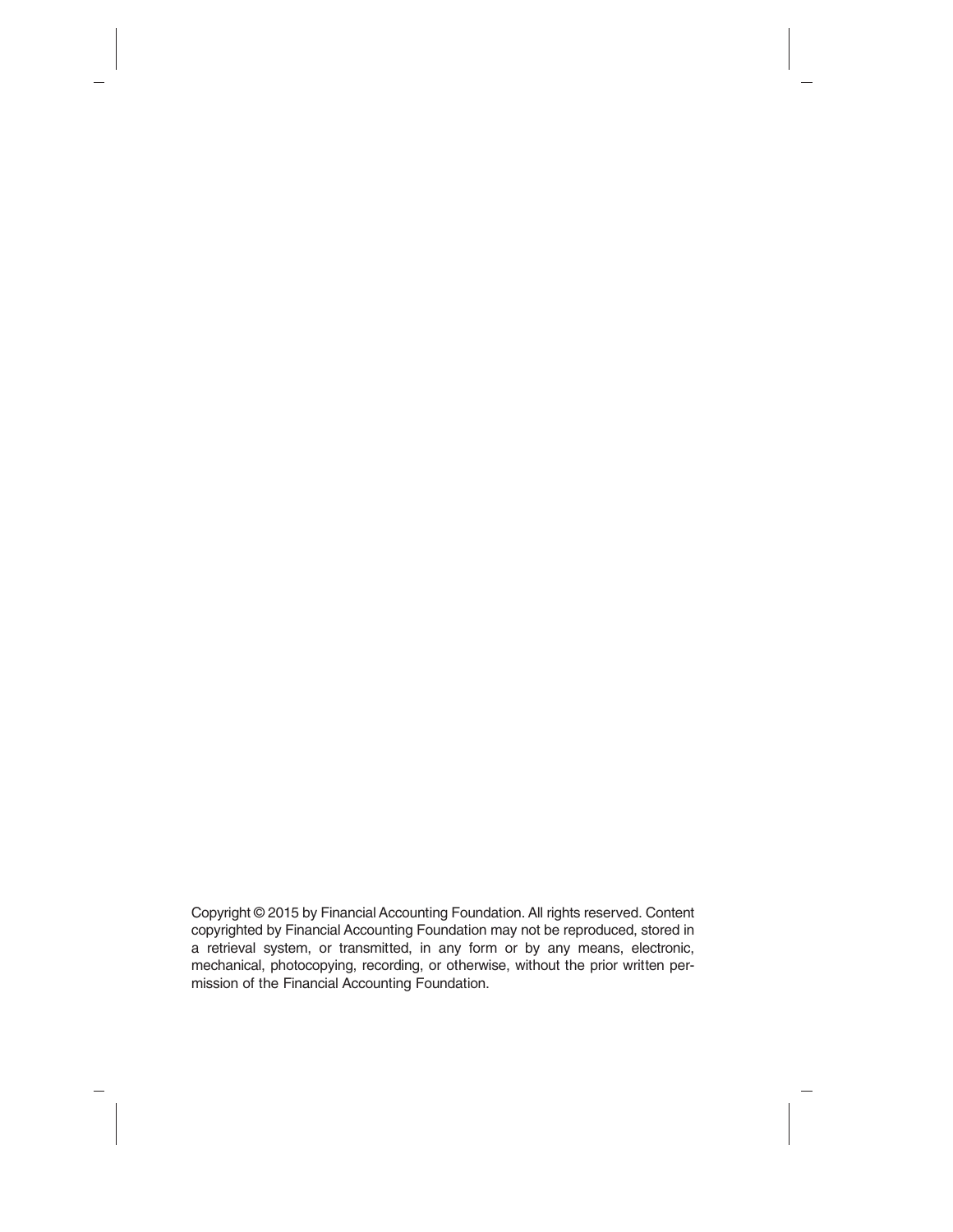Copyright © 2015 by Financial Accounting Foundation. All rights reserved. Content copyrighted by Financial Accounting Foundation may not be reproduced, stored in a retrieval system, or transmitted, in any form or by any means, electronic, mechanical, photocopying, recording, or otherwise, without the prior written permission of the Financial Accounting Foundation.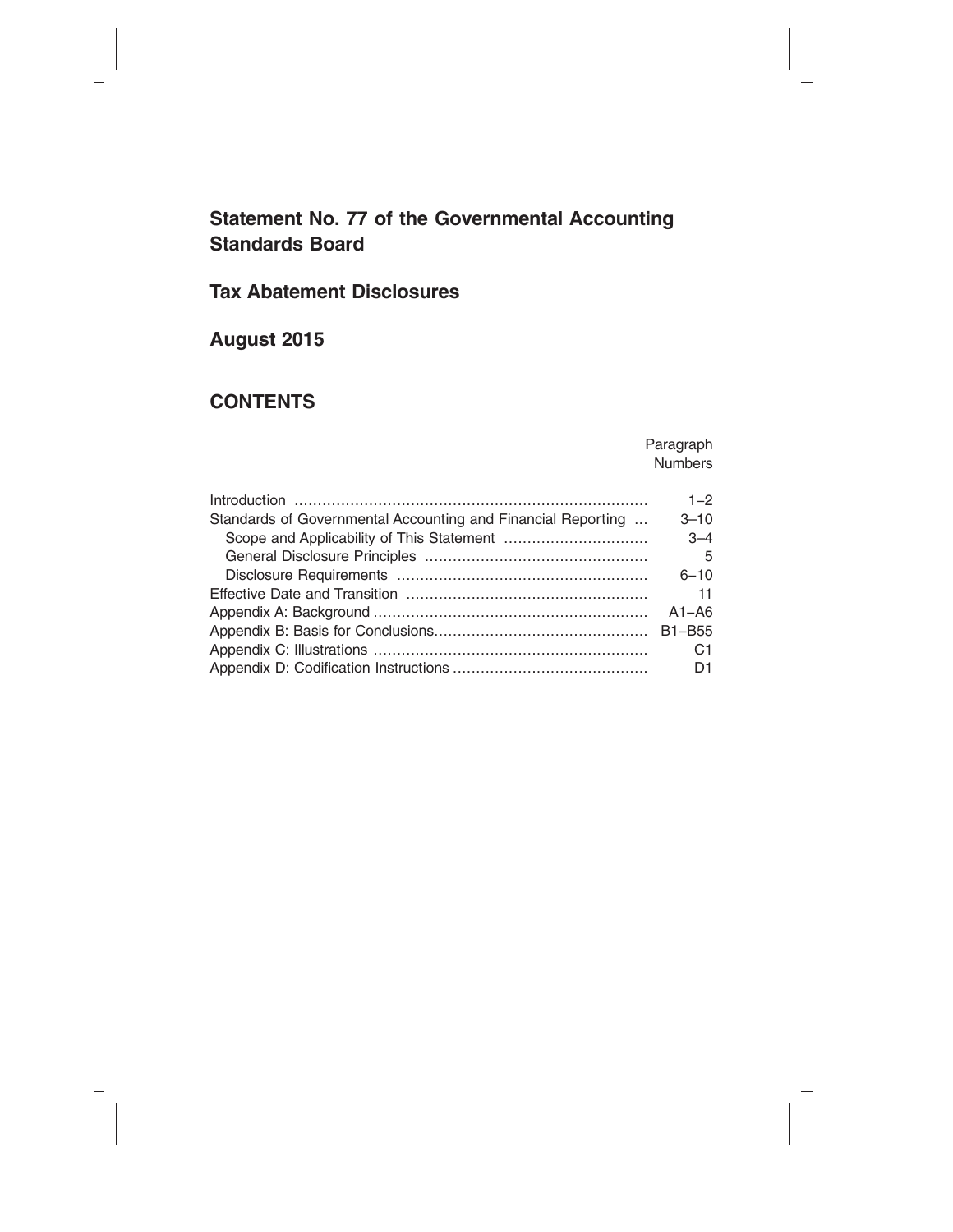# **Statement No. 77 of the Governmental Accounting Standards Board**

# **Tax Abatement Disclosures**

# **August 2015**

# **CONTENTS**

Paragraph Numbers

|                                                              | $1 - 2$        |
|--------------------------------------------------------------|----------------|
| Standards of Governmental Accounting and Financial Reporting | $3 - 10$       |
|                                                              | $3 - 4$        |
|                                                              | - 5            |
|                                                              | $6 - 10$       |
|                                                              | 11             |
|                                                              | $A1 - A6$      |
|                                                              |                |
|                                                              | C <sub>1</sub> |
|                                                              | D1             |
|                                                              |                |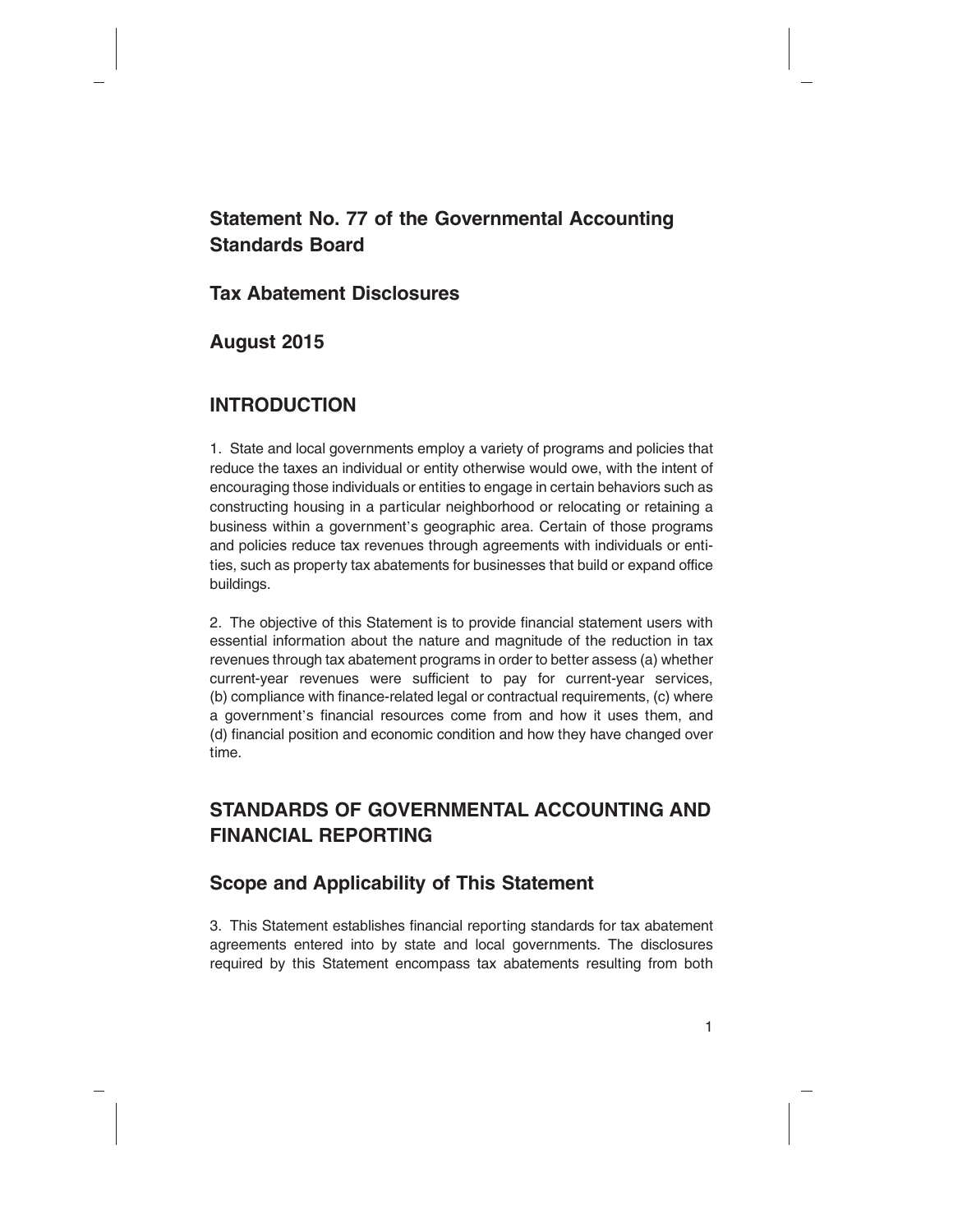# **Statement No. 77 of the Governmental Accounting Standards Board**

#### **Tax Abatement Disclosures**

# **August 2015**

# **INTRODUCTION**

1. State and local governments employ a variety of programs and policies that reduce the taxes an individual or entity otherwise would owe, with the intent of encouraging those individuals or entities to engage in certain behaviors such as constructing housing in a particular neighborhood or relocating or retaining a business within a government's geographic area. Certain of those programs and policies reduce tax revenues through agreements with individuals or entities, such as property tax abatements for businesses that build or expand office buildings.

2. The objective of this Statement is to provide financial statement users with essential information about the nature and magnitude of the reduction in tax revenues through tax abatement programs in order to better assess (a) whether current-year revenues were sufficient to pay for current-year services, (b) compliance with finance-related legal or contractual requirements, (c) where a government's financial resources come from and how it uses them, and (d) financial position and economic condition and how they have changed over time.

# **STANDARDS OF GOVERNMENTAL ACCOUNTING AND FINANCIAL REPORTING**

# **Scope and Applicability of This Statement**

3. This Statement establishes financial reporting standards for tax abatement agreements entered into by state and local governments. The disclosures required by this Statement encompass tax abatements resulting from both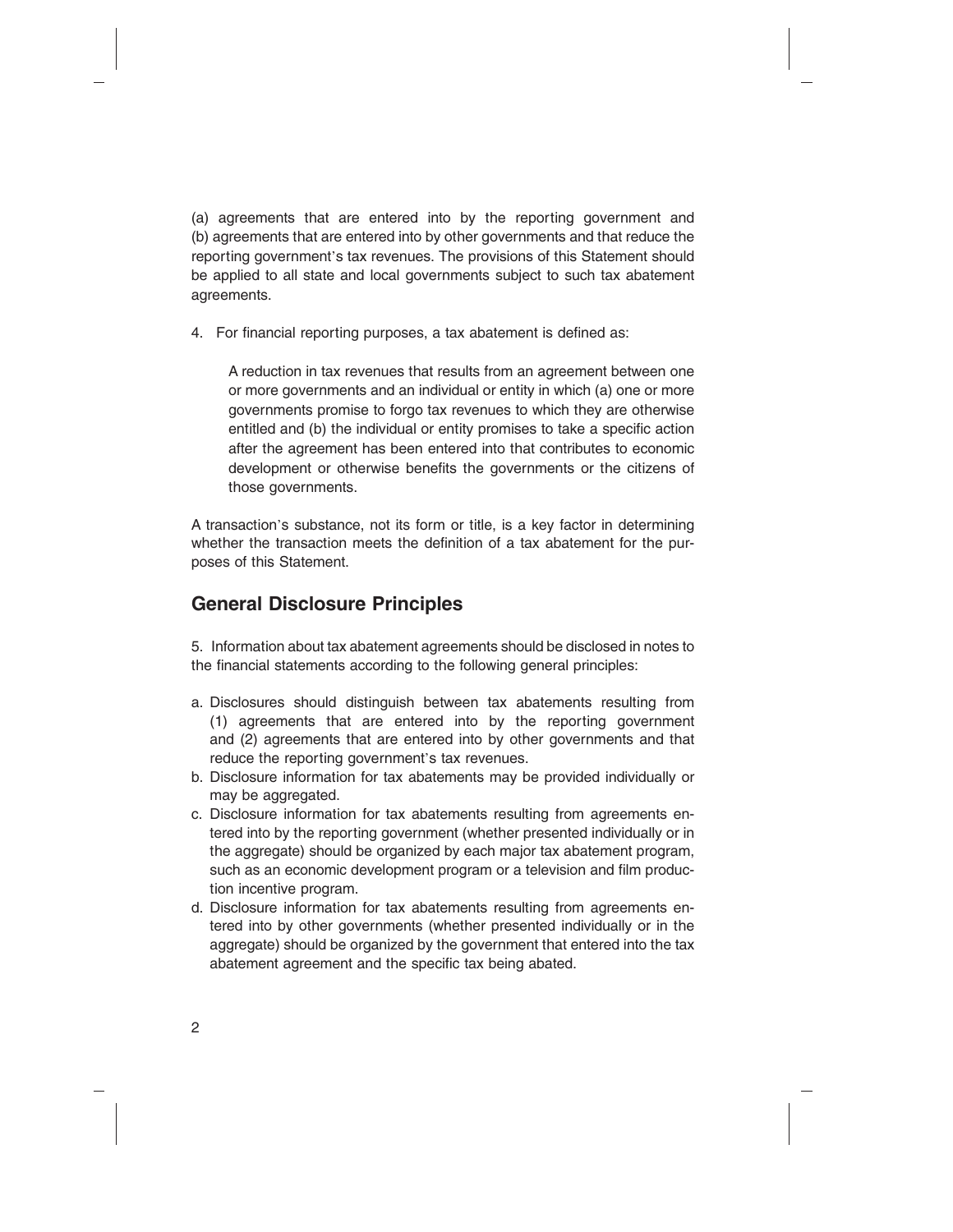(a) agreements that are entered into by the reporting government and (b) agreements that are entered into by other governments and that reduce the reporting government's tax revenues. The provisions of this Statement should be applied to all state and local governments subject to such tax abatement agreements.

4. For financial reporting purposes, a tax abatement is defined as:

A reduction in tax revenues that results from an agreement between one or more governments and an individual or entity in which (a) one or more governments promise to forgo tax revenues to which they are otherwise entitled and (b) the individual or entity promises to take a specific action after the agreement has been entered into that contributes to economic development or otherwise benefits the governments or the citizens of those governments.

A transaction's substance, not its form or title, is a key factor in determining whether the transaction meets the definition of a tax abatement for the purposes of this Statement.

# **General Disclosure Principles**

5. Information about tax abatement agreements should be disclosed in notes to the financial statements according to the following general principles:

- a. Disclosures should distinguish between tax abatements resulting from (1) agreements that are entered into by the reporting government and (2) agreements that are entered into by other governments and that reduce the reporting government's tax revenues.
- b. Disclosure information for tax abatements may be provided individually or may be aggregated.
- c. Disclosure information for tax abatements resulting from agreements entered into by the reporting government (whether presented individually or in the aggregate) should be organized by each major tax abatement program, such as an economic development program or a television and film production incentive program.
- d. Disclosure information for tax abatements resulting from agreements entered into by other governments (whether presented individually or in the aggregate) should be organized by the government that entered into the tax abatement agreement and the specific tax being abated.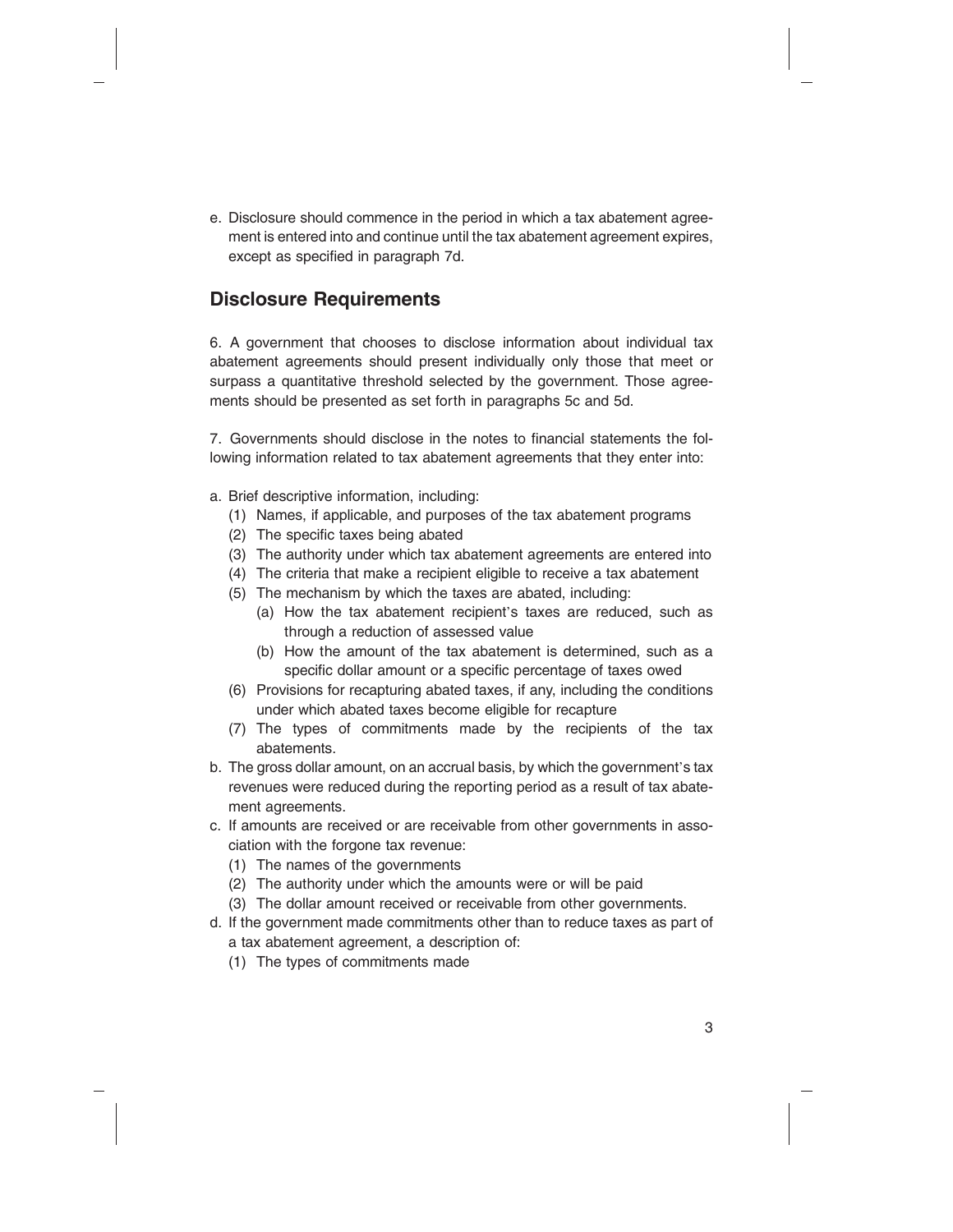e. Disclosure should commence in the period in which a tax abatement agreement is entered into and continue until the tax abatement agreement expires, except as specified in paragraph 7d.

# **Disclosure Requirements**

6. A government that chooses to disclose information about individual tax abatement agreements should present individually only those that meet or surpass a quantitative threshold selected by the government. Those agreements should be presented as set forth in paragraphs 5c and 5d.

7. Governments should disclose in the notes to financial statements the following information related to tax abatement agreements that they enter into:

- a. Brief descriptive information, including:
	- (1) Names, if applicable, and purposes of the tax abatement programs
	- (2) The specific taxes being abated
	- (3) The authority under which tax abatement agreements are entered into
	- (4) The criteria that make a recipient eligible to receive a tax abatement
	- (5) The mechanism by which the taxes are abated, including:
		- (a) How the tax abatement recipient's taxes are reduced, such as through a reduction of assessed value
		- (b) How the amount of the tax abatement is determined, such as a specific dollar amount or a specific percentage of taxes owed
	- (6) Provisions for recapturing abated taxes, if any, including the conditions under which abated taxes become eligible for recapture
	- (7) The types of commitments made by the recipients of the tax abatements.
- b. The gross dollar amount, on an accrual basis, by which the government's tax revenues were reduced during the reporting period as a result of tax abatement agreements.
- c. If amounts are received or are receivable from other governments in association with the forgone tax revenue:
	- (1) The names of the governments
	- (2) The authority under which the amounts were or will be paid
	- (3) The dollar amount received or receivable from other governments.
- d. If the government made commitments other than to reduce taxes as part of a tax abatement agreement, a description of:
	- (1) The types of commitments made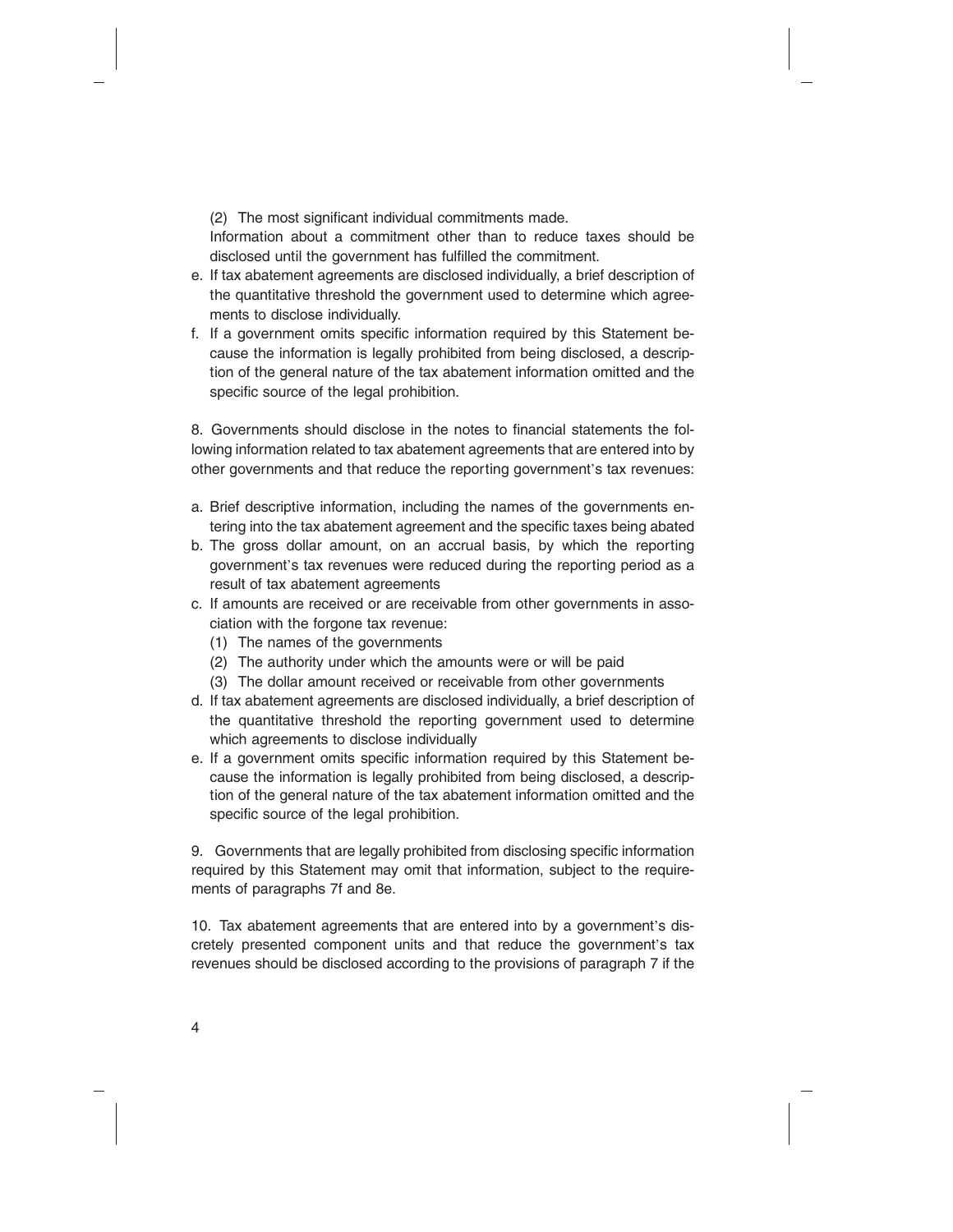(2) The most significant individual commitments made.

Information about a commitment other than to reduce taxes should be disclosed until the government has fulfilled the commitment.

- e. If tax abatement agreements are disclosed individually, a brief description of the quantitative threshold the government used to determine which agreements to disclose individually.
- f. If a government omits specific information required by this Statement because the information is legally prohibited from being disclosed, a description of the general nature of the tax abatement information omitted and the specific source of the legal prohibition.

8. Governments should disclose in the notes to financial statements the following information related to tax abatement agreements that are entered into by other governments and that reduce the reporting government's tax revenues:

- a. Brief descriptive information, including the names of the governments entering into the tax abatement agreement and the specific taxes being abated
- b. The gross dollar amount, on an accrual basis, by which the reporting government's tax revenues were reduced during the reporting period as a result of tax abatement agreements
- c. If amounts are received or are receivable from other governments in association with the forgone tax revenue:
	- (1) The names of the governments
	- (2) The authority under which the amounts were or will be paid
	- (3) The dollar amount received or receivable from other governments
- d. If tax abatement agreements are disclosed individually, a brief description of the quantitative threshold the reporting government used to determine which agreements to disclose individually
- e. If a government omits specific information required by this Statement because the information is legally prohibited from being disclosed, a description of the general nature of the tax abatement information omitted and the specific source of the legal prohibition.

9. Governments that are legally prohibited from disclosing specific information required by this Statement may omit that information, subject to the requirements of paragraphs 7f and 8e.

10. Tax abatement agreements that are entered into by a government's discretely presented component units and that reduce the government's tax revenues should be disclosed according to the provisions of paragraph 7 if the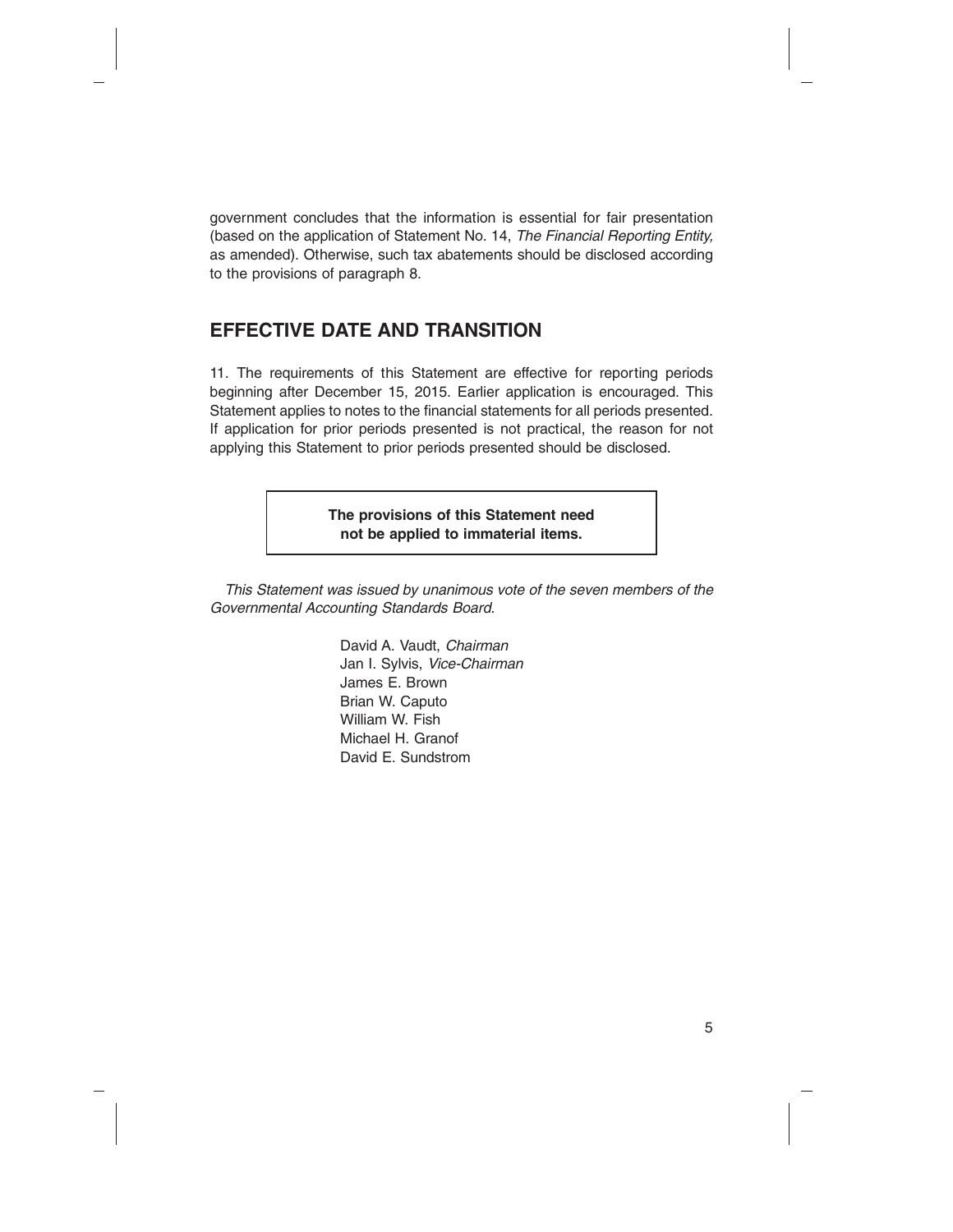government concludes that the information is essential for fair presentation (based on the application of Statement No. 14, *The Financial Reporting Entity,* as amended). Otherwise, such tax abatements should be disclosed according to the provisions of paragraph 8.

# **EFFECTIVE DATE AND TRANSITION**

11. The requirements of this Statement are effective for reporting periods beginning after December 15, 2015. Earlier application is encouraged. This Statement applies to notes to the financial statements for all periods presented. If application for prior periods presented is not practical, the reason for not applying this Statement to prior periods presented should be disclosed.

> **The provisions of this Statement need not be applied to immaterial items.**

*This Statement was issued by unanimous vote of the seven members of the Governmental Accounting Standards Board.*

> David A. Vaudt, *Chairman* Jan I. Sylvis, *Vice-Chairman* James E. Brown Brian W. Caputo William W. Fish Michael H. Granof David E. Sundstrom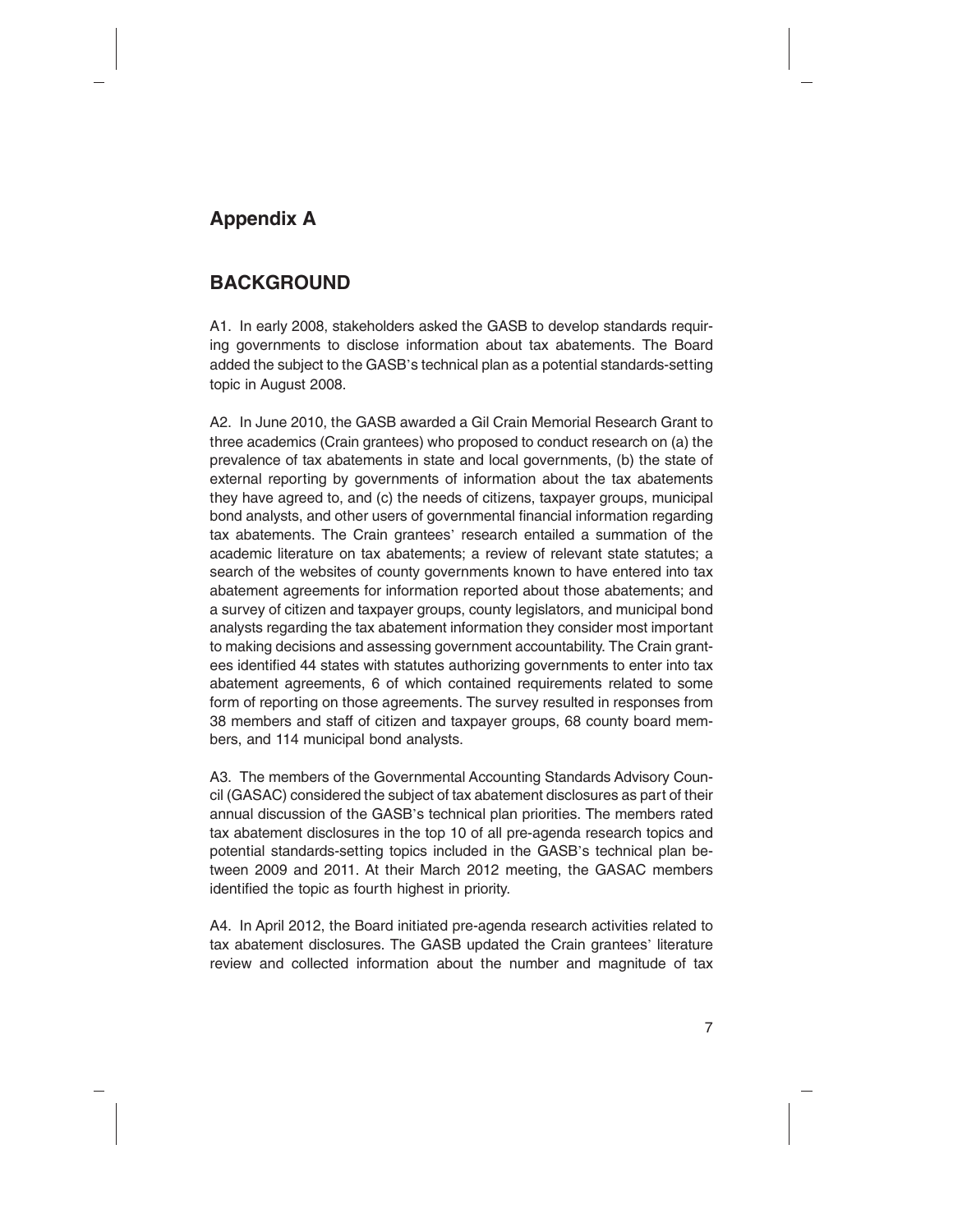# **Appendix A**

# **BACKGROUND**

A1. In early 2008, stakeholders asked the GASB to develop standards requiring governments to disclose information about tax abatements. The Board added the subject to the GASB's technical plan as a potential standards-setting topic in August 2008.

A2. In June 2010, the GASB awarded a Gil Crain Memorial Research Grant to three academics (Crain grantees) who proposed to conduct research on (a) the prevalence of tax abatements in state and local governments, (b) the state of external reporting by governments of information about the tax abatements they have agreed to, and (c) the needs of citizens, taxpayer groups, municipal bond analysts, and other users of governmental financial information regarding tax abatements. The Crain grantees' research entailed a summation of the academic literature on tax abatements; a review of relevant state statutes; a search of the websites of county governments known to have entered into tax abatement agreements for information reported about those abatements; and a survey of citizen and taxpayer groups, county legislators, and municipal bond analysts regarding the tax abatement information they consider most important to making decisions and assessing government accountability. The Crain grantees identified 44 states with statutes authorizing governments to enter into tax abatement agreements, 6 of which contained requirements related to some form of reporting on those agreements. The survey resulted in responses from 38 members and staff of citizen and taxpayer groups, 68 county board members, and 114 municipal bond analysts.

A3. The members of the Governmental Accounting Standards Advisory Council (GASAC) considered the subject of tax abatement disclosures as part of their annual discussion of the GASB's technical plan priorities. The members rated tax abatement disclosures in the top 10 of all pre-agenda research topics and potential standards-setting topics included in the GASB's technical plan between 2009 and 2011. At their March 2012 meeting, the GASAC members identified the topic as fourth highest in priority.

A4. In April 2012, the Board initiated pre-agenda research activities related to tax abatement disclosures. The GASB updated the Crain grantees' literature review and collected information about the number and magnitude of tax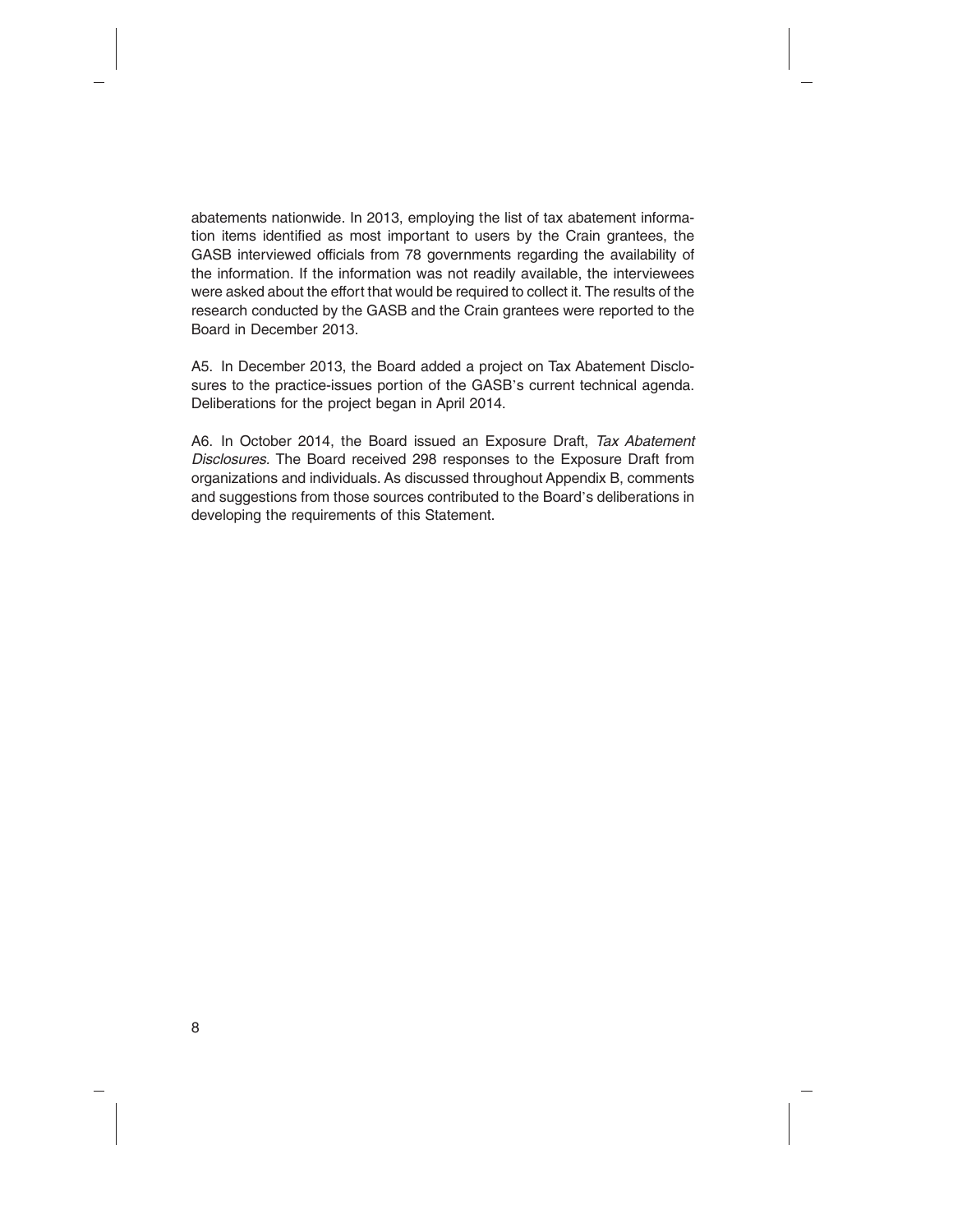abatements nationwide. In 2013, employing the list of tax abatement information items identified as most important to users by the Crain grantees, the GASB interviewed officials from 78 governments regarding the availability of the information. If the information was not readily available, the interviewees were asked about the effort that would be required to collect it. The results of the research conducted by the GASB and the Crain grantees were reported to the Board in December 2013.

A5. In December 2013, the Board added a project on Tax Abatement Disclosures to the practice-issues portion of the GASB's current technical agenda. Deliberations for the project began in April 2014.

A6. In October 2014, the Board issued an Exposure Draft, *Tax Abatement Disclosures.* The Board received 298 responses to the Exposure Draft from organizations and individuals. As discussed throughout Appendix B, comments and suggestions from those sources contributed to the Board's deliberations in developing the requirements of this Statement.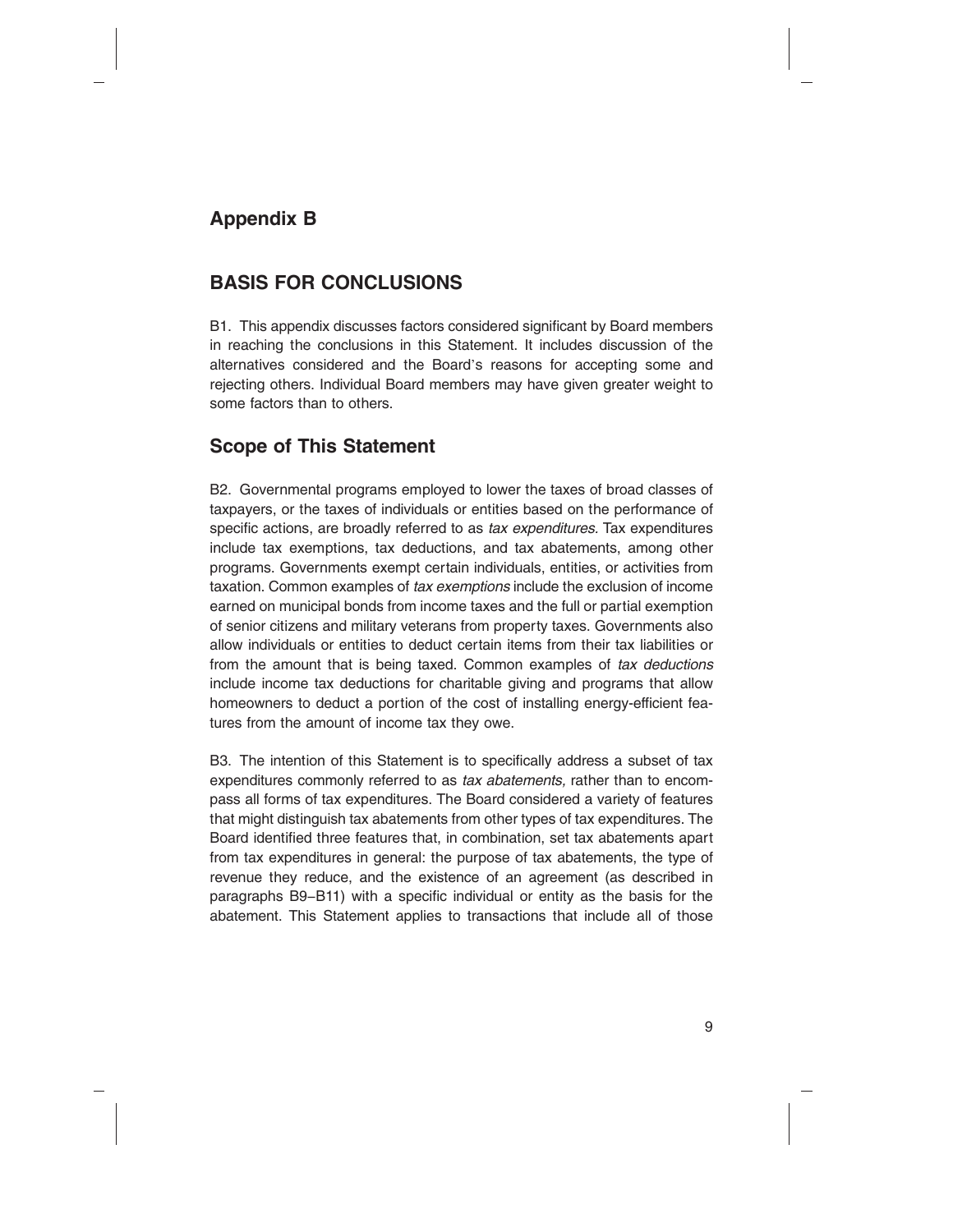# **Appendix B**

# **BASIS FOR CONCLUSIONS**

B1. This appendix discusses factors considered significant by Board members in reaching the conclusions in this Statement. It includes discussion of the alternatives considered and the Board's reasons for accepting some and rejecting others. Individual Board members may have given greater weight to some factors than to others.

# **Scope of This Statement**

B2. Governmental programs employed to lower the taxes of broad classes of taxpayers, or the taxes of individuals or entities based on the performance of specific actions, are broadly referred to as *tax expenditures.* Tax expenditures include tax exemptions, tax deductions, and tax abatements, among other programs. Governments exempt certain individuals, entities, or activities from taxation. Common examples of *tax exemptions* include the exclusion of income earned on municipal bonds from income taxes and the full or partial exemption of senior citizens and military veterans from property taxes. Governments also allow individuals or entities to deduct certain items from their tax liabilities or from the amount that is being taxed. Common examples of *tax deductions* include income tax deductions for charitable giving and programs that allow homeowners to deduct a portion of the cost of installing energy-efficient features from the amount of income tax they owe.

B3. The intention of this Statement is to specifically address a subset of tax expenditures commonly referred to as *tax abatements,* rather than to encompass all forms of tax expenditures. The Board considered a variety of features that might distinguish tax abatements from other types of tax expenditures. The Board identified three features that, in combination, set tax abatements apart from tax expenditures in general: the purpose of tax abatements, the type of revenue they reduce, and the existence of an agreement (as described in paragraphs B9−B11) with a specific individual or entity as the basis for the abatement. This Statement applies to transactions that include all of those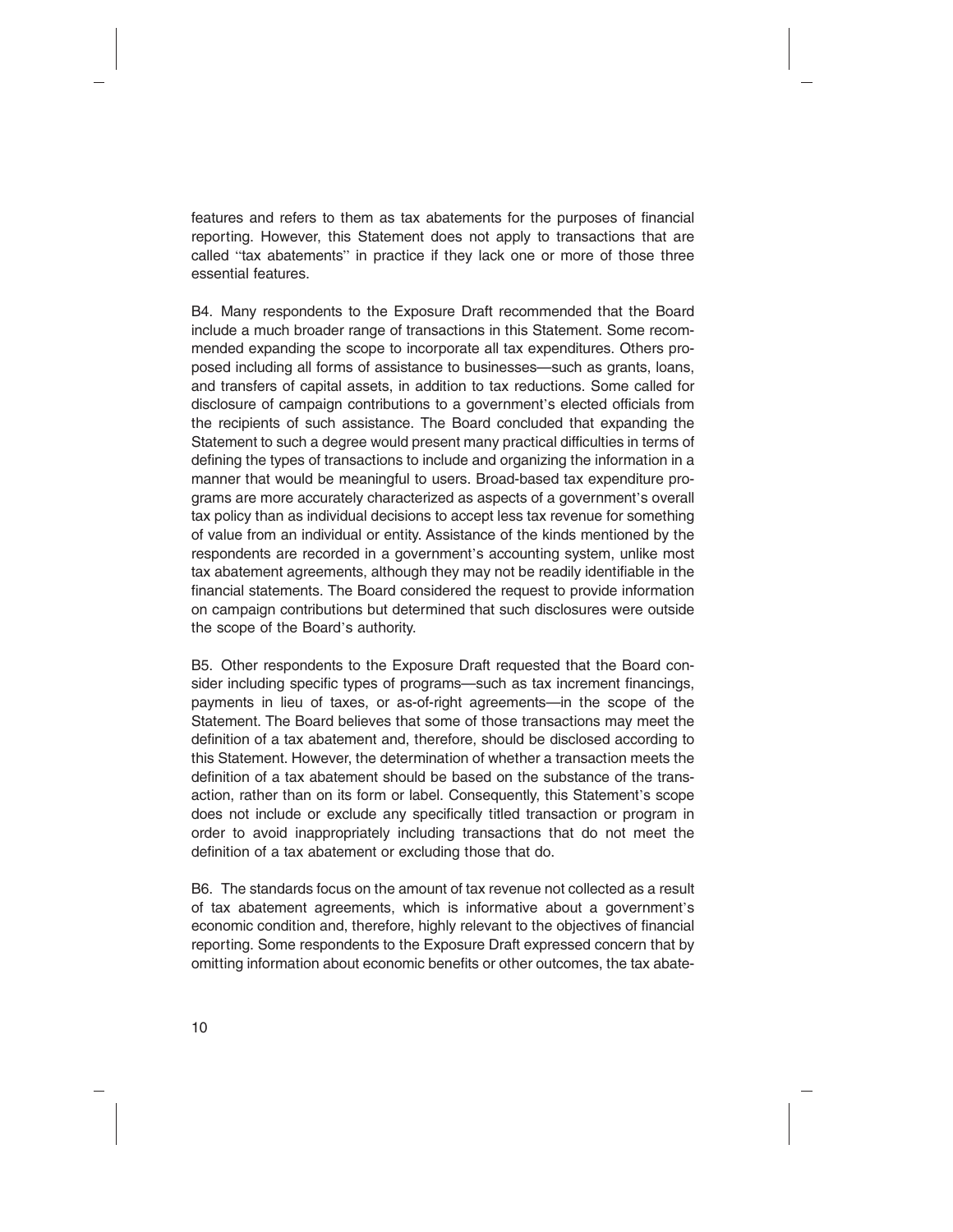features and refers to them as tax abatements for the purposes of financial reporting. However, this Statement does not apply to transactions that are called "tax abatements" in practice if they lack one or more of those three essential features.

B4. Many respondents to the Exposure Draft recommended that the Board include a much broader range of transactions in this Statement. Some recommended expanding the scope to incorporate all tax expenditures. Others proposed including all forms of assistance to businesses—such as grants, loans, and transfers of capital assets, in addition to tax reductions. Some called for disclosure of campaign contributions to a government's elected officials from the recipients of such assistance. The Board concluded that expanding the Statement to such a degree would present many practical difficulties in terms of defining the types of transactions to include and organizing the information in a manner that would be meaningful to users. Broad-based tax expenditure programs are more accurately characterized as aspects of a government's overall tax policy than as individual decisions to accept less tax revenue for something of value from an individual or entity. Assistance of the kinds mentioned by the respondents are recorded in a government's accounting system, unlike most tax abatement agreements, although they may not be readily identifiable in the financial statements. The Board considered the request to provide information on campaign contributions but determined that such disclosures were outside the scope of the Board's authority.

B5. Other respondents to the Exposure Draft requested that the Board consider including specific types of programs—such as tax increment financings, payments in lieu of taxes, or as-of-right agreements—in the scope of the Statement. The Board believes that some of those transactions may meet the definition of a tax abatement and, therefore, should be disclosed according to this Statement. However, the determination of whether a transaction meets the definition of a tax abatement should be based on the substance of the transaction, rather than on its form or label. Consequently, this Statement's scope does not include or exclude any specifically titled transaction or program in order to avoid inappropriately including transactions that do not meet the definition of a tax abatement or excluding those that do.

B6. The standards focus on the amount of tax revenue not collected as a result of tax abatement agreements, which is informative about a government's economic condition and, therefore, highly relevant to the objectives of financial reporting. Some respondents to the Exposure Draft expressed concern that by omitting information about economic benefits or other outcomes, the tax abate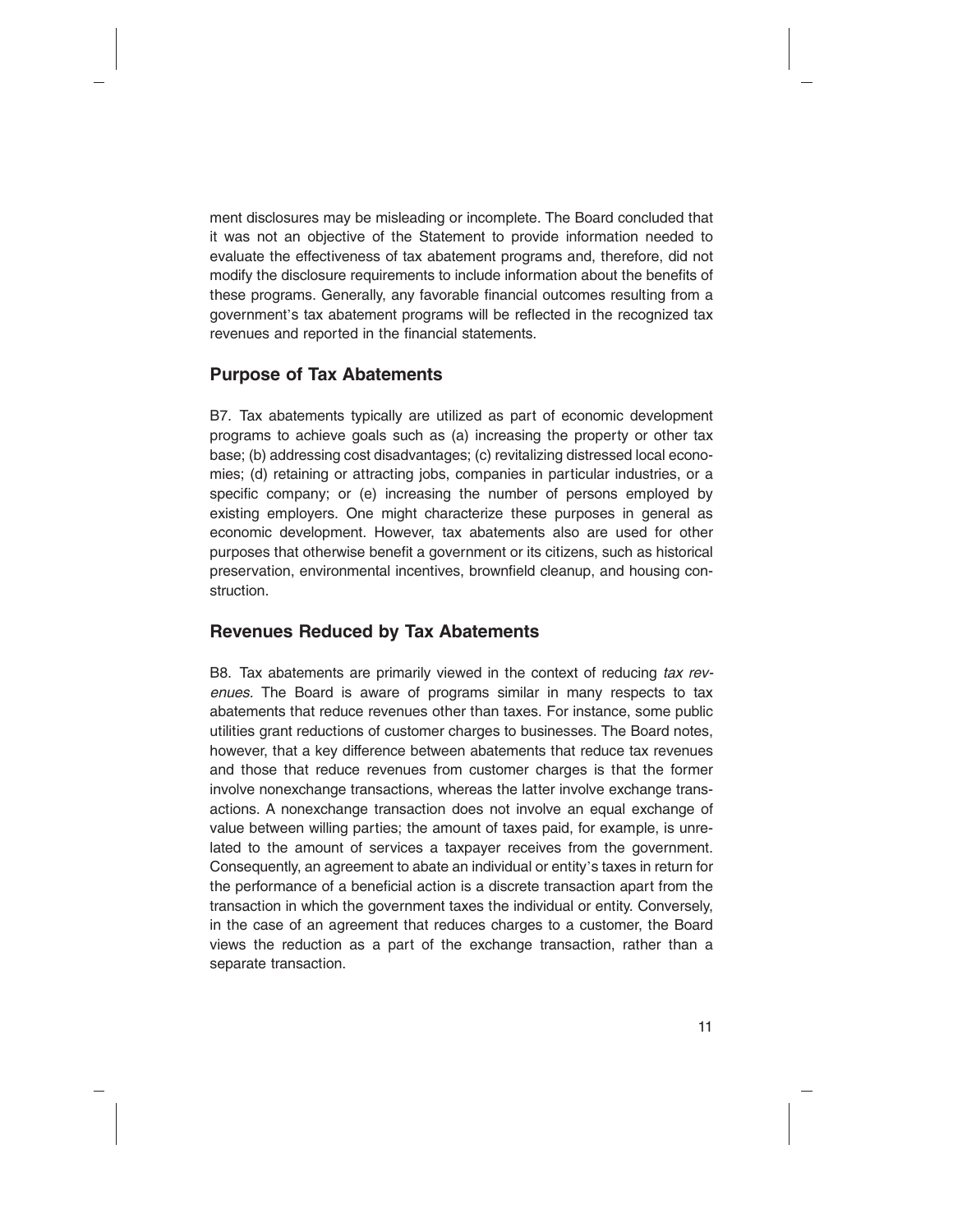ment disclosures may be misleading or incomplete. The Board concluded that it was not an objective of the Statement to provide information needed to evaluate the effectiveness of tax abatement programs and, therefore, did not modify the disclosure requirements to include information about the benefits of these programs. Generally, any favorable financial outcomes resulting from a government's tax abatement programs will be reflected in the recognized tax revenues and reported in the financial statements.

#### **Purpose of Tax Abatements**

B7. Tax abatements typically are utilized as part of economic development programs to achieve goals such as (a) increasing the property or other tax base; (b) addressing cost disadvantages; (c) revitalizing distressed local economies; (d) retaining or attracting jobs, companies in particular industries, or a specific company; or (e) increasing the number of persons employed by existing employers. One might characterize these purposes in general as economic development. However, tax abatements also are used for other purposes that otherwise benefit a government or its citizens, such as historical preservation, environmental incentives, brownfield cleanup, and housing construction.

#### **Revenues Reduced by Tax Abatements**

B8. Tax abatements are primarily viewed in the context of reducing *tax revenues.* The Board is aware of programs similar in many respects to tax abatements that reduce revenues other than taxes. For instance, some public utilities grant reductions of customer charges to businesses. The Board notes, however, that a key difference between abatements that reduce tax revenues and those that reduce revenues from customer charges is that the former involve nonexchange transactions, whereas the latter involve exchange transactions. A nonexchange transaction does not involve an equal exchange of value between willing parties; the amount of taxes paid, for example, is unrelated to the amount of services a taxpayer receives from the government. Consequently, an agreement to abate an individual or entity's taxes in return for the performance of a beneficial action is a discrete transaction apart from the transaction in which the government taxes the individual or entity. Conversely, in the case of an agreement that reduces charges to a customer, the Board views the reduction as a part of the exchange transaction, rather than a separate transaction.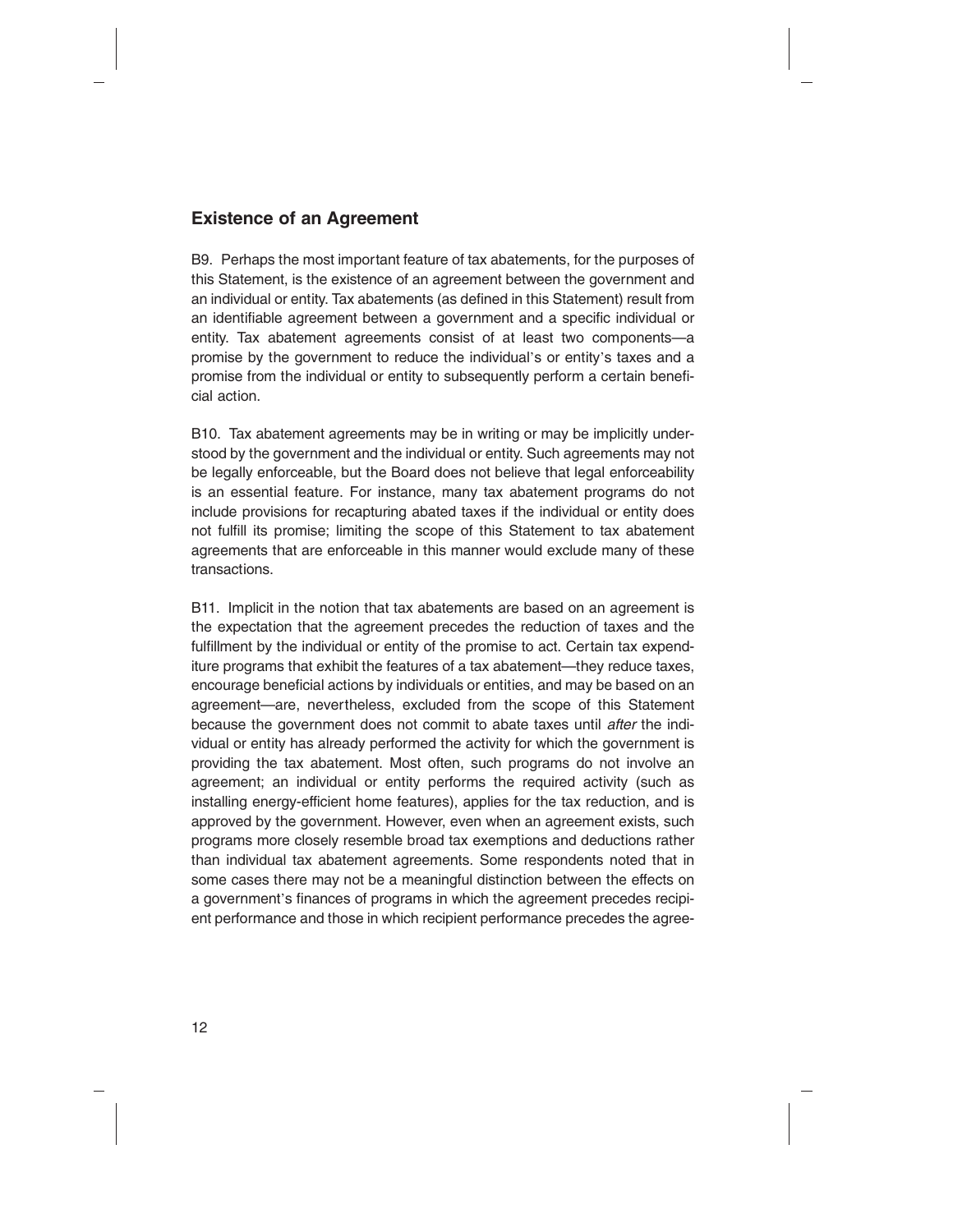### **Existence of an Agreement**

B9. Perhaps the most important feature of tax abatements, for the purposes of this Statement, is the existence of an agreement between the government and an individual or entity. Tax abatements (as defined in this Statement) result from an identifiable agreement between a government and a specific individual or entity. Tax abatement agreements consist of at least two components—a promise by the government to reduce the individual's or entity's taxes and a promise from the individual or entity to subsequently perform a certain beneficial action.

B10. Tax abatement agreements may be in writing or may be implicitly understood by the government and the individual or entity. Such agreements may not be legally enforceable, but the Board does not believe that legal enforceability is an essential feature. For instance, many tax abatement programs do not include provisions for recapturing abated taxes if the individual or entity does not fulfill its promise; limiting the scope of this Statement to tax abatement agreements that are enforceable in this manner would exclude many of these transactions.

B11. Implicit in the notion that tax abatements are based on an agreement is the expectation that the agreement precedes the reduction of taxes and the fulfillment by the individual or entity of the promise to act. Certain tax expenditure programs that exhibit the features of a tax abatement—they reduce taxes, encourage beneficial actions by individuals or entities, and may be based on an agreement—are, nevertheless, excluded from the scope of this Statement because the government does not commit to abate taxes until *after* the individual or entity has already performed the activity for which the government is providing the tax abatement. Most often, such programs do not involve an agreement; an individual or entity performs the required activity (such as installing energy-efficient home features), applies for the tax reduction, and is approved by the government. However, even when an agreement exists, such programs more closely resemble broad tax exemptions and deductions rather than individual tax abatement agreements. Some respondents noted that in some cases there may not be a meaningful distinction between the effects on a government's finances of programs in which the agreement precedes recipient performance and those in which recipient performance precedes the agree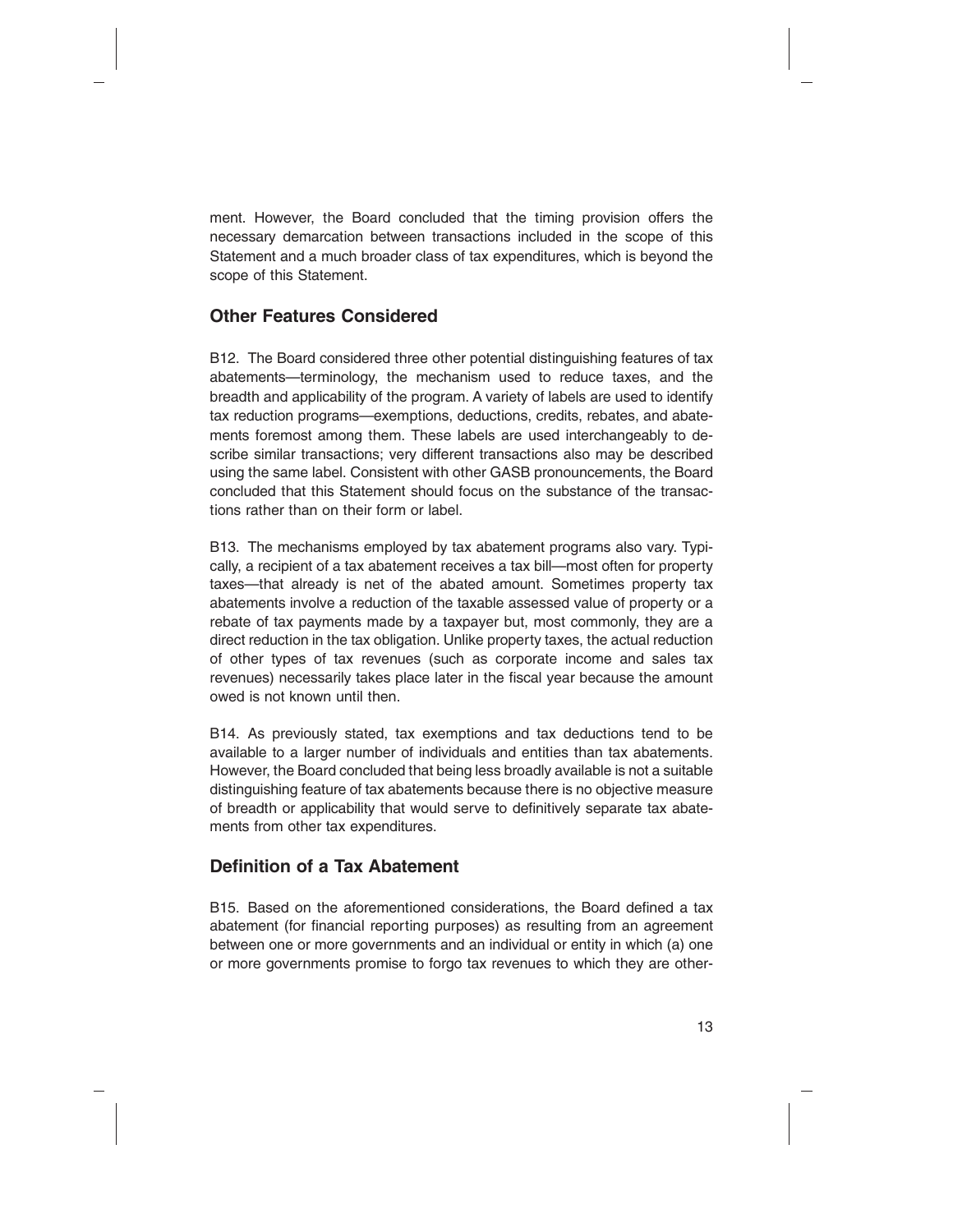ment. However, the Board concluded that the timing provision offers the necessary demarcation between transactions included in the scope of this Statement and a much broader class of tax expenditures, which is beyond the scope of this Statement.

#### **Other Features Considered**

B12. The Board considered three other potential distinguishing features of tax abatements—terminology, the mechanism used to reduce taxes, and the breadth and applicability of the program. A variety of labels are used to identify tax reduction programs—exemptions, deductions, credits, rebates, and abatements foremost among them. These labels are used interchangeably to describe similar transactions; very different transactions also may be described using the same label. Consistent with other GASB pronouncements, the Board concluded that this Statement should focus on the substance of the transactions rather than on their form or label.

B13. The mechanisms employed by tax abatement programs also vary. Typically, a recipient of a tax abatement receives a tax bill—most often for property taxes—that already is net of the abated amount. Sometimes property tax abatements involve a reduction of the taxable assessed value of property or a rebate of tax payments made by a taxpayer but, most commonly, they are a direct reduction in the tax obligation. Unlike property taxes, the actual reduction of other types of tax revenues (such as corporate income and sales tax revenues) necessarily takes place later in the fiscal year because the amount owed is not known until then.

B14. As previously stated, tax exemptions and tax deductions tend to be available to a larger number of individuals and entities than tax abatements. However, the Board concluded that being less broadly available is not a suitable distinguishing feature of tax abatements because there is no objective measure of breadth or applicability that would serve to definitively separate tax abatements from other tax expenditures.

### **Definition of a Tax Abatement**

B15. Based on the aforementioned considerations, the Board defined a tax abatement (for financial reporting purposes) as resulting from an agreement between one or more governments and an individual or entity in which (a) one or more governments promise to forgo tax revenues to which they are other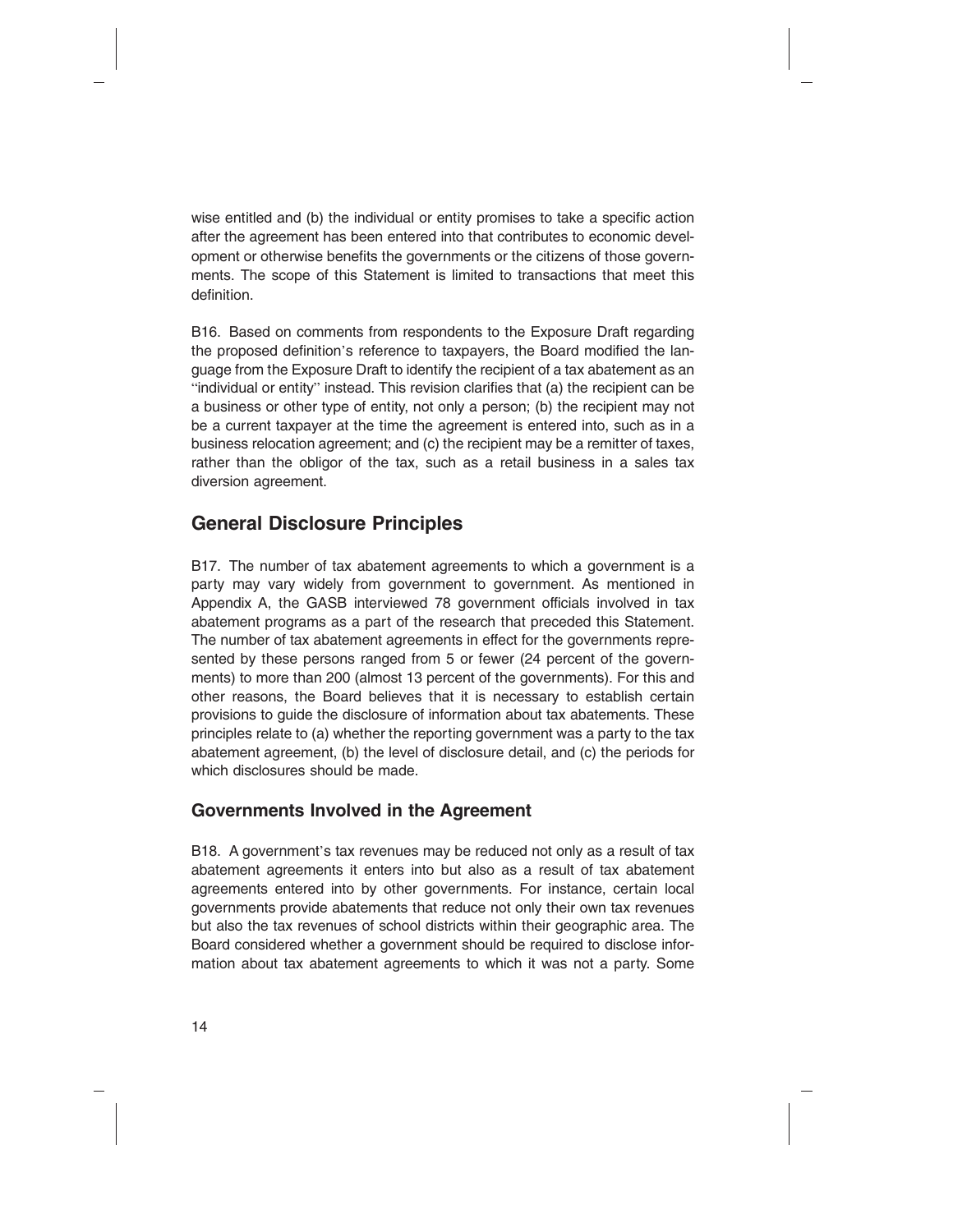wise entitled and (b) the individual or entity promises to take a specific action after the agreement has been entered into that contributes to economic development or otherwise benefits the governments or the citizens of those governments. The scope of this Statement is limited to transactions that meet this definition.

B16. Based on comments from respondents to the Exposure Draft regarding the proposed definition's reference to taxpayers, the Board modified the language from the Exposure Draft to identify the recipient of a tax abatement as an "individual or entity" instead. This revision clarifies that (a) the recipient can be a business or other type of entity, not only a person; (b) the recipient may not be a current taxpayer at the time the agreement is entered into, such as in a business relocation agreement; and (c) the recipient may be a remitter of taxes, rather than the obligor of the tax, such as a retail business in a sales tax diversion agreement.

# **General Disclosure Principles**

B17. The number of tax abatement agreements to which a government is a party may vary widely from government to government. As mentioned in Appendix A, the GASB interviewed 78 government officials involved in tax abatement programs as a part of the research that preceded this Statement. The number of tax abatement agreements in effect for the governments represented by these persons ranged from 5 or fewer (24 percent of the governments) to more than 200 (almost 13 percent of the governments). For this and other reasons, the Board believes that it is necessary to establish certain provisions to guide the disclosure of information about tax abatements. These principles relate to (a) whether the reporting government was a party to the tax abatement agreement, (b) the level of disclosure detail, and (c) the periods for which disclosures should be made.

### **Governments Involved in the Agreement**

B18. A government's tax revenues may be reduced not only as a result of tax abatement agreements it enters into but also as a result of tax abatement agreements entered into by other governments. For instance, certain local governments provide abatements that reduce not only their own tax revenues but also the tax revenues of school districts within their geographic area. The Board considered whether a government should be required to disclose information about tax abatement agreements to which it was not a party. Some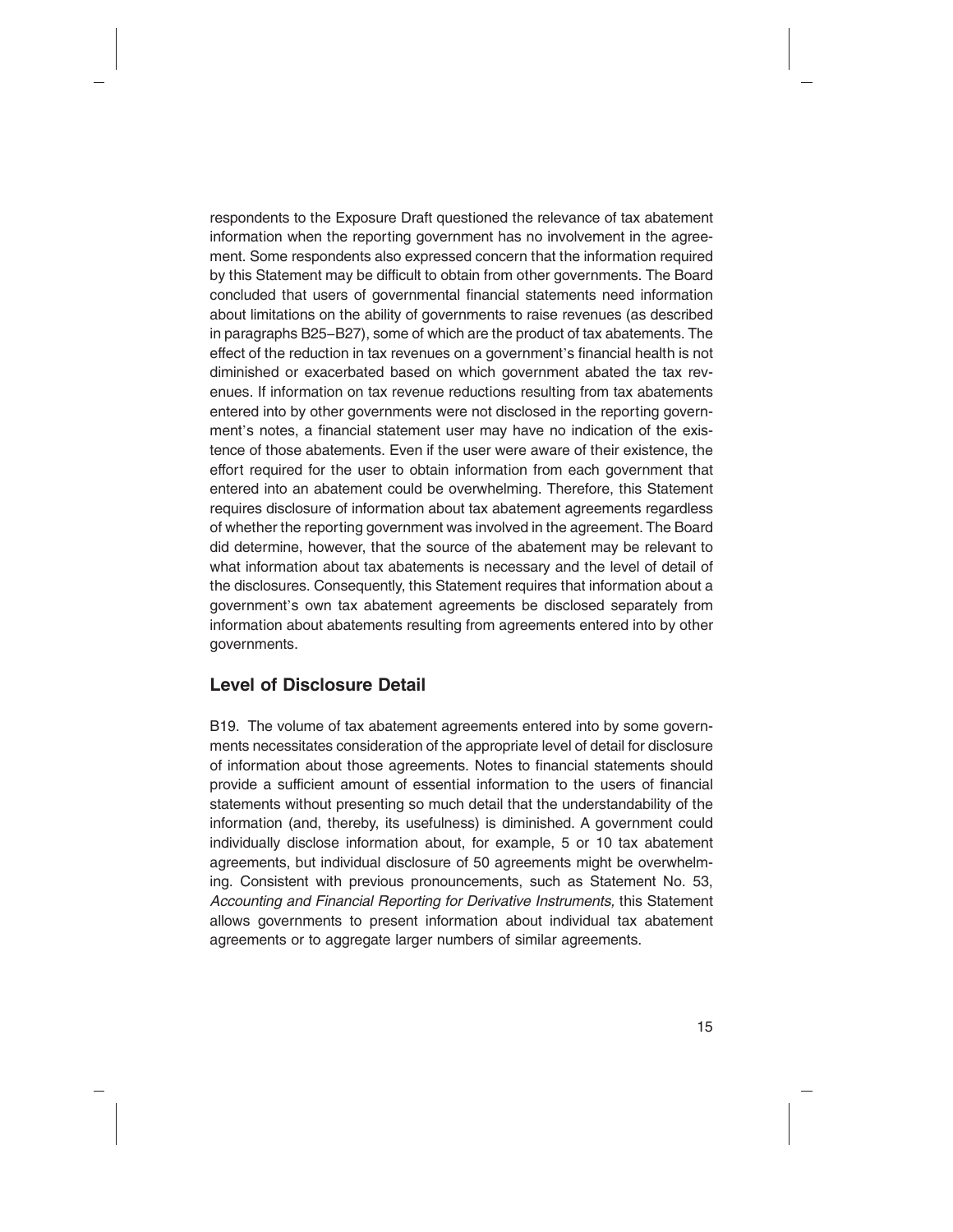respondents to the Exposure Draft questioned the relevance of tax abatement information when the reporting government has no involvement in the agreement. Some respondents also expressed concern that the information required by this Statement may be difficult to obtain from other governments. The Board concluded that users of governmental financial statements need information about limitations on the ability of governments to raise revenues (as described in paragraphs B25−B27), some of which are the product of tax abatements. The effect of the reduction in tax revenues on a government's financial health is not diminished or exacerbated based on which government abated the tax revenues. If information on tax revenue reductions resulting from tax abatements entered into by other governments were not disclosed in the reporting government's notes, a financial statement user may have no indication of the existence of those abatements. Even if the user were aware of their existence, the effort required for the user to obtain information from each government that entered into an abatement could be overwhelming. Therefore, this Statement requires disclosure of information about tax abatement agreements regardless of whether the reporting government was involved in the agreement. The Board did determine, however, that the source of the abatement may be relevant to what information about tax abatements is necessary and the level of detail of the disclosures. Consequently, this Statement requires that information about a government's own tax abatement agreements be disclosed separately from information about abatements resulting from agreements entered into by other governments.

### **Level of Disclosure Detail**

B19. The volume of tax abatement agreements entered into by some governments necessitates consideration of the appropriate level of detail for disclosure of information about those agreements. Notes to financial statements should provide a sufficient amount of essential information to the users of financial statements without presenting so much detail that the understandability of the information (and, thereby, its usefulness) is diminished. A government could individually disclose information about, for example, 5 or 10 tax abatement agreements, but individual disclosure of 50 agreements might be overwhelming. Consistent with previous pronouncements, such as Statement No. 53, *Accounting and Financial Reporting for Derivative Instruments,* this Statement allows governments to present information about individual tax abatement agreements or to aggregate larger numbers of similar agreements.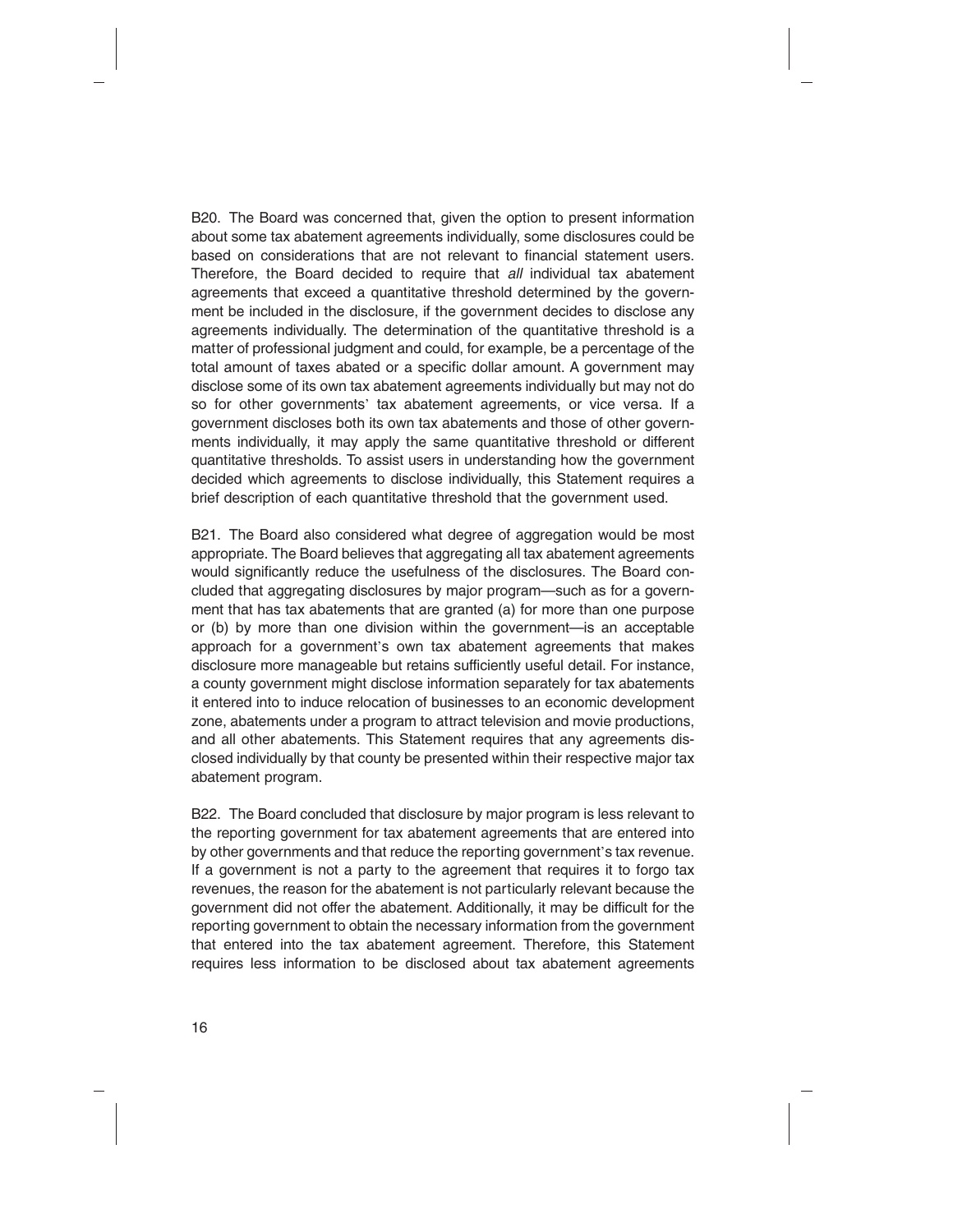B20. The Board was concerned that, given the option to present information about some tax abatement agreements individually, some disclosures could be based on considerations that are not relevant to financial statement users. Therefore, the Board decided to require that *all* individual tax abatement agreements that exceed a quantitative threshold determined by the government be included in the disclosure, if the government decides to disclose any agreements individually. The determination of the quantitative threshold is a matter of professional judgment and could, for example, be a percentage of the total amount of taxes abated or a specific dollar amount. A government may disclose some of its own tax abatement agreements individually but may not do so for other governments' tax abatement agreements, or vice versa. If a government discloses both its own tax abatements and those of other governments individually, it may apply the same quantitative threshold or different quantitative thresholds. To assist users in understanding how the government decided which agreements to disclose individually, this Statement requires a brief description of each quantitative threshold that the government used.

B21. The Board also considered what degree of aggregation would be most appropriate. The Board believes that aggregating all tax abatement agreements would significantly reduce the usefulness of the disclosures. The Board concluded that aggregating disclosures by major program—such as for a government that has tax abatements that are granted (a) for more than one purpose or (b) by more than one division within the government—is an acceptable approach for a government's own tax abatement agreements that makes disclosure more manageable but retains sufficiently useful detail. For instance, a county government might disclose information separately for tax abatements it entered into to induce relocation of businesses to an economic development zone, abatements under a program to attract television and movie productions, and all other abatements. This Statement requires that any agreements disclosed individually by that county be presented within their respective major tax abatement program.

B22. The Board concluded that disclosure by major program is less relevant to the reporting government for tax abatement agreements that are entered into by other governments and that reduce the reporting government's tax revenue. If a government is not a party to the agreement that requires it to forgo tax revenues, the reason for the abatement is not particularly relevant because the government did not offer the abatement. Additionally, it may be difficult for the reporting government to obtain the necessary information from the government that entered into the tax abatement agreement. Therefore, this Statement requires less information to be disclosed about tax abatement agreements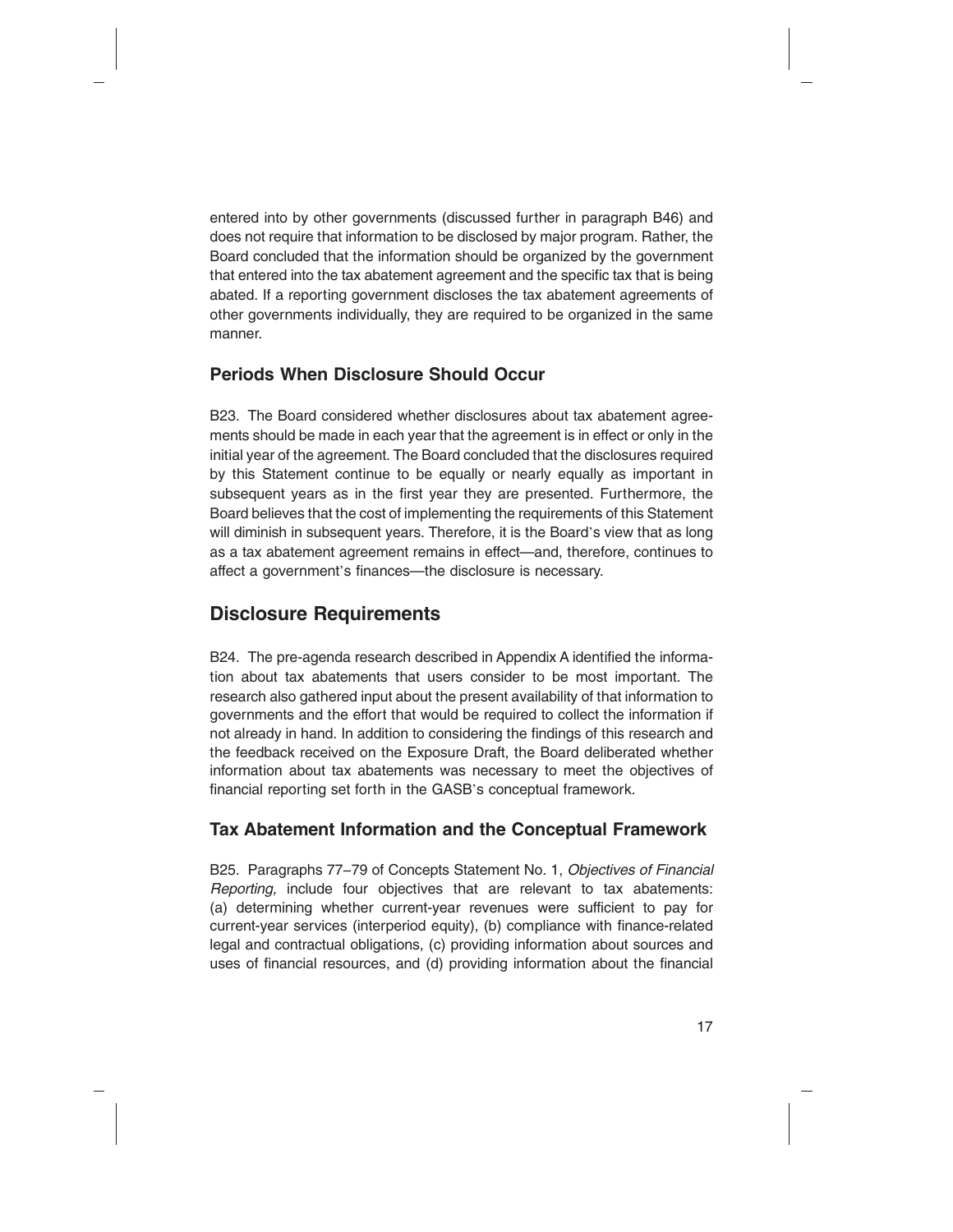entered into by other governments (discussed further in paragraph B46) and does not require that information to be disclosed by major program. Rather, the Board concluded that the information should be organized by the government that entered into the tax abatement agreement and the specific tax that is being abated. If a reporting government discloses the tax abatement agreements of other governments individually, they are required to be organized in the same manner.

#### **Periods When Disclosure Should Occur**

B23. The Board considered whether disclosures about tax abatement agreements should be made in each year that the agreement is in effect or only in the initial year of the agreement. The Board concluded that the disclosures required by this Statement continue to be equally or nearly equally as important in subsequent years as in the first year they are presented. Furthermore, the Board believes that the cost of implementing the requirements of this Statement will diminish in subsequent years. Therefore, it is the Board's view that as long as a tax abatement agreement remains in effect—and, therefore, continues to affect a government's finances—the disclosure is necessary.

# **Disclosure Requirements**

B24. The pre-agenda research described in Appendix A identified the information about tax abatements that users consider to be most important. The research also gathered input about the present availability of that information to governments and the effort that would be required to collect the information if not already in hand. In addition to considering the findings of this research and the feedback received on the Exposure Draft, the Board deliberated whether information about tax abatements was necessary to meet the objectives of financial reporting set forth in the GASB's conceptual framework.

#### **Tax Abatement Information and the Conceptual Framework**

B25. Paragraphs 77−79 of Concepts Statement No. 1, *Objectives of Financial Reporting,* include four objectives that are relevant to tax abatements: (a) determining whether current-year revenues were sufficient to pay for current-year services (interperiod equity), (b) compliance with finance-related legal and contractual obligations, (c) providing information about sources and uses of financial resources, and (d) providing information about the financial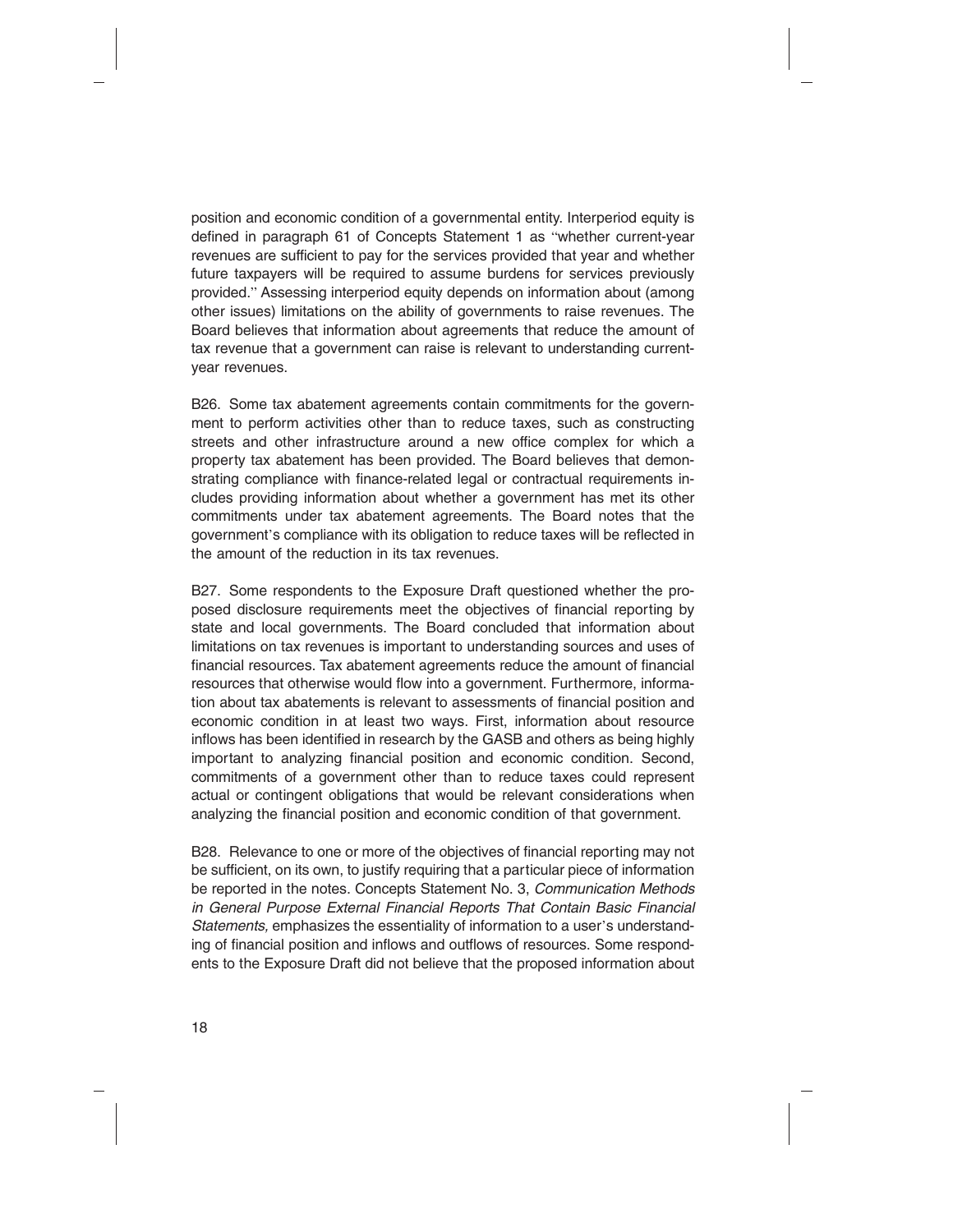position and economic condition of a governmental entity. Interperiod equity is defined in paragraph 61 of Concepts Statement 1 as "whether current-year revenues are sufficient to pay for the services provided that year and whether future taxpayers will be required to assume burdens for services previously provided." Assessing interperiod equity depends on information about (among other issues) limitations on the ability of governments to raise revenues. The Board believes that information about agreements that reduce the amount of tax revenue that a government can raise is relevant to understanding currentyear revenues.

B26. Some tax abatement agreements contain commitments for the government to perform activities other than to reduce taxes, such as constructing streets and other infrastructure around a new office complex for which a property tax abatement has been provided. The Board believes that demonstrating compliance with finance-related legal or contractual requirements includes providing information about whether a government has met its other commitments under tax abatement agreements. The Board notes that the government's compliance with its obligation to reduce taxes will be reflected in the amount of the reduction in its tax revenues.

B27. Some respondents to the Exposure Draft questioned whether the proposed disclosure requirements meet the objectives of financial reporting by state and local governments. The Board concluded that information about limitations on tax revenues is important to understanding sources and uses of financial resources. Tax abatement agreements reduce the amount of financial resources that otherwise would flow into a government. Furthermore, information about tax abatements is relevant to assessments of financial position and economic condition in at least two ways. First, information about resource inflows has been identified in research by the GASB and others as being highly important to analyzing financial position and economic condition. Second, commitments of a government other than to reduce taxes could represent actual or contingent obligations that would be relevant considerations when analyzing the financial position and economic condition of that government.

B28. Relevance to one or more of the objectives of financial reporting may not be sufficient, on its own, to justify requiring that a particular piece of information be reported in the notes. Concepts Statement No. 3, *Communication Methods in General Purpose External Financial Reports That Contain Basic Financial Statements,* emphasizes the essentiality of information to a user's understanding of financial position and inflows and outflows of resources. Some respondents to the Exposure Draft did not believe that the proposed information about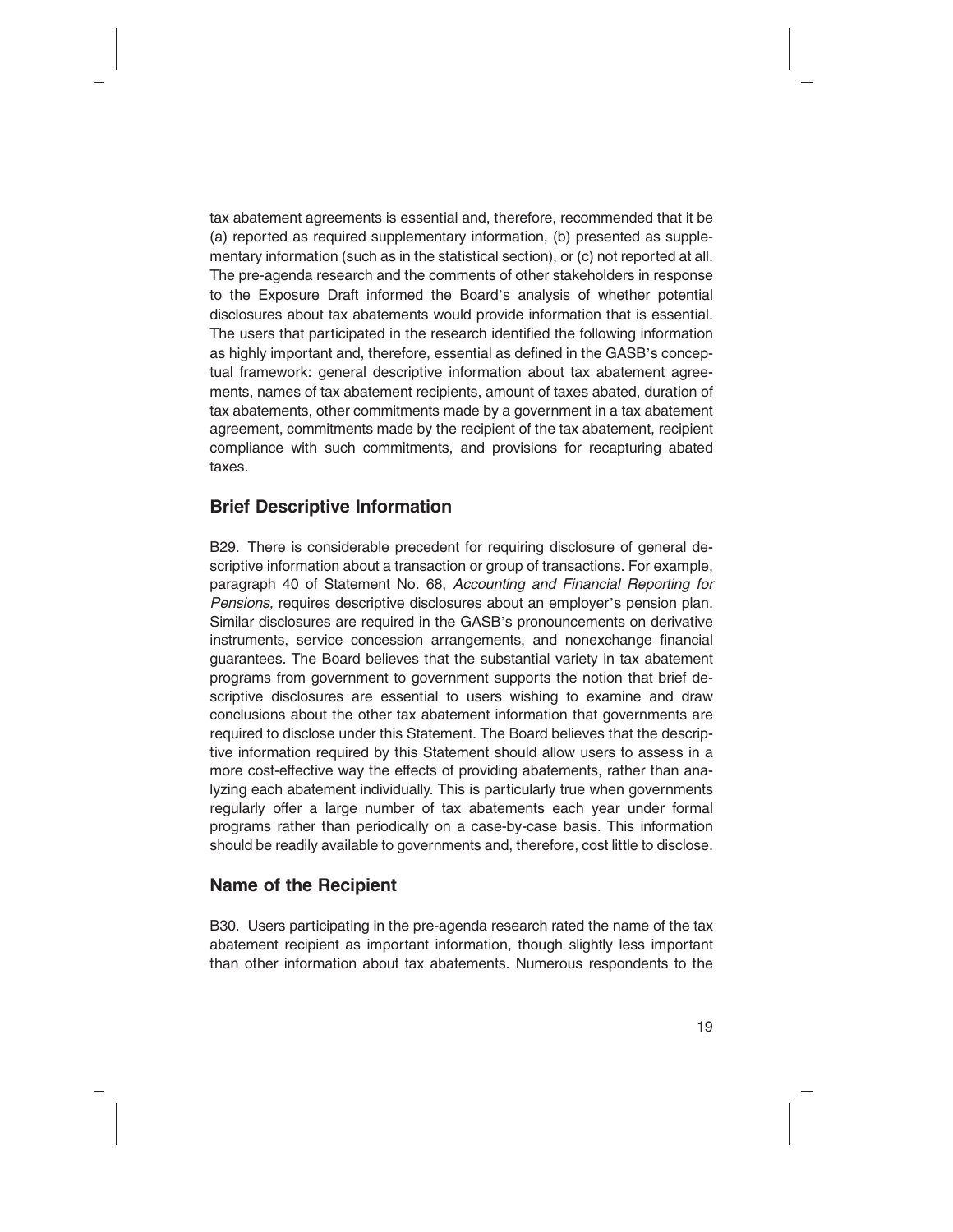tax abatement agreements is essential and, therefore, recommended that it be (a) reported as required supplementary information, (b) presented as supplementary information (such as in the statistical section), or (c) not reported at all. The pre-agenda research and the comments of other stakeholders in response to the Exposure Draft informed the Board's analysis of whether potential disclosures about tax abatements would provide information that is essential. The users that participated in the research identified the following information as highly important and, therefore, essential as defined in the GASB's conceptual framework: general descriptive information about tax abatement agreements, names of tax abatement recipients, amount of taxes abated, duration of tax abatements, other commitments made by a government in a tax abatement agreement, commitments made by the recipient of the tax abatement, recipient compliance with such commitments, and provisions for recapturing abated taxes.

#### **Brief Descriptive Information**

B29. There is considerable precedent for requiring disclosure of general descriptive information about a transaction or group of transactions. For example, paragraph 40 of Statement No. 68, *Accounting and Financial Reporting for Pensions,* requires descriptive disclosures about an employer's pension plan. Similar disclosures are required in the GASB's pronouncements on derivative instruments, service concession arrangements, and nonexchange financial guarantees. The Board believes that the substantial variety in tax abatement programs from government to government supports the notion that brief descriptive disclosures are essential to users wishing to examine and draw conclusions about the other tax abatement information that governments are required to disclose under this Statement. The Board believes that the descriptive information required by this Statement should allow users to assess in a more cost-effective way the effects of providing abatements, rather than analyzing each abatement individually. This is particularly true when governments regularly offer a large number of tax abatements each year under formal programs rather than periodically on a case-by-case basis. This information should be readily available to governments and, therefore, cost little to disclose.

#### **Name of the Recipient**

B30. Users participating in the pre-agenda research rated the name of the tax abatement recipient as important information, though slightly less important than other information about tax abatements. Numerous respondents to the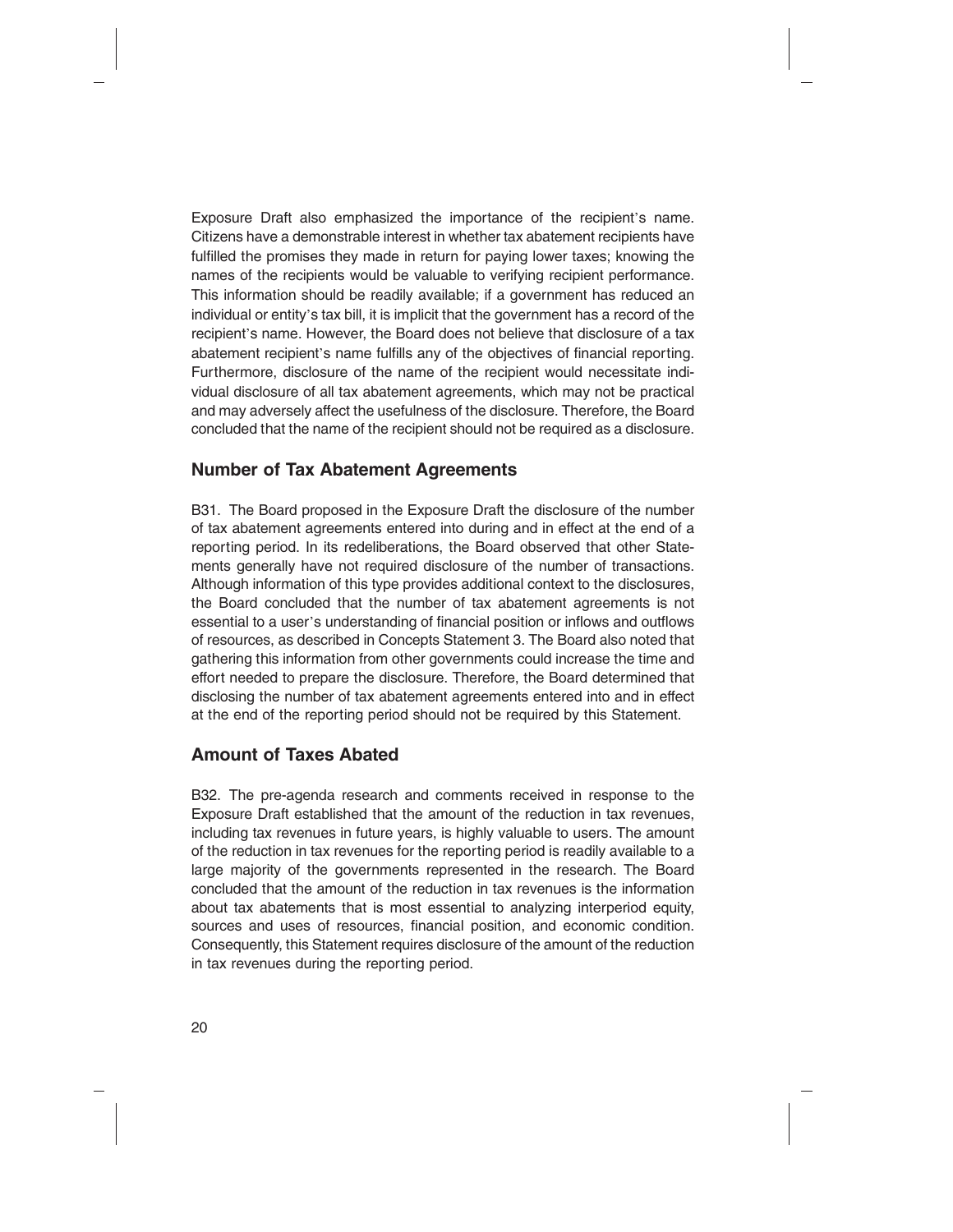Exposure Draft also emphasized the importance of the recipient's name. Citizens have a demonstrable interest in whether tax abatement recipients have fulfilled the promises they made in return for paying lower taxes; knowing the names of the recipients would be valuable to verifying recipient performance. This information should be readily available; if a government has reduced an individual or entity's tax bill, it is implicit that the government has a record of the recipient's name. However, the Board does not believe that disclosure of a tax abatement recipient's name fulfills any of the objectives of financial reporting. Furthermore, disclosure of the name of the recipient would necessitate individual disclosure of all tax abatement agreements, which may not be practical and may adversely affect the usefulness of the disclosure. Therefore, the Board concluded that the name of the recipient should not be required as a disclosure.

#### **Number of Tax Abatement Agreements**

B31. The Board proposed in the Exposure Draft the disclosure of the number of tax abatement agreements entered into during and in effect at the end of a reporting period. In its redeliberations, the Board observed that other Statements generally have not required disclosure of the number of transactions. Although information of this type provides additional context to the disclosures, the Board concluded that the number of tax abatement agreements is not essential to a user's understanding of financial position or inflows and outflows of resources, as described in Concepts Statement 3. The Board also noted that gathering this information from other governments could increase the time and effort needed to prepare the disclosure. Therefore, the Board determined that disclosing the number of tax abatement agreements entered into and in effect at the end of the reporting period should not be required by this Statement.

# **Amount of Taxes Abated**

B32. The pre-agenda research and comments received in response to the Exposure Draft established that the amount of the reduction in tax revenues, including tax revenues in future years, is highly valuable to users. The amount of the reduction in tax revenues for the reporting period is readily available to a large majority of the governments represented in the research. The Board concluded that the amount of the reduction in tax revenues is the information about tax abatements that is most essential to analyzing interperiod equity, sources and uses of resources, financial position, and economic condition. Consequently, this Statement requires disclosure of the amount of the reduction in tax revenues during the reporting period.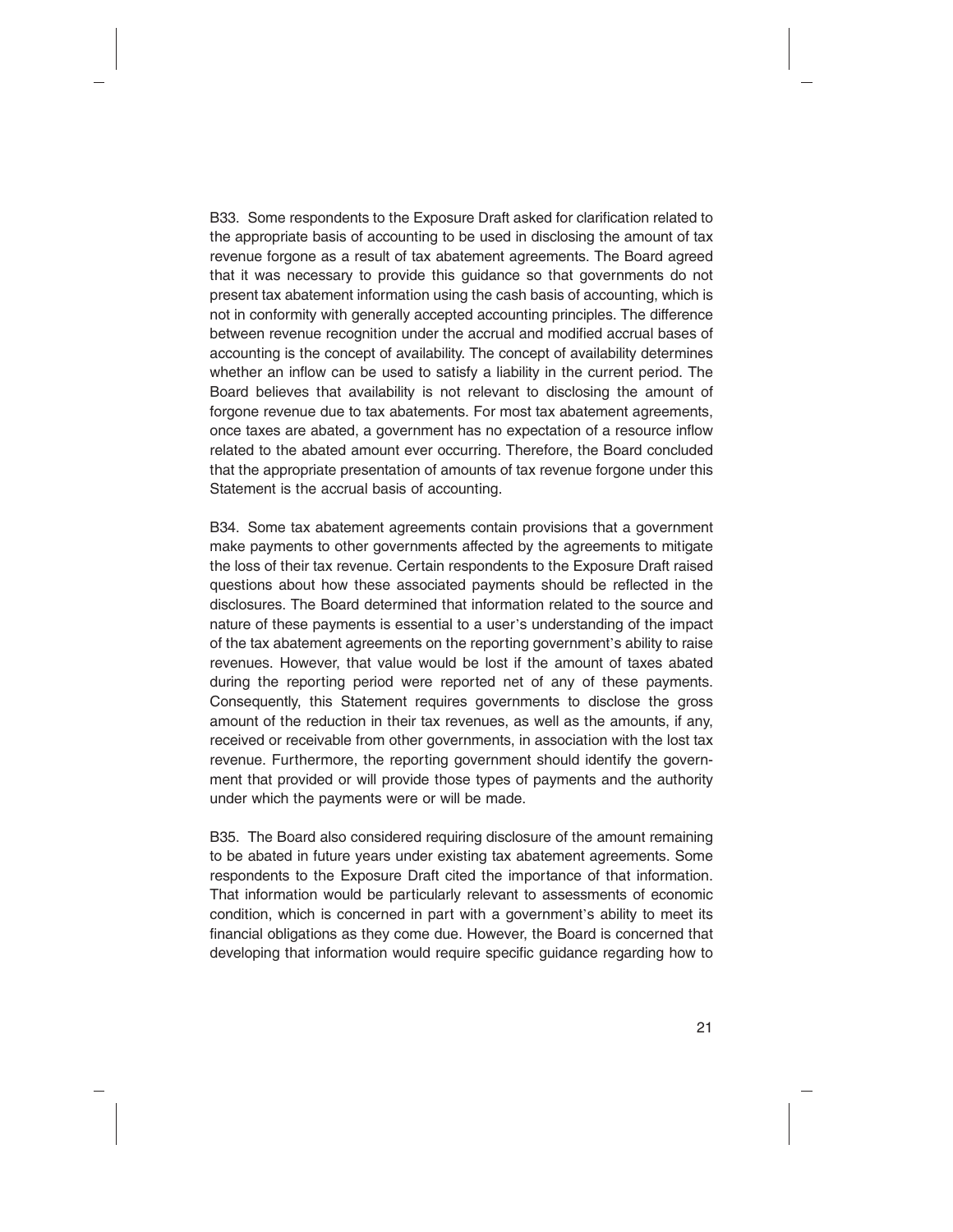B33. Some respondents to the Exposure Draft asked for clarification related to the appropriate basis of accounting to be used in disclosing the amount of tax revenue forgone as a result of tax abatement agreements. The Board agreed that it was necessary to provide this guidance so that governments do not present tax abatement information using the cash basis of accounting, which is not in conformity with generally accepted accounting principles. The difference between revenue recognition under the accrual and modified accrual bases of accounting is the concept of availability. The concept of availability determines whether an inflow can be used to satisfy a liability in the current period. The Board believes that availability is not relevant to disclosing the amount of forgone revenue due to tax abatements. For most tax abatement agreements, once taxes are abated, a government has no expectation of a resource inflow related to the abated amount ever occurring. Therefore, the Board concluded that the appropriate presentation of amounts of tax revenue forgone under this Statement is the accrual basis of accounting.

B34. Some tax abatement agreements contain provisions that a government make payments to other governments affected by the agreements to mitigate the loss of their tax revenue. Certain respondents to the Exposure Draft raised questions about how these associated payments should be reflected in the disclosures. The Board determined that information related to the source and nature of these payments is essential to a user's understanding of the impact of the tax abatement agreements on the reporting government's ability to raise revenues. However, that value would be lost if the amount of taxes abated during the reporting period were reported net of any of these payments. Consequently, this Statement requires governments to disclose the gross amount of the reduction in their tax revenues, as well as the amounts, if any, received or receivable from other governments, in association with the lost tax revenue. Furthermore, the reporting government should identify the government that provided or will provide those types of payments and the authority under which the payments were or will be made.

B35. The Board also considered requiring disclosure of the amount remaining to be abated in future years under existing tax abatement agreements. Some respondents to the Exposure Draft cited the importance of that information. That information would be particularly relevant to assessments of economic condition, which is concerned in part with a government's ability to meet its financial obligations as they come due. However, the Board is concerned that developing that information would require specific guidance regarding how to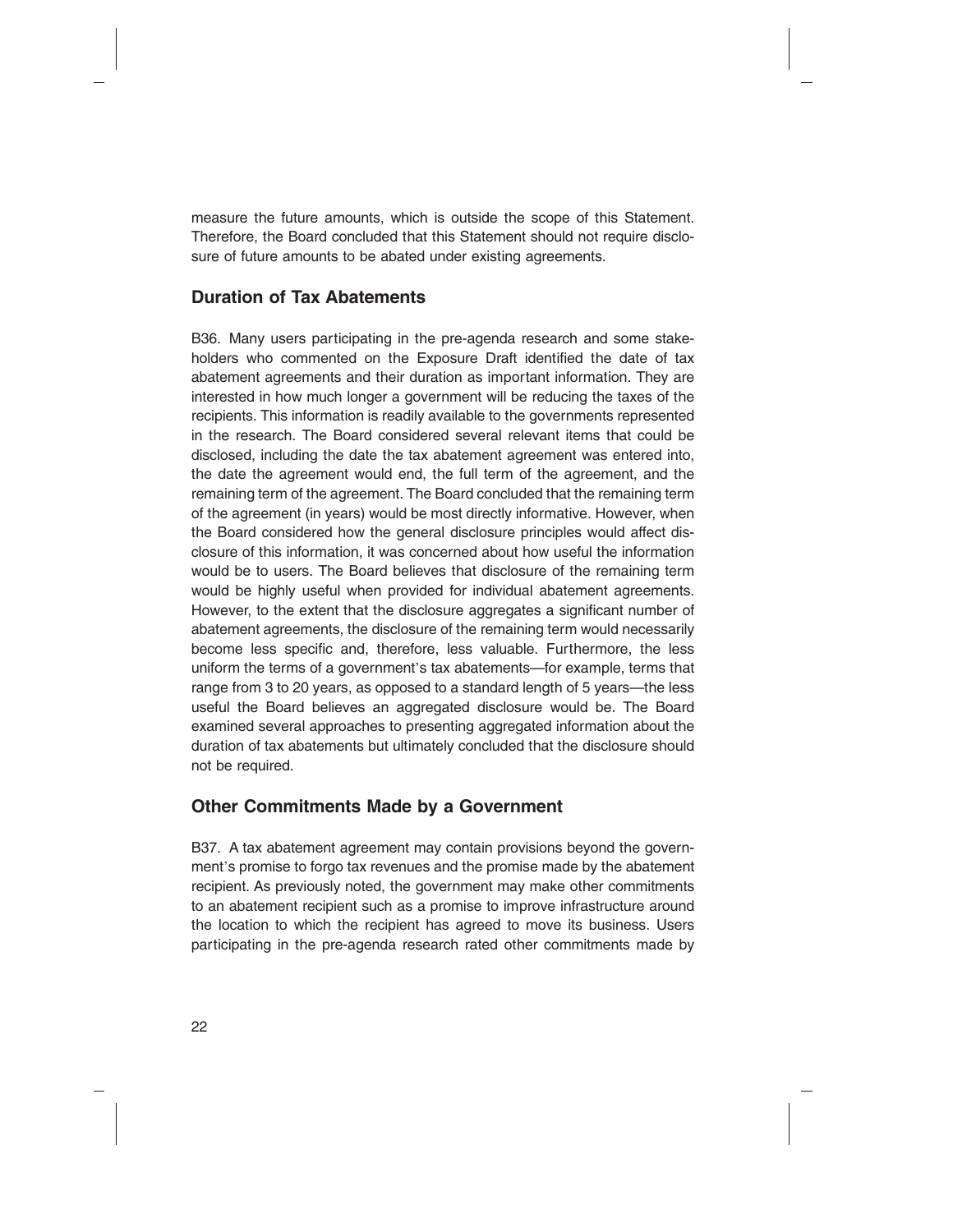measure the future amounts, which is outside the scope of this Statement. Therefore, the Board concluded that this Statement should not require disclosure of future amounts to be abated under existing agreements.

#### **Duration of Tax Abatements**

B36. Many users participating in the pre-agenda research and some stakeholders who commented on the Exposure Draft identified the date of tax abatement agreements and their duration as important information. They are interested in how much longer a government will be reducing the taxes of the recipients. This information is readily available to the governments represented in the research. The Board considered several relevant items that could be disclosed, including the date the tax abatement agreement was entered into, the date the agreement would end, the full term of the agreement, and the remaining term of the agreement. The Board concluded that the remaining term of the agreement (in years) would be most directly informative. However, when the Board considered how the general disclosure principles would affect disclosure of this information, it was concerned about how useful the information would be to users. The Board believes that disclosure of the remaining term would be highly useful when provided for individual abatement agreements. However, to the extent that the disclosure aggregates a significant number of abatement agreements, the disclosure of the remaining term would necessarily become less specific and, therefore, less valuable. Furthermore, the less uniform the terms of a government's tax abatements—for example, terms that range from 3 to 20 years, as opposed to a standard length of 5 years—the less useful the Board believes an aggregated disclosure would be. The Board examined several approaches to presenting aggregated information about the duration of tax abatements but ultimately concluded that the disclosure should not be required.

#### **Other Commitments Made by a Government**

B37. A tax abatement agreement may contain provisions beyond the government's promise to forgo tax revenues and the promise made by the abatement recipient. As previously noted, the government may make other commitments to an abatement recipient such as a promise to improve infrastructure around the location to which the recipient has agreed to move its business. Users participating in the pre-agenda research rated other commitments made by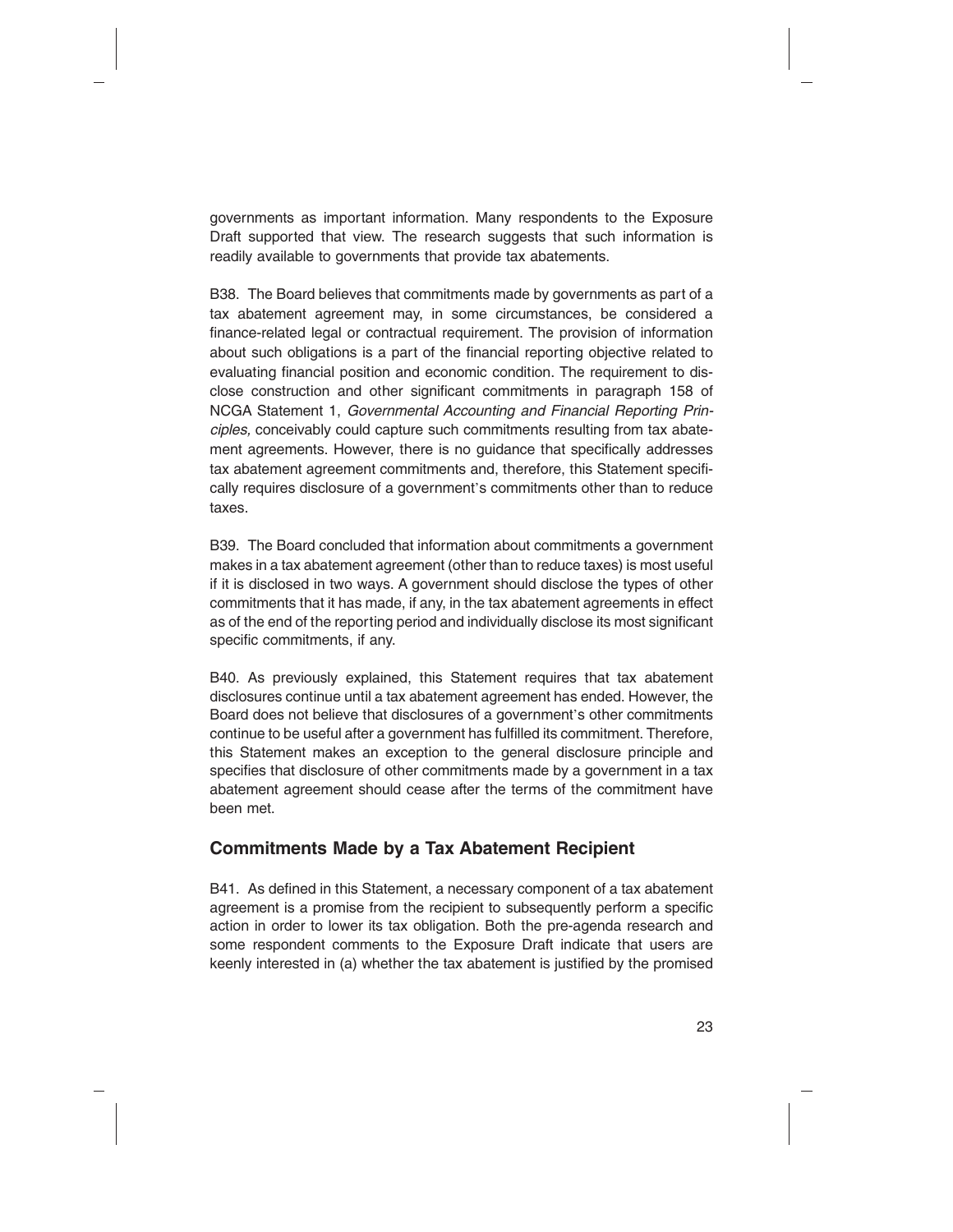governments as important information. Many respondents to the Exposure Draft supported that view. The research suggests that such information is readily available to governments that provide tax abatements.

B38. The Board believes that commitments made by governments as part of a tax abatement agreement may, in some circumstances, be considered a finance-related legal or contractual requirement. The provision of information about such obligations is a part of the financial reporting objective related to evaluating financial position and economic condition. The requirement to disclose construction and other significant commitments in paragraph 158 of NCGA Statement 1, *Governmental Accounting and Financial Reporting Principles,* conceivably could capture such commitments resulting from tax abatement agreements. However, there is no guidance that specifically addresses tax abatement agreement commitments and, therefore, this Statement specifically requires disclosure of a government's commitments other than to reduce taxes.

B39. The Board concluded that information about commitments a government makes in a tax abatement agreement (other than to reduce taxes) is most useful if it is disclosed in two ways. A government should disclose the types of other commitments that it has made, if any, in the tax abatement agreements in effect as of the end of the reporting period and individually disclose its most significant specific commitments, if any.

B40. As previously explained, this Statement requires that tax abatement disclosures continue until a tax abatement agreement has ended. However, the Board does not believe that disclosures of a government's other commitments continue to be useful after a government has fulfilled its commitment. Therefore, this Statement makes an exception to the general disclosure principle and specifies that disclosure of other commitments made by a government in a tax abatement agreement should cease after the terms of the commitment have been met.

#### **Commitments Made by a Tax Abatement Recipient**

B41. As defined in this Statement, a necessary component of a tax abatement agreement is a promise from the recipient to subsequently perform a specific action in order to lower its tax obligation. Both the pre-agenda research and some respondent comments to the Exposure Draft indicate that users are keenly interested in (a) whether the tax abatement is justified by the promised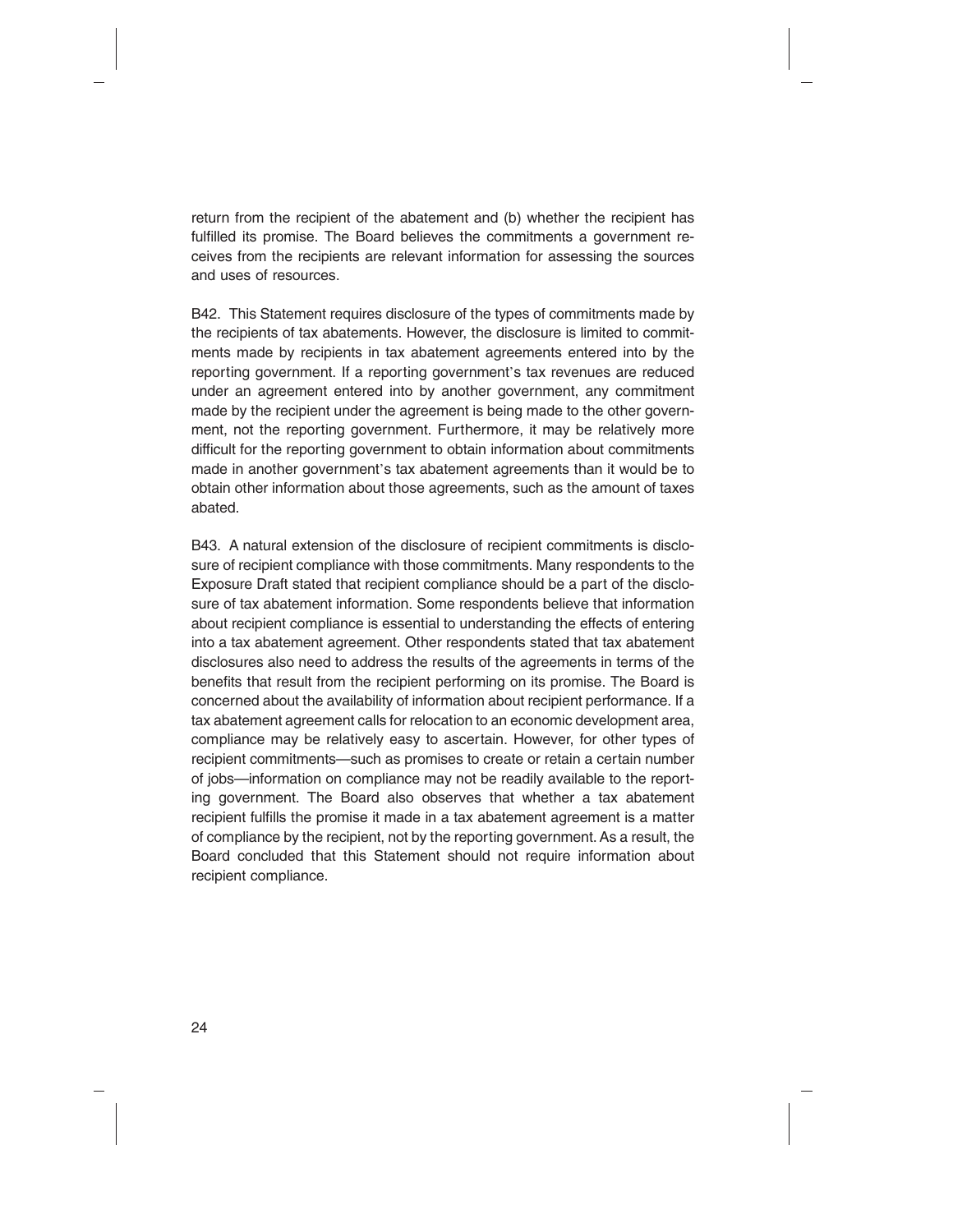return from the recipient of the abatement and (b) whether the recipient has fulfilled its promise. The Board believes the commitments a government receives from the recipients are relevant information for assessing the sources and uses of resources.

B42. This Statement requires disclosure of the types of commitments made by the recipients of tax abatements. However, the disclosure is limited to commitments made by recipients in tax abatement agreements entered into by the reporting government. If a reporting government's tax revenues are reduced under an agreement entered into by another government, any commitment made by the recipient under the agreement is being made to the other government, not the reporting government. Furthermore, it may be relatively more difficult for the reporting government to obtain information about commitments made in another government's tax abatement agreements than it would be to obtain other information about those agreements, such as the amount of taxes abated.

B43. A natural extension of the disclosure of recipient commitments is disclosure of recipient compliance with those commitments. Many respondents to the Exposure Draft stated that recipient compliance should be a part of the disclosure of tax abatement information. Some respondents believe that information about recipient compliance is essential to understanding the effects of entering into a tax abatement agreement. Other respondents stated that tax abatement disclosures also need to address the results of the agreements in terms of the benefits that result from the recipient performing on its promise. The Board is concerned about the availability of information about recipient performance. If a tax abatement agreement calls for relocation to an economic development area, compliance may be relatively easy to ascertain. However, for other types of recipient commitments—such as promises to create or retain a certain number of jobs—information on compliance may not be readily available to the reporting government. The Board also observes that whether a tax abatement recipient fulfills the promise it made in a tax abatement agreement is a matter of compliance by the recipient, not by the reporting government. As a result, the Board concluded that this Statement should not require information about recipient compliance.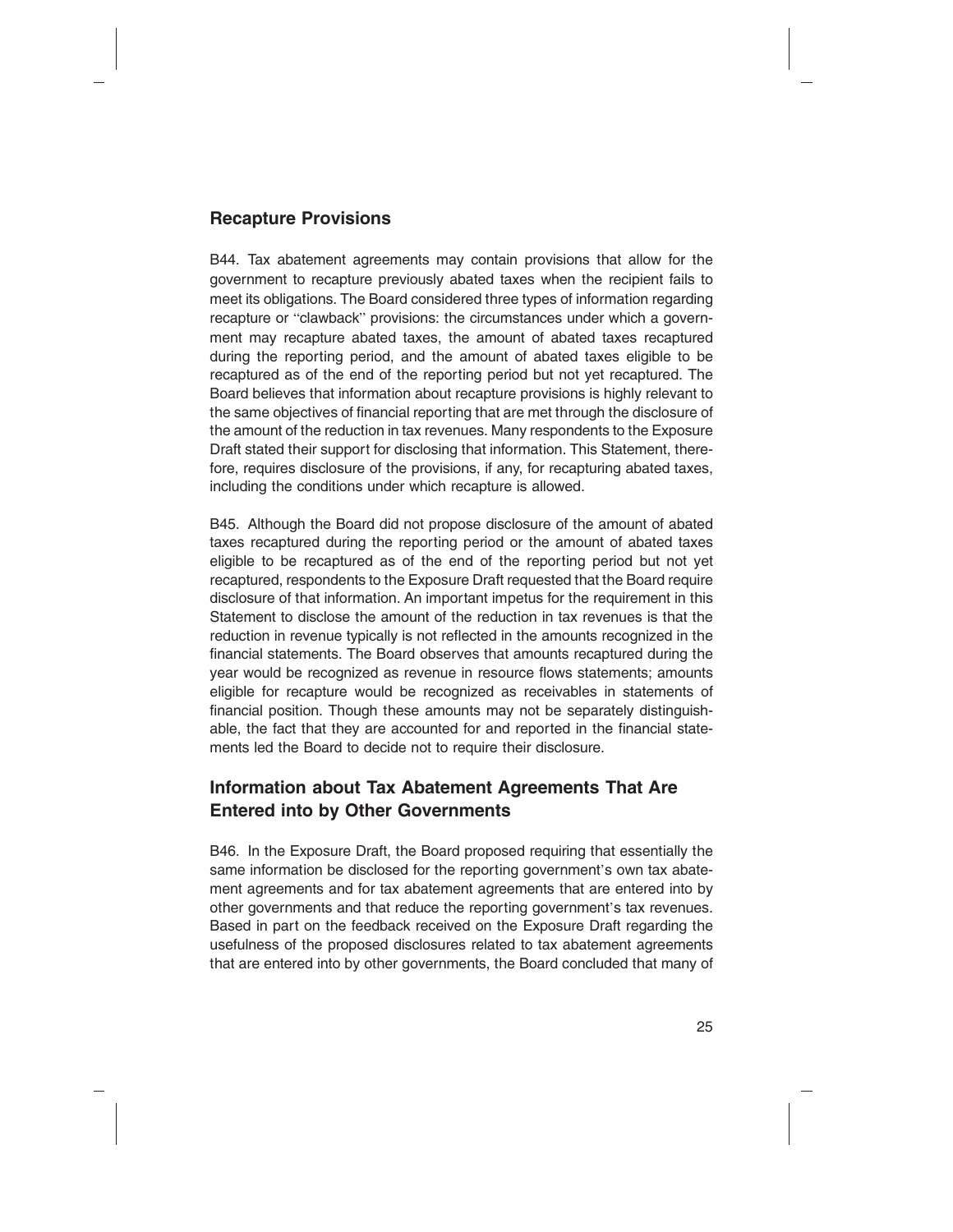#### **Recapture Provisions**

B44. Tax abatement agreements may contain provisions that allow for the government to recapture previously abated taxes when the recipient fails to meet its obligations. The Board considered three types of information regarding recapture or "clawback" provisions: the circumstances under which a government may recapture abated taxes, the amount of abated taxes recaptured during the reporting period, and the amount of abated taxes eligible to be recaptured as of the end of the reporting period but not yet recaptured. The Board believes that information about recapture provisions is highly relevant to the same objectives of financial reporting that are met through the disclosure of the amount of the reduction in tax revenues. Many respondents to the Exposure Draft stated their support for disclosing that information. This Statement, therefore, requires disclosure of the provisions, if any, for recapturing abated taxes, including the conditions under which recapture is allowed.

B45. Although the Board did not propose disclosure of the amount of abated taxes recaptured during the reporting period or the amount of abated taxes eligible to be recaptured as of the end of the reporting period but not yet recaptured, respondents to the Exposure Draft requested that the Board require disclosure of that information. An important impetus for the requirement in this Statement to disclose the amount of the reduction in tax revenues is that the reduction in revenue typically is not reflected in the amounts recognized in the financial statements. The Board observes that amounts recaptured during the year would be recognized as revenue in resource flows statements; amounts eligible for recapture would be recognized as receivables in statements of financial position. Though these amounts may not be separately distinguishable, the fact that they are accounted for and reported in the financial statements led the Board to decide not to require their disclosure.

### **Information about Tax Abatement Agreements That Are Entered into by Other Governments**

B46. In the Exposure Draft, the Board proposed requiring that essentially the same information be disclosed for the reporting government's own tax abatement agreements and for tax abatement agreements that are entered into by other governments and that reduce the reporting government's tax revenues. Based in part on the feedback received on the Exposure Draft regarding the usefulness of the proposed disclosures related to tax abatement agreements that are entered into by other governments, the Board concluded that many of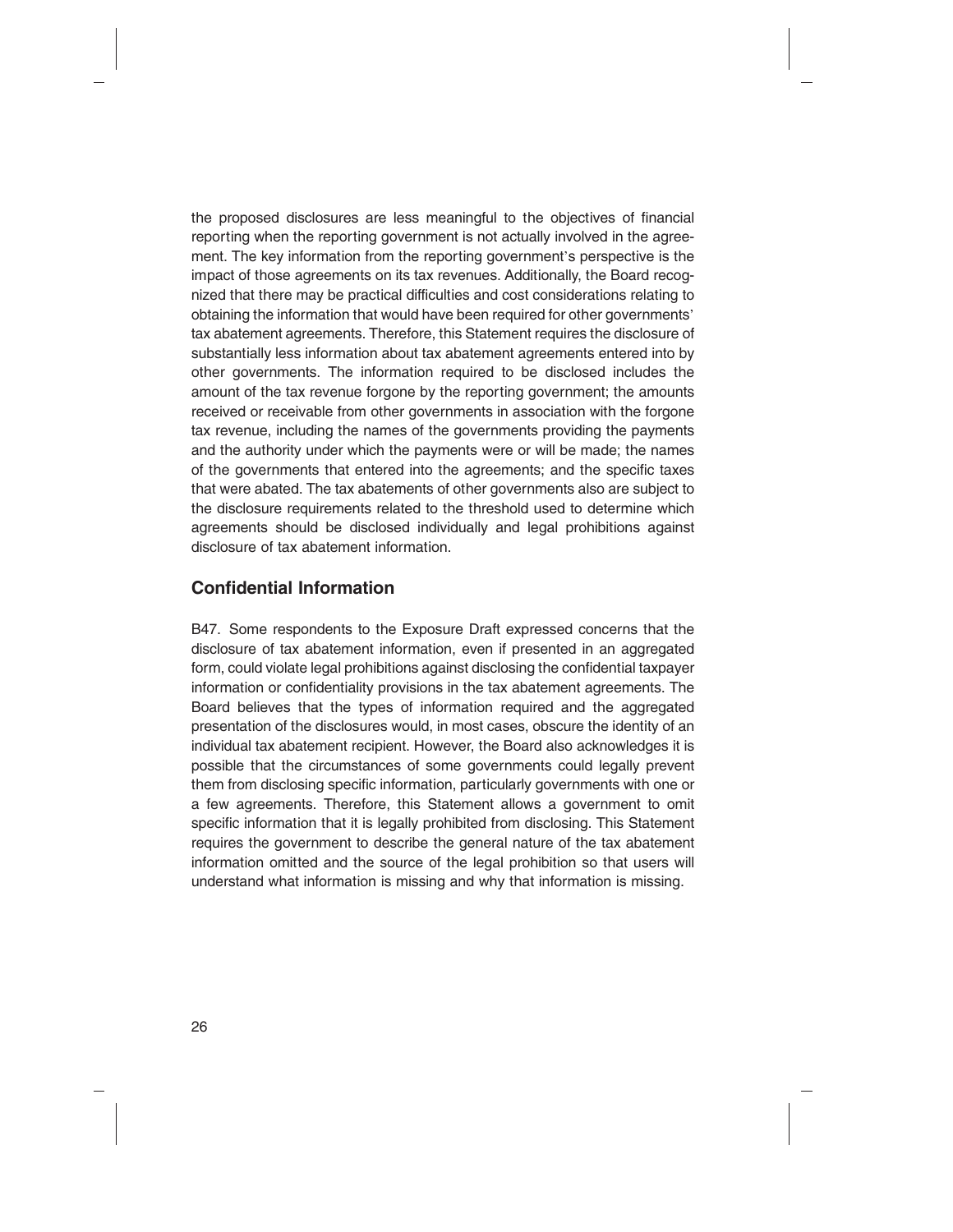the proposed disclosures are less meaningful to the objectives of financial reporting when the reporting government is not actually involved in the agreement. The key information from the reporting government's perspective is the impact of those agreements on its tax revenues. Additionally, the Board recognized that there may be practical difficulties and cost considerations relating to obtaining the information that would have been required for other governments' tax abatement agreements. Therefore, this Statement requires the disclosure of substantially less information about tax abatement agreements entered into by other governments. The information required to be disclosed includes the amount of the tax revenue forgone by the reporting government; the amounts received or receivable from other governments in association with the forgone tax revenue, including the names of the governments providing the payments and the authority under which the payments were or will be made; the names of the governments that entered into the agreements; and the specific taxes that were abated. The tax abatements of other governments also are subject to the disclosure requirements related to the threshold used to determine which agreements should be disclosed individually and legal prohibitions against disclosure of tax abatement information.

#### **Confidential Information**

B47. Some respondents to the Exposure Draft expressed concerns that the disclosure of tax abatement information, even if presented in an aggregated form, could violate legal prohibitions against disclosing the confidential taxpayer information or confidentiality provisions in the tax abatement agreements. The Board believes that the types of information required and the aggregated presentation of the disclosures would, in most cases, obscure the identity of an individual tax abatement recipient. However, the Board also acknowledges it is possible that the circumstances of some governments could legally prevent them from disclosing specific information, particularly governments with one or a few agreements. Therefore, this Statement allows a government to omit specific information that it is legally prohibited from disclosing. This Statement requires the government to describe the general nature of the tax abatement information omitted and the source of the legal prohibition so that users will understand what information is missing and why that information is missing.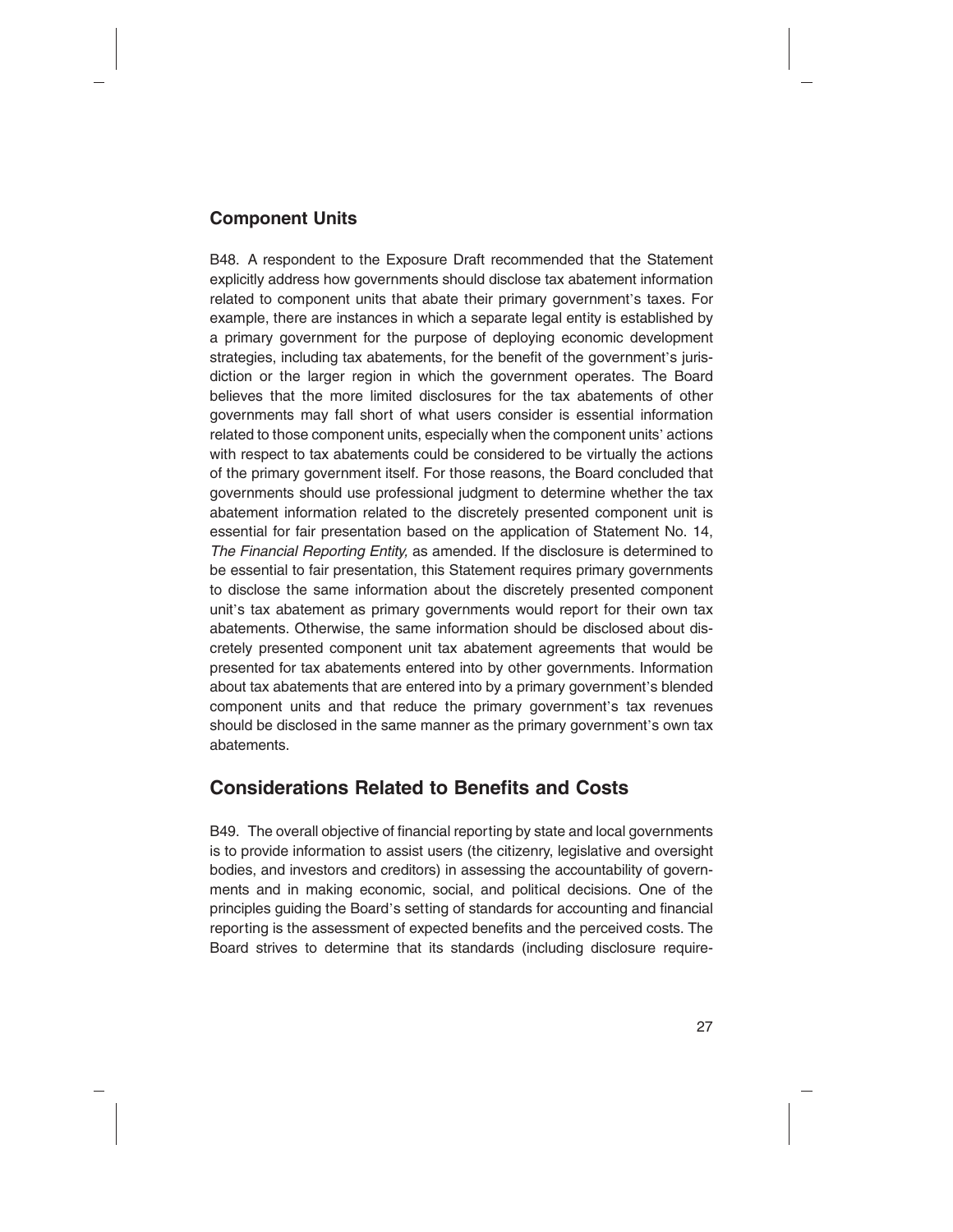#### **Component Units**

B48. A respondent to the Exposure Draft recommended that the Statement explicitly address how governments should disclose tax abatement information related to component units that abate their primary government's taxes. For example, there are instances in which a separate legal entity is established by a primary government for the purpose of deploying economic development strategies, including tax abatements, for the benefit of the government's jurisdiction or the larger region in which the government operates. The Board believes that the more limited disclosures for the tax abatements of other governments may fall short of what users consider is essential information related to those component units, especially when the component units' actions with respect to tax abatements could be considered to be virtually the actions of the primary government itself. For those reasons, the Board concluded that governments should use professional judgment to determine whether the tax abatement information related to the discretely presented component unit is essential for fair presentation based on the application of Statement No. 14, *The Financial Reporting Entity,* as amended. If the disclosure is determined to be essential to fair presentation, this Statement requires primary governments to disclose the same information about the discretely presented component unit's tax abatement as primary governments would report for their own tax abatements. Otherwise, the same information should be disclosed about discretely presented component unit tax abatement agreements that would be presented for tax abatements entered into by other governments. Information about tax abatements that are entered into by a primary government's blended component units and that reduce the primary government's tax revenues should be disclosed in the same manner as the primary government's own tax abatements.

# **Considerations Related to Benefits and Costs**

B49. The overall objective of financial reporting by state and local governments is to provide information to assist users (the citizenry, legislative and oversight bodies, and investors and creditors) in assessing the accountability of governments and in making economic, social, and political decisions. One of the principles guiding the Board's setting of standards for accounting and financial reporting is the assessment of expected benefits and the perceived costs. The Board strives to determine that its standards (including disclosure require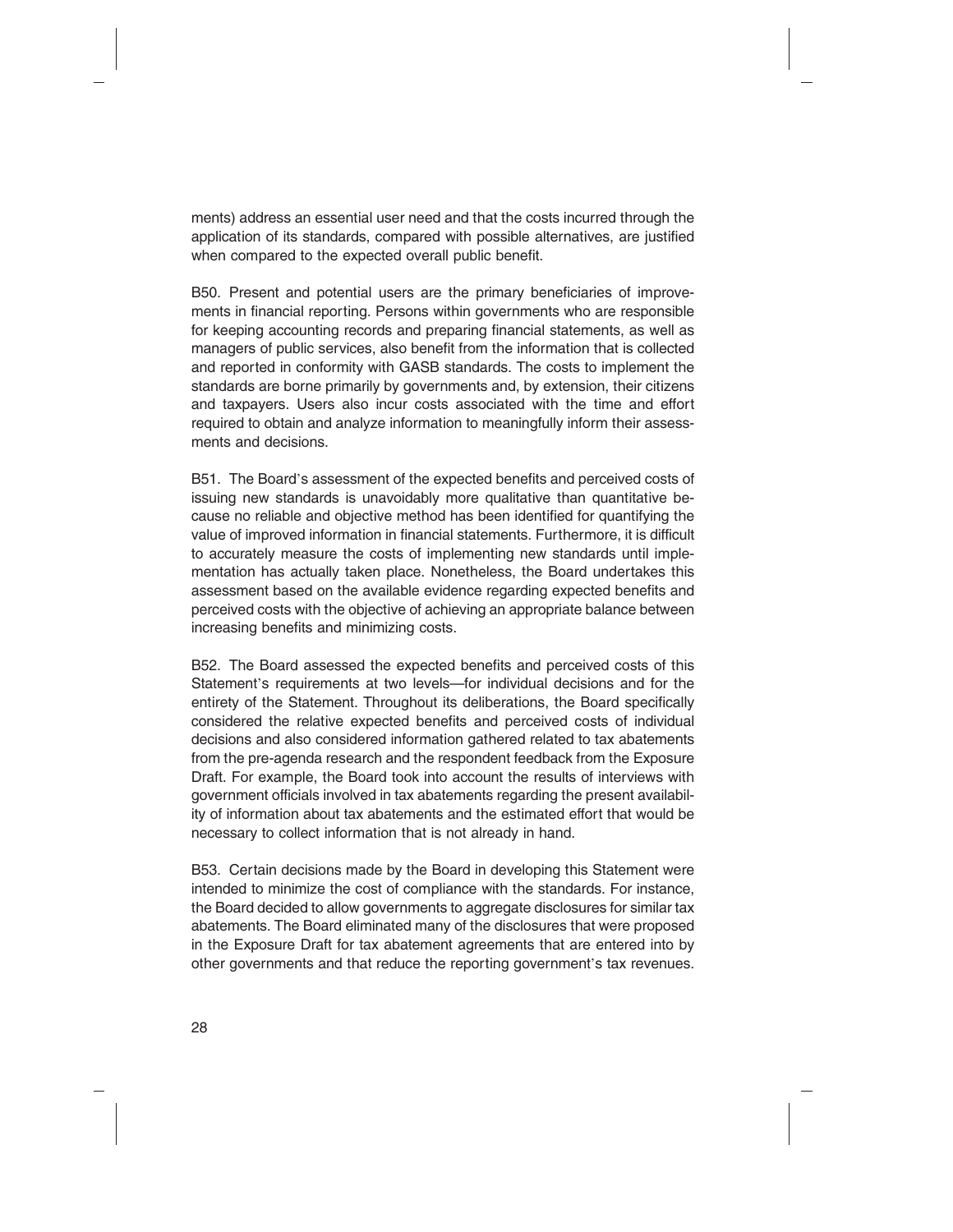ments) address an essential user need and that the costs incurred through the application of its standards, compared with possible alternatives, are justified when compared to the expected overall public benefit.

B50. Present and potential users are the primary beneficiaries of improvements in financial reporting. Persons within governments who are responsible for keeping accounting records and preparing financial statements, as well as managers of public services, also benefit from the information that is collected and reported in conformity with GASB standards. The costs to implement the standards are borne primarily by governments and, by extension, their citizens and taxpayers. Users also incur costs associated with the time and effort required to obtain and analyze information to meaningfully inform their assessments and decisions.

B51. The Board's assessment of the expected benefits and perceived costs of issuing new standards is unavoidably more qualitative than quantitative because no reliable and objective method has been identified for quantifying the value of improved information in financial statements. Furthermore, it is difficult to accurately measure the costs of implementing new standards until implementation has actually taken place. Nonetheless, the Board undertakes this assessment based on the available evidence regarding expected benefits and perceived costs with the objective of achieving an appropriate balance between increasing benefits and minimizing costs.

B52. The Board assessed the expected benefits and perceived costs of this Statement's requirements at two levels—for individual decisions and for the entirety of the Statement. Throughout its deliberations, the Board specifically considered the relative expected benefits and perceived costs of individual decisions and also considered information gathered related to tax abatements from the pre-agenda research and the respondent feedback from the Exposure Draft. For example, the Board took into account the results of interviews with government officials involved in tax abatements regarding the present availability of information about tax abatements and the estimated effort that would be necessary to collect information that is not already in hand.

B53. Certain decisions made by the Board in developing this Statement were intended to minimize the cost of compliance with the standards. For instance, the Board decided to allow governments to aggregate disclosures for similar tax abatements. The Board eliminated many of the disclosures that were proposed in the Exposure Draft for tax abatement agreements that are entered into by other governments and that reduce the reporting government's tax revenues.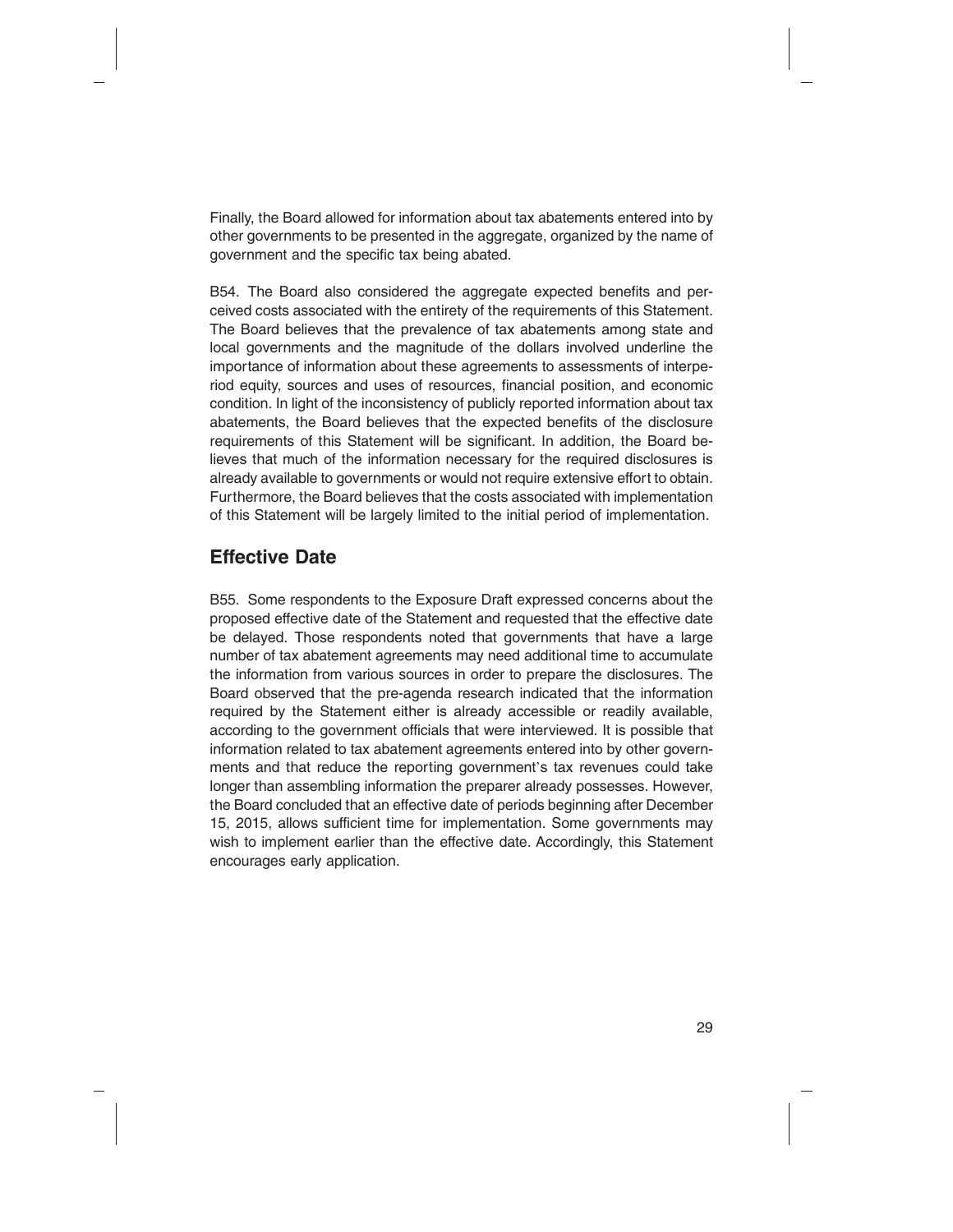Finally, the Board allowed for information about tax abatements entered into by other governments to be presented in the aggregate, organized by the name of government and the specific tax being abated.

B54. The Board also considered the aggregate expected benefits and perceived costs associated with the entirety of the requirements of this Statement. The Board believes that the prevalence of tax abatements among state and local governments and the magnitude of the dollars involved underline the importance of information about these agreements to assessments of interperiod equity, sources and uses of resources, financial position, and economic condition. In light of the inconsistency of publicly reported information about tax abatements, the Board believes that the expected benefits of the disclosure requirements of this Statement will be significant. In addition, the Board believes that much of the information necessary for the required disclosures is already available to governments or would not require extensive effort to obtain. Furthermore, the Board believes that the costs associated with implementation of this Statement will be largely limited to the initial period of implementation.

# **Effective Date**

B55. Some respondents to the Exposure Draft expressed concerns about the proposed effective date of the Statement and requested that the effective date be delayed. Those respondents noted that governments that have a large number of tax abatement agreements may need additional time to accumulate the information from various sources in order to prepare the disclosures. The Board observed that the pre-agenda research indicated that the information required by the Statement either is already accessible or readily available, according to the government officials that were interviewed. It is possible that information related to tax abatement agreements entered into by other governments and that reduce the reporting government's tax revenues could take longer than assembling information the preparer already possesses. However, the Board concluded that an effective date of periods beginning after December 15, 2015, allows sufficient time for implementation. Some governments may wish to implement earlier than the effective date. Accordingly, this Statement encourages early application.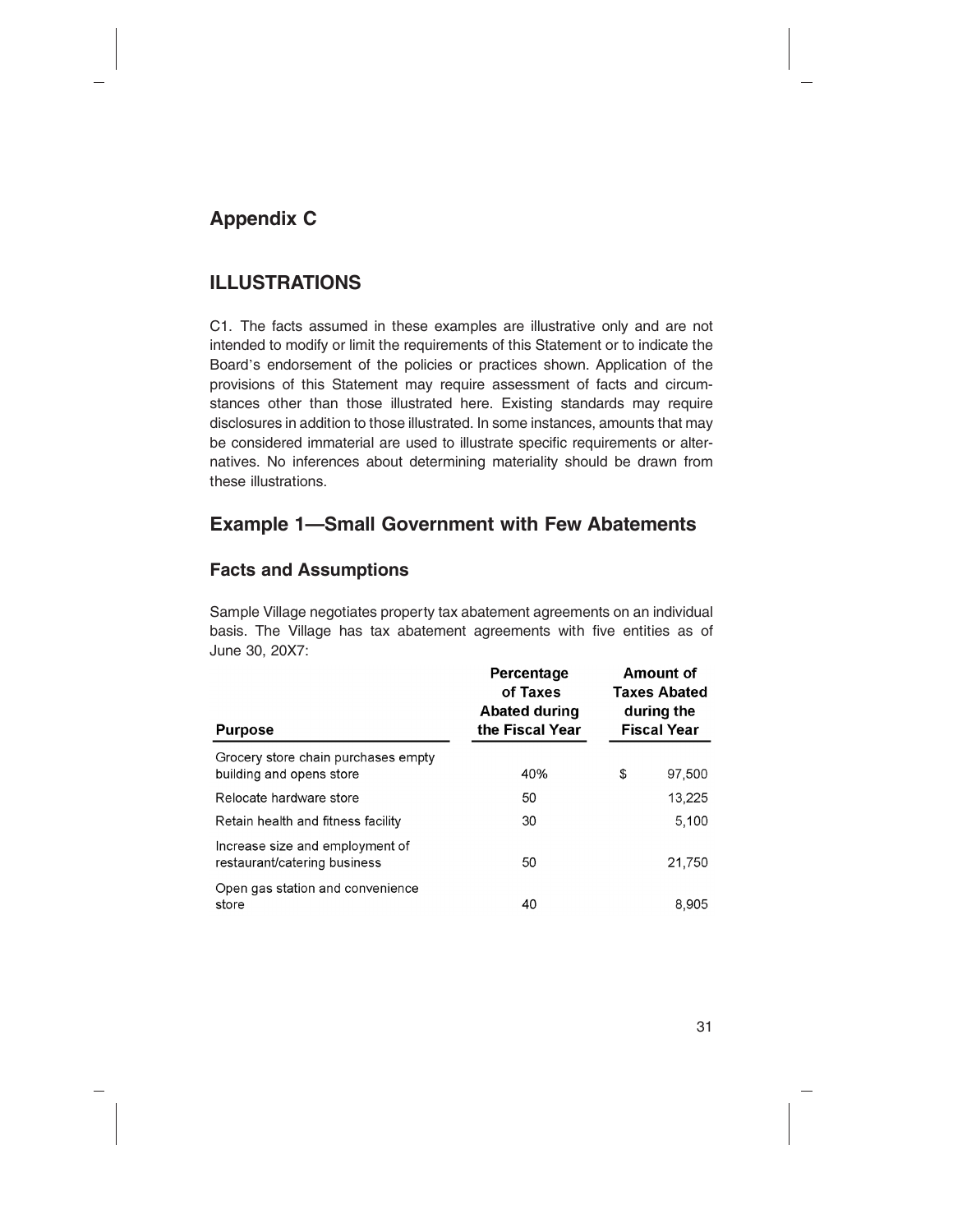# **Appendix C**

# **ILLUSTRATIONS**

C1. The facts assumed in these examples are illustrative only and are not intended to modify or limit the requirements of this Statement or to indicate the Board's endorsement of the policies or practices shown. Application of the provisions of this Statement may require assessment of facts and circumstances other than those illustrated here. Existing standards may require disclosures in addition to those illustrated. In some instances, amounts that may be considered immaterial are used to illustrate specific requirements or alternatives. No inferences about determining materiality should be drawn from these illustrations.

# **Example 1—Small Government with Few Abatements**

#### **Facts and Assumptions**

Sample Village negotiates property tax abatement agreements on an individual basis. The Village has tax abatement agreements with five entities as of June 30, 20X7:

| <b>Purpose</b>                                                  | Percentage<br>of Taxes<br><b>Abated during</b><br>the Fiscal Year | Amount of<br><b>Taxes Abated</b><br>during the<br><b>Fiscal Year</b> |
|-----------------------------------------------------------------|-------------------------------------------------------------------|----------------------------------------------------------------------|
| Grocery store chain purchases empty<br>building and opens store | 40%                                                               | \$<br>97,500                                                         |
| Relocate hardware store                                         | 50                                                                | 13,225                                                               |
| Retain health and fitness facility                              | 30                                                                | 5,100                                                                |
| Increase size and employment of<br>restaurant/catering business | 50                                                                | 21,750                                                               |
| Open gas station and convenience<br>store                       | 40                                                                | 8.905                                                                |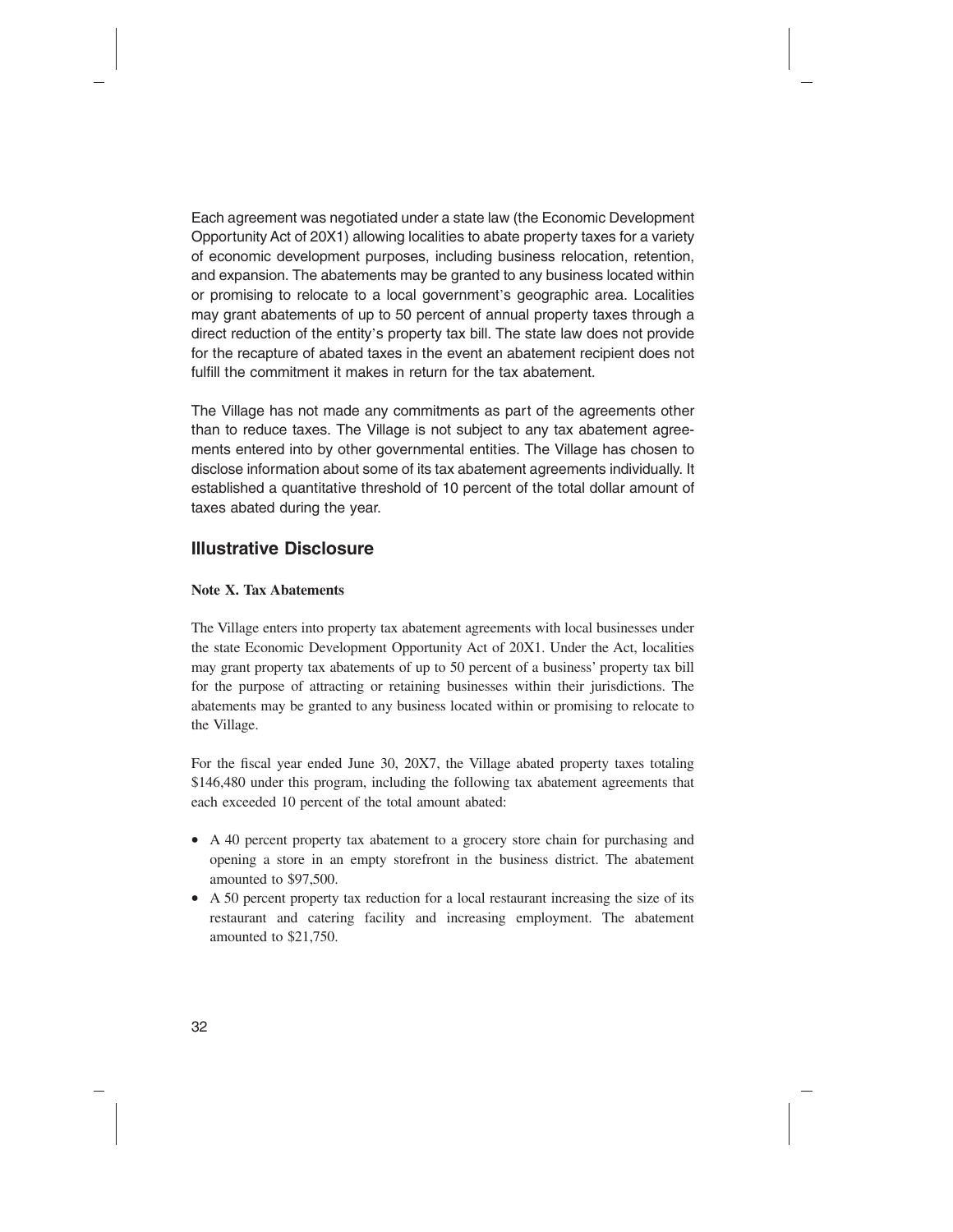Each agreement was negotiated under a state law (the Economic Development Opportunity Act of 20X1) allowing localities to abate property taxes for a variety of economic development purposes, including business relocation, retention, and expansion. The abatements may be granted to any business located within or promising to relocate to a local government's geographic area. Localities may grant abatements of up to 50 percent of annual property taxes through a direct reduction of the entity's property tax bill. The state law does not provide for the recapture of abated taxes in the event an abatement recipient does not fulfill the commitment it makes in return for the tax abatement.

The Village has not made any commitments as part of the agreements other than to reduce taxes. The Village is not subject to any tax abatement agreements entered into by other governmental entities. The Village has chosen to disclose information about some of its tax abatement agreements individually. It established a quantitative threshold of 10 percent of the total dollar amount of taxes abated during the year.

#### **Illustrative Disclosure**

#### **Note X. Tax Abatements**

The Village enters into property tax abatement agreements with local businesses under the state Economic Development Opportunity Act of 20X1. Under the Act, localities may grant property tax abatements of up to 50 percent of a business' property tax bill for the purpose of attracting or retaining businesses within their jurisdictions. The abatements may be granted to any business located within or promising to relocate to the Village.

For the fiscal year ended June 30, 20X7, the Village abated property taxes totaling \$146,480 under this program, including the following tax abatement agreements that each exceeded 10 percent of the total amount abated:

- A 40 percent property tax abatement to a grocery store chain for purchasing and opening a store in an empty storefront in the business district. The abatement amounted to \$97,500.
- A 50 percent property tax reduction for a local restaurant increasing the size of its restaurant and catering facility and increasing employment. The abatement amounted to \$21,750.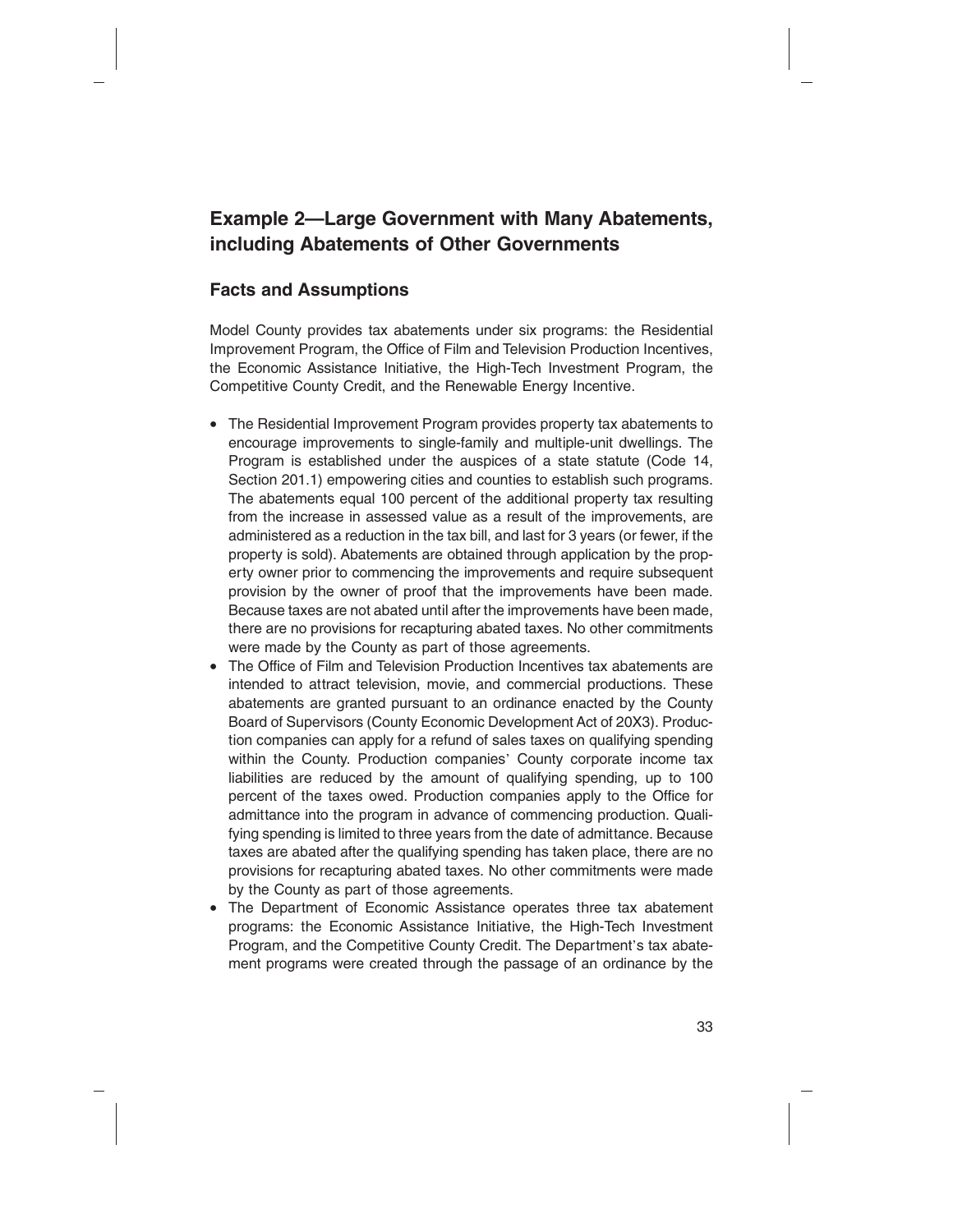# **Example 2—Large Government with Many Abatements, including Abatements of Other Governments**

#### **Facts and Assumptions**

Model County provides tax abatements under six programs: the Residential Improvement Program, the Office of Film and Television Production Incentives, the Economic Assistance Initiative, the High-Tech Investment Program, the Competitive County Credit, and the Renewable Energy Incentive.

- The Residential Improvement Program provides property tax abatements to encourage improvements to single-family and multiple-unit dwellings. The Program is established under the auspices of a state statute (Code 14, Section 201.1) empowering cities and counties to establish such programs. The abatements equal 100 percent of the additional property tax resulting from the increase in assessed value as a result of the improvements, are administered as a reduction in the tax bill, and last for 3 years (or fewer, if the property is sold). Abatements are obtained through application by the property owner prior to commencing the improvements and require subsequent provision by the owner of proof that the improvements have been made. Because taxes are not abated until after the improvements have been made, there are no provisions for recapturing abated taxes. No other commitments were made by the County as part of those agreements.
- The Office of Film and Television Production Incentives tax abatements are intended to attract television, movie, and commercial productions. These abatements are granted pursuant to an ordinance enacted by the County Board of Supervisors (County Economic Development Act of 20X3). Production companies can apply for a refund of sales taxes on qualifying spending within the County. Production companies' County corporate income tax liabilities are reduced by the amount of qualifying spending, up to 100 percent of the taxes owed. Production companies apply to the Office for admittance into the program in advance of commencing production. Qualifying spending is limited to three years from the date of admittance. Because taxes are abated after the qualifying spending has taken place, there are no provisions for recapturing abated taxes. No other commitments were made by the County as part of those agreements.
- The Department of Economic Assistance operates three tax abatement programs: the Economic Assistance Initiative, the High-Tech Investment Program, and the Competitive County Credit. The Department's tax abatement programs were created through the passage of an ordinance by the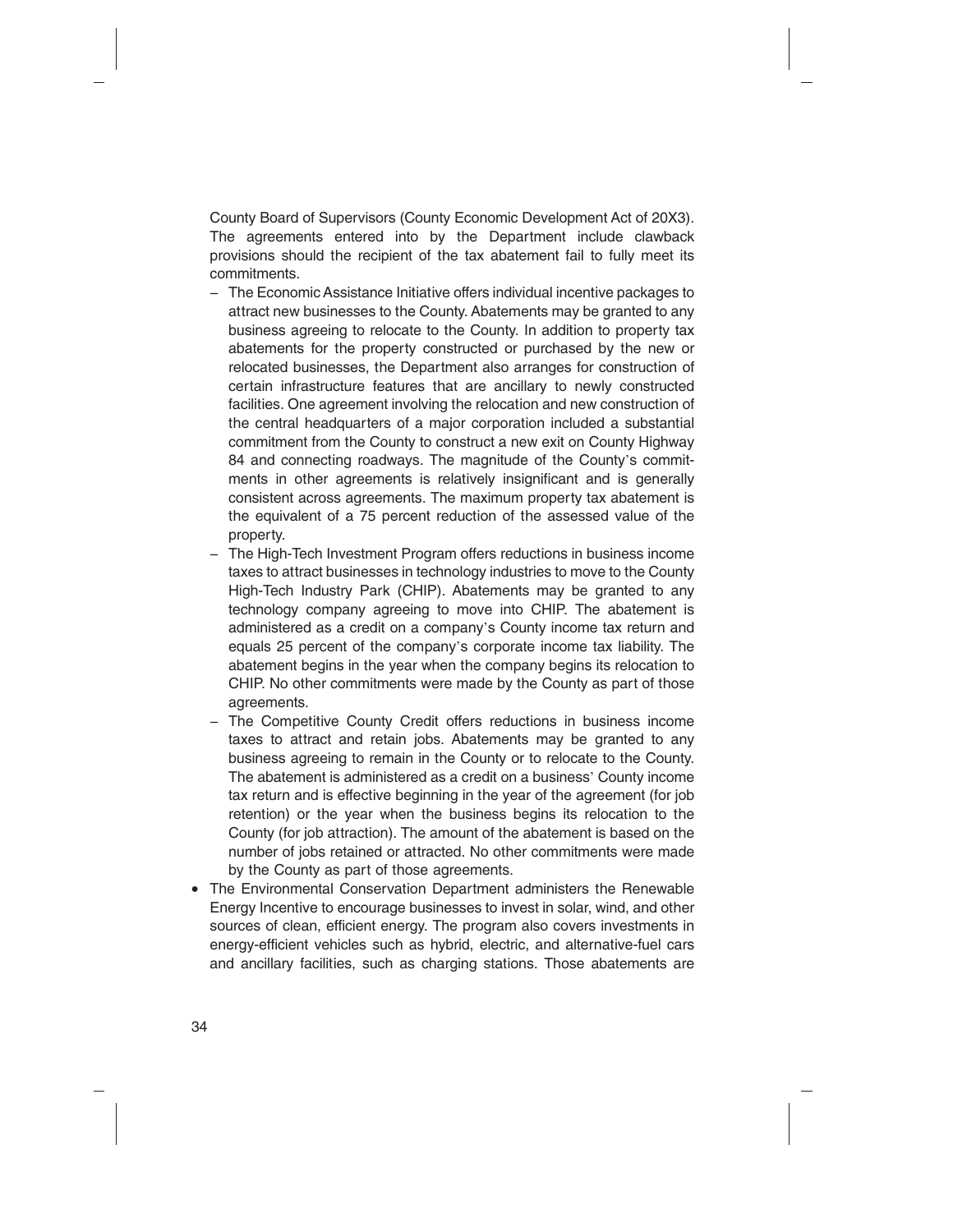County Board of Supervisors (County Economic Development Act of 20X3). The agreements entered into by the Department include clawback provisions should the recipient of the tax abatement fail to fully meet its commitments.

- − The Economic Assistance Initiative offers individual incentive packages to attract new businesses to the County. Abatements may be granted to any business agreeing to relocate to the County. In addition to property tax abatements for the property constructed or purchased by the new or relocated businesses, the Department also arranges for construction of certain infrastructure features that are ancillary to newly constructed facilities. One agreement involving the relocation and new construction of the central headquarters of a major corporation included a substantial commitment from the County to construct a new exit on County Highway 84 and connecting roadways. The magnitude of the County's commitments in other agreements is relatively insignificant and is generally consistent across agreements. The maximum property tax abatement is the equivalent of a 75 percent reduction of the assessed value of the property.
- − The High-Tech Investment Program offers reductions in business income taxes to attract businesses in technology industries to move to the County High-Tech Industry Park (CHIP). Abatements may be granted to any technology company agreeing to move into CHIP. The abatement is administered as a credit on a company's County income tax return and equals 25 percent of the company's corporate income tax liability. The abatement begins in the year when the company begins its relocation to CHIP. No other commitments were made by the County as part of those agreements.
- − The Competitive County Credit offers reductions in business income taxes to attract and retain jobs. Abatements may be granted to any business agreeing to remain in the County or to relocate to the County. The abatement is administered as a credit on a business' County income tax return and is effective beginning in the year of the agreement (for job retention) or the year when the business begins its relocation to the County (for job attraction). The amount of the abatement is based on the number of jobs retained or attracted. No other commitments were made by the County as part of those agreements.
- The Environmental Conservation Department administers the Renewable Energy Incentive to encourage businesses to invest in solar, wind, and other sources of clean, efficient energy. The program also covers investments in energy-efficient vehicles such as hybrid, electric, and alternative-fuel cars and ancillary facilities, such as charging stations. Those abatements are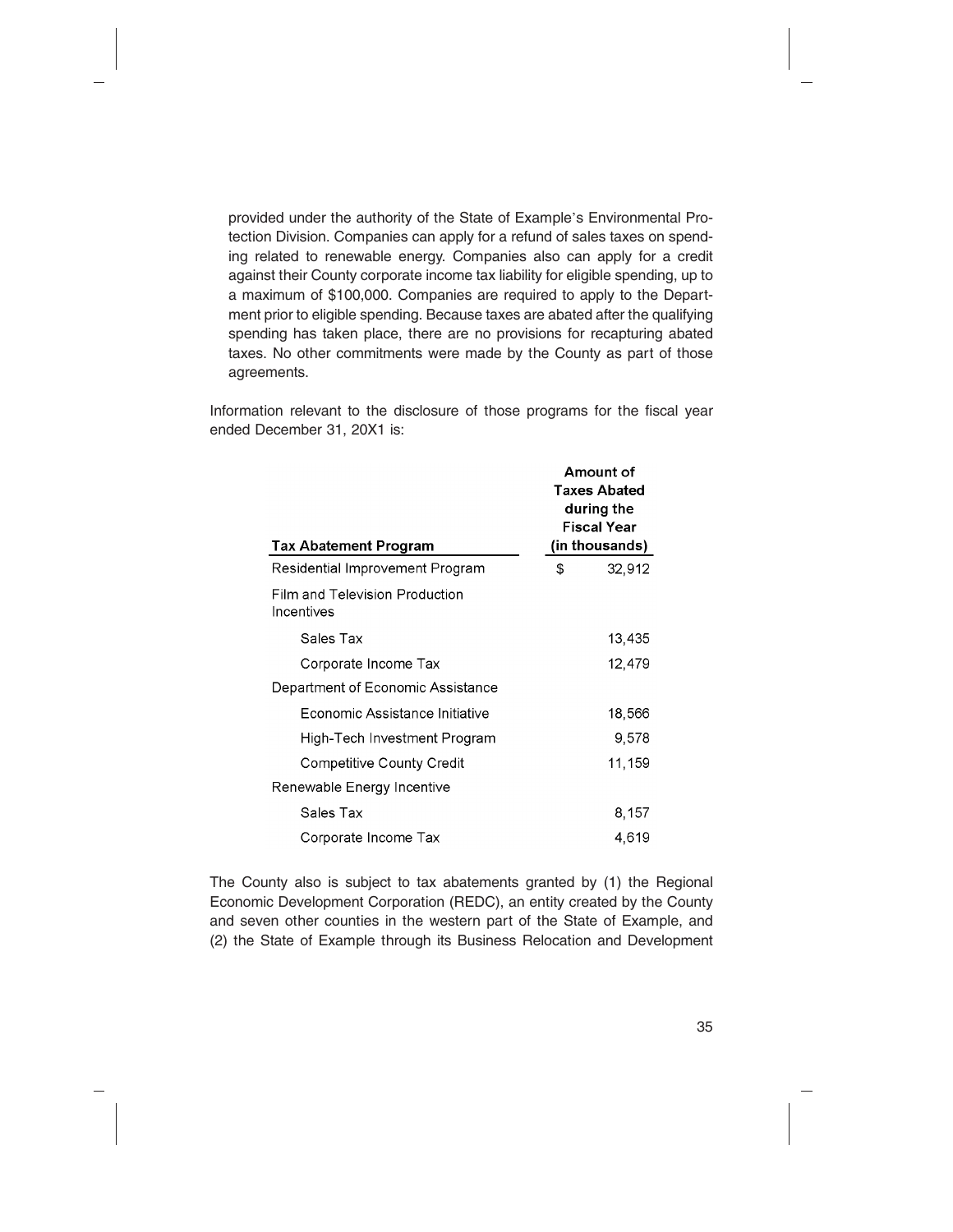provided under the authority of the State of Example's Environmental Protection Division. Companies can apply for a refund of sales taxes on spending related to renewable energy. Companies also can apply for a credit against their County corporate income tax liability for eligible spending, up to a maximum of \$100,000. Companies are required to apply to the Department prior to eligible spending. Because taxes are abated after the qualifying spending has taken place, there are no provisions for recapturing abated taxes. No other commitments were made by the County as part of those agreements.

Information relevant to the disclosure of those programs for the fiscal year ended December 31, 20X1 is:

| <b>Tax Abatement Program</b>                 | Amount of<br><b>Taxes Abated</b><br>during the<br>Fiscal Year<br>(in thousands) |        |
|----------------------------------------------|---------------------------------------------------------------------------------|--------|
| Residential Improvement Program              | \$                                                                              | 32,912 |
| Film and Television Production<br>Incentives |                                                                                 |        |
| Sales Tax                                    |                                                                                 | 13,435 |
| Corporate Income Tax                         |                                                                                 | 12,479 |
| Department of Economic Assistance            |                                                                                 |        |
| Economic Assistance Initiative               |                                                                                 | 18,566 |
| High-Tech Investment Program                 |                                                                                 | 9,578  |
| Competitive County Credit                    |                                                                                 | 11,159 |
| Renewable Energy Incentive                   |                                                                                 |        |
| Sales Tax                                    |                                                                                 | 8,157  |
| Corporate Income Tax                         |                                                                                 | 4,619  |

The County also is subject to tax abatements granted by (1) the Regional Economic Development Corporation (REDC), an entity created by the County and seven other counties in the western part of the State of Example, and (2) the State of Example through its Business Relocation and Development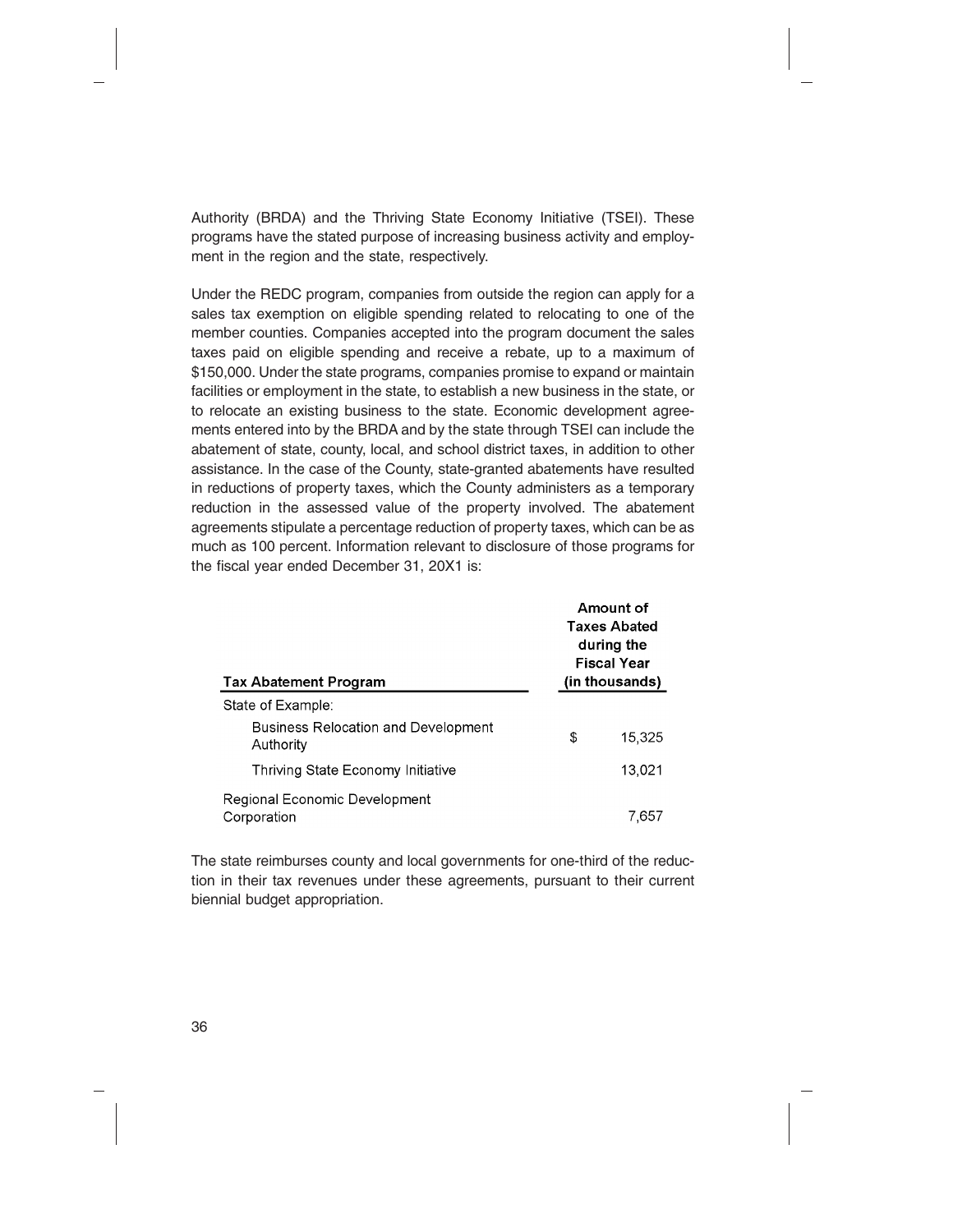Authority (BRDA) and the Thriving State Economy Initiative (TSEI). These programs have the stated purpose of increasing business activity and employment in the region and the state, respectively.

Under the REDC program, companies from outside the region can apply for a sales tax exemption on eligible spending related to relocating to one of the member counties. Companies accepted into the program document the sales taxes paid on eligible spending and receive a rebate, up to a maximum of \$150,000. Under the state programs, companies promise to expand or maintain facilities or employment in the state, to establish a new business in the state, or to relocate an existing business to the state. Economic development agreements entered into by the BRDA and by the state through TSEI can include the abatement of state, county, local, and school district taxes, in addition to other assistance. In the case of the County, state-granted abatements have resulted in reductions of property taxes, which the County administers as a temporary reduction in the assessed value of the property involved. The abatement agreements stipulate a percentage reduction of property taxes, which can be as much as 100 percent. Information relevant to disclosure of those programs for the fiscal year ended December 31, 20X1 is:

| <b>Tax Abatement Program</b>                            | Amount of<br><b>Taxes Abated</b><br>during the<br><b>Fiscal Year</b><br>(in thousands) |        |
|---------------------------------------------------------|----------------------------------------------------------------------------------------|--------|
| State of Example:                                       |                                                                                        |        |
| <b>Business Relocation and Development</b><br>Authority | \$                                                                                     | 15,325 |
| Thriving State Economy Initiative                       |                                                                                        | 13,021 |
| Regional Economic Development<br>Corporation            |                                                                                        | 7.657  |

The state reimburses county and local governments for one-third of the reduction in their tax revenues under these agreements, pursuant to their current biennial budget appropriation.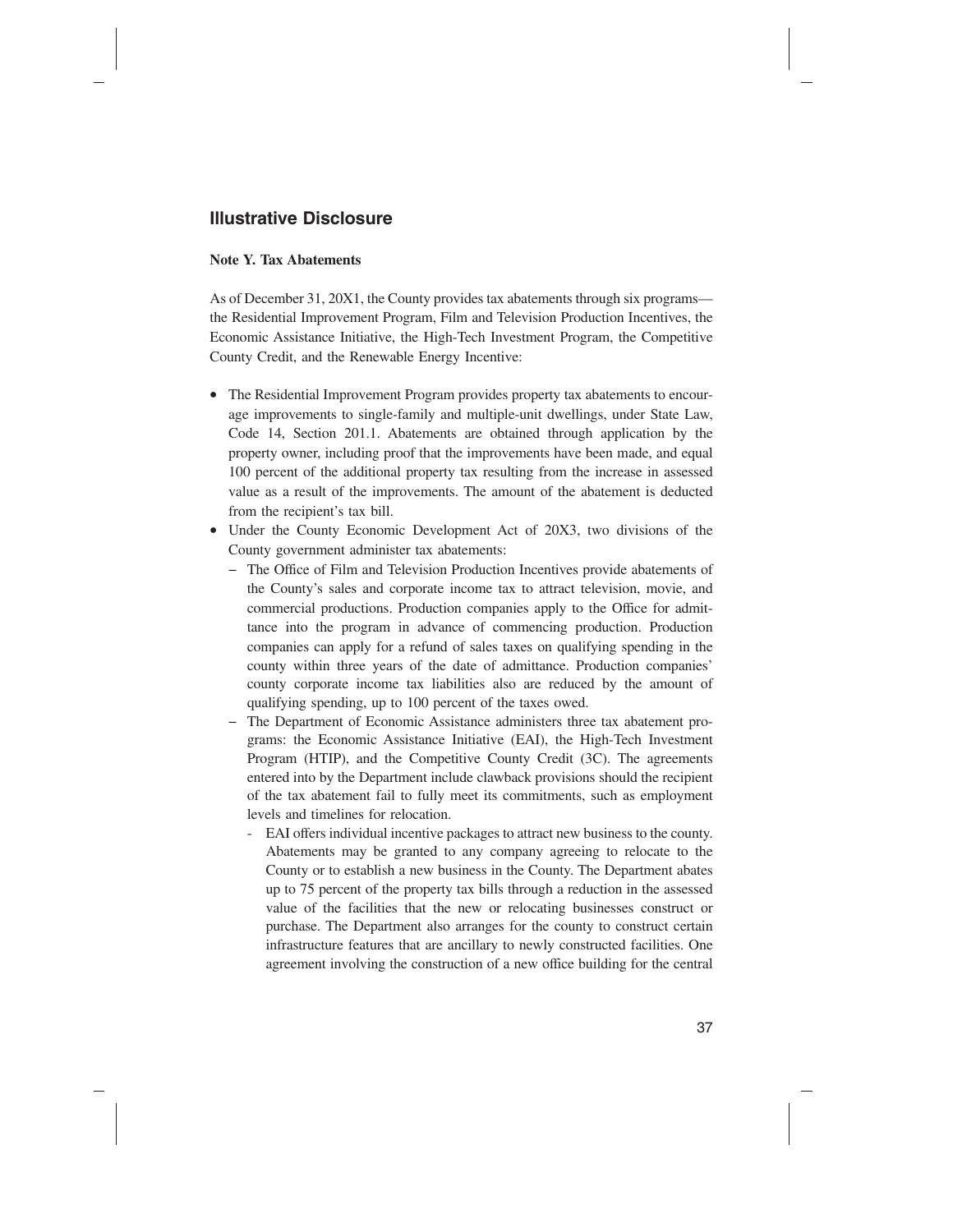#### **Illustrative Disclosure**

#### **Note Y. Tax Abatements**

As of December 31, 20X1, the County provides tax abatements through six programs the Residential Improvement Program, Film and Television Production Incentives, the Economic Assistance Initiative, the High-Tech Investment Program, the Competitive County Credit, and the Renewable Energy Incentive:

- The Residential Improvement Program provides property tax abatements to encourage improvements to single-family and multiple-unit dwellings, under State Law, Code 14, Section 201.1. Abatements are obtained through application by the property owner, including proof that the improvements have been made, and equal 100 percent of the additional property tax resulting from the increase in assessed value as a result of the improvements. The amount of the abatement is deducted from the recipient's tax bill.
- Under the County Economic Development Act of 20X3, two divisions of the County government administer tax abatements:
	- − The Office of Film and Television Production Incentives provide abatements of the County's sales and corporate income tax to attract television, movie, and commercial productions. Production companies apply to the Office for admittance into the program in advance of commencing production. Production companies can apply for a refund of sales taxes on qualifying spending in the county within three years of the date of admittance. Production companies' county corporate income tax liabilities also are reduced by the amount of qualifying spending, up to 100 percent of the taxes owed.
	- − The Department of Economic Assistance administers three tax abatement programs: the Economic Assistance Initiative (EAI), the High-Tech Investment Program (HTIP), and the Competitive County Credit (3C). The agreements entered into by the Department include clawback provisions should the recipient of the tax abatement fail to fully meet its commitments, such as employment levels and timelines for relocation.
		- EAI offers individual incentive packages to attract new business to the county. Abatements may be granted to any company agreeing to relocate to the County or to establish a new business in the County. The Department abates up to 75 percent of the property tax bills through a reduction in the assessed value of the facilities that the new or relocating businesses construct or purchase. The Department also arranges for the county to construct certain infrastructure features that are ancillary to newly constructed facilities. One agreement involving the construction of a new office building for the central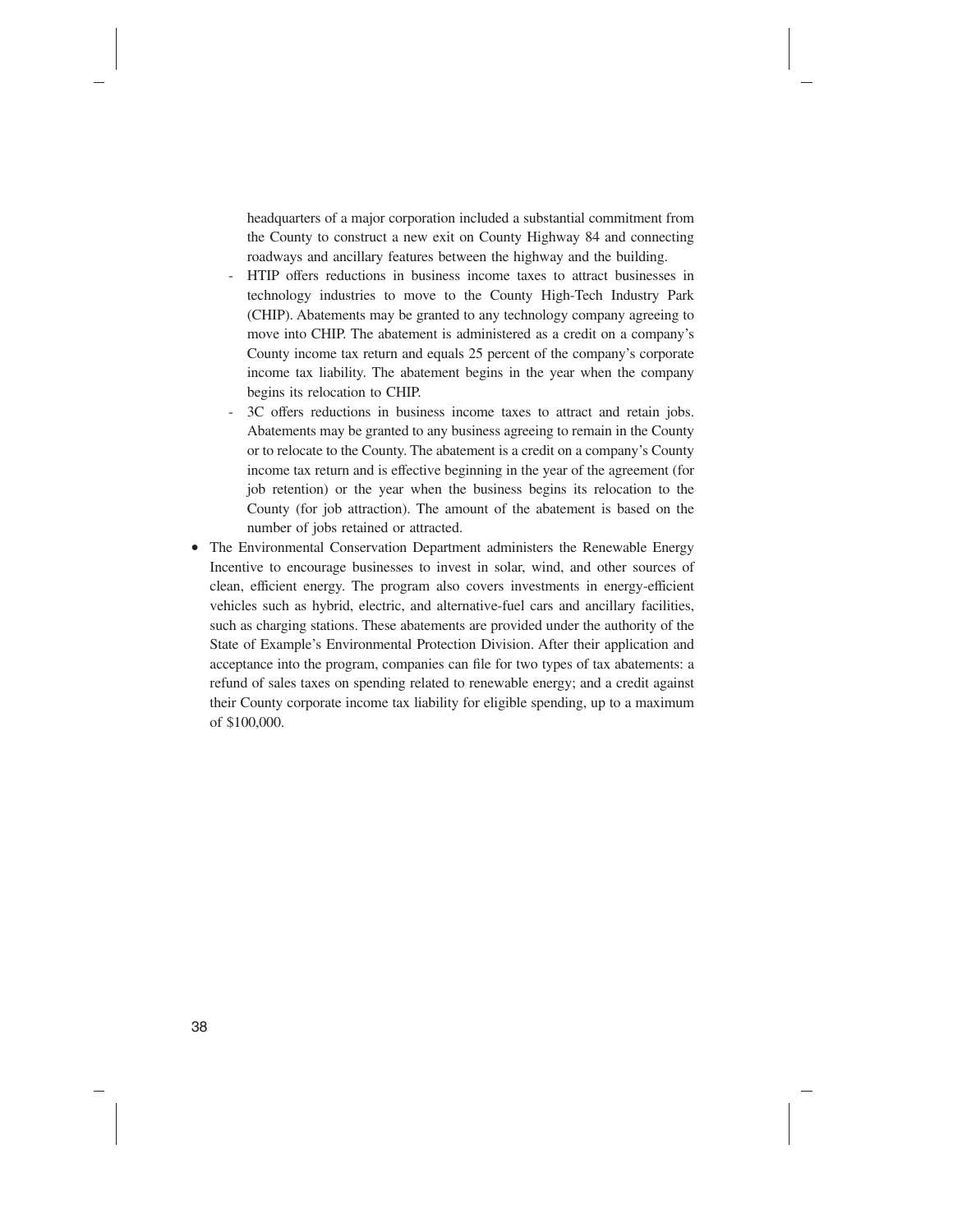headquarters of a major corporation included a substantial commitment from the County to construct a new exit on County Highway 84 and connecting roadways and ancillary features between the highway and the building.

- HTIP offers reductions in business income taxes to attract businesses in technology industries to move to the County High-Tech Industry Park (CHIP). Abatements may be granted to any technology company agreeing to move into CHIP. The abatement is administered as a credit on a company's County income tax return and equals 25 percent of the company's corporate income tax liability. The abatement begins in the year when the company begins its relocation to CHIP.
- 3C offers reductions in business income taxes to attract and retain jobs. Abatements may be granted to any business agreeing to remain in the County or to relocate to the County. The abatement is a credit on a company's County income tax return and is effective beginning in the year of the agreement (for job retention) or the year when the business begins its relocation to the County (for job attraction). The amount of the abatement is based on the number of jobs retained or attracted.
- The Environmental Conservation Department administers the Renewable Energy Incentive to encourage businesses to invest in solar, wind, and other sources of clean, efficient energy. The program also covers investments in energy-efficient vehicles such as hybrid, electric, and alternative-fuel cars and ancillary facilities, such as charging stations. These abatements are provided under the authority of the State of Example's Environmental Protection Division. After their application and acceptance into the program, companies can file for two types of tax abatements: a refund of sales taxes on spending related to renewable energy; and a credit against their County corporate income tax liability for eligible spending, up to a maximum of \$100,000.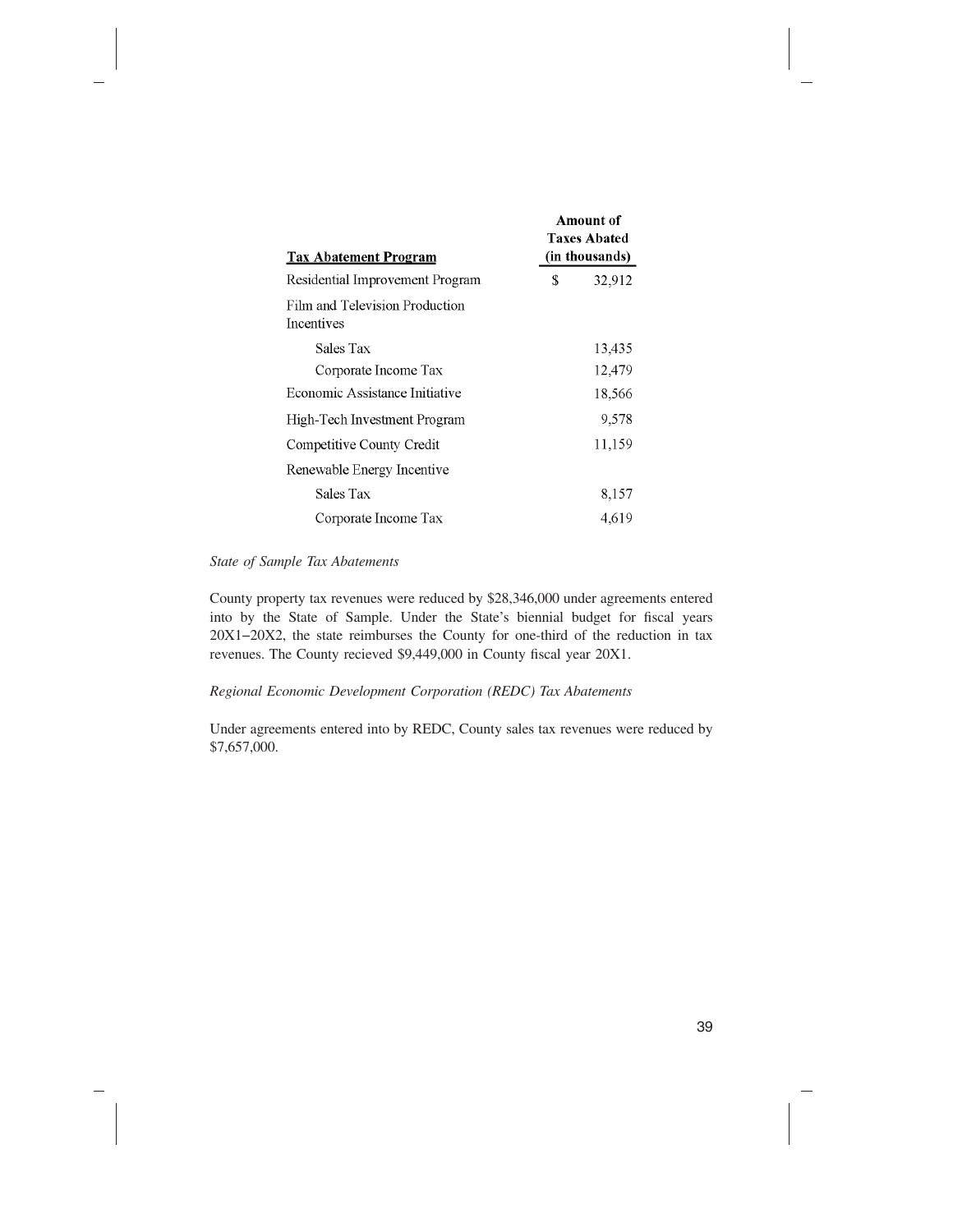| <b>Tax Abatement Program</b>                 | Amount of<br><b>Taxes Abated</b><br>(in thousands) |  |
|----------------------------------------------|----------------------------------------------------|--|
| Residential Improvement Program              | \$<br>32,912                                       |  |
| Film and Television Production<br>Incentives |                                                    |  |
| Sales Tax                                    | 13,435                                             |  |
| Corporate Income Tax                         | 12,479                                             |  |
| Economic Assistance Initiative               | 18,566                                             |  |
| High-Tech Investment Program                 | 9.578                                              |  |
| Competitive County Credit                    | 11,159                                             |  |
| Renewable Energy Incentive                   |                                                    |  |
| Sales Tax                                    | 8,157                                              |  |
| Corporate Income Tax                         | 4,619                                              |  |

#### *State of Sample Tax Abatements*

County property tax revenues were reduced by \$28,346,000 under agreements entered into by the State of Sample. Under the State's biennial budget for fiscal years 20X1−20X2, the state reimburses the County for one-third of the reduction in tax revenues. The County recieved \$9,449,000 in County fiscal year 20X1.

#### *Regional Economic Development Corporation (REDC) Tax Abatements*

Under agreements entered into by REDC, County sales tax revenues were reduced by \$7,657,000.